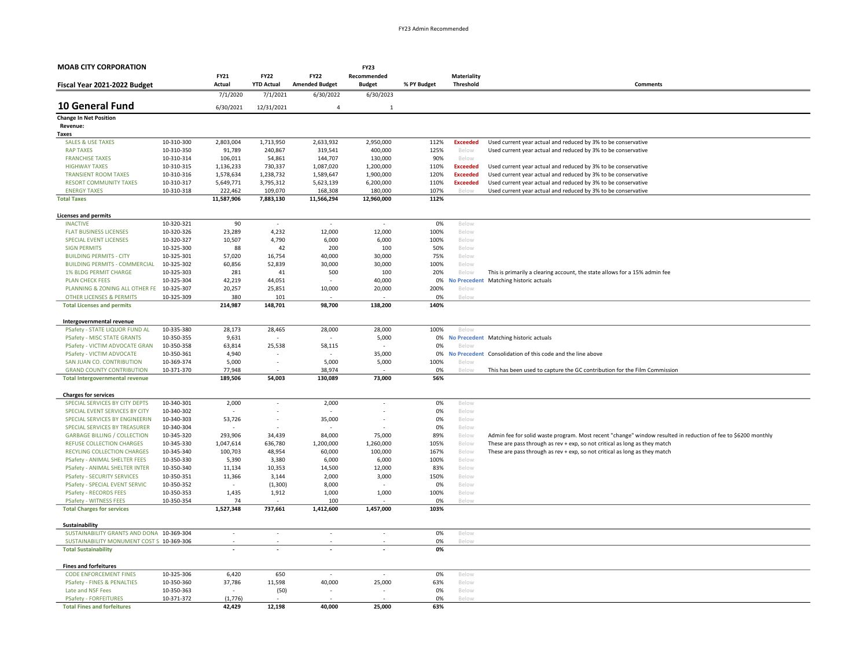| <b>MOAB CITY CORPORATION</b>                                   |                          |                          |                          |                          | <b>FY23</b>              |             |                       |                                                                                                               |  |  |
|----------------------------------------------------------------|--------------------------|--------------------------|--------------------------|--------------------------|--------------------------|-------------|-----------------------|---------------------------------------------------------------------------------------------------------------|--|--|
|                                                                |                          | <b>FY21</b>              | <b>FY22</b>              | <b>FY22</b>              | Recommended              |             | Materiality           |                                                                                                               |  |  |
| Fiscal Year 2021-2022 Budget                                   |                          | Actual                   | <b>YTD Actual</b>        | <b>Amended Budget</b>    | <b>Budget</b>            | % PY Budget | Threshold             | Comments                                                                                                      |  |  |
|                                                                |                          | 7/1/2020                 | 7/1/2021                 | 6/30/2022                | 6/30/2023                |             |                       |                                                                                                               |  |  |
| <b>10 General Fund</b>                                         |                          | 6/30/2021                | 12/31/2021               | $\overline{4}$           | $\mathbf{1}$             |             |                       |                                                                                                               |  |  |
| <b>Change In Net Position</b>                                  |                          |                          |                          |                          |                          |             |                       |                                                                                                               |  |  |
| Revenue:<br><b>Taxes</b>                                       |                          |                          |                          |                          |                          |             |                       |                                                                                                               |  |  |
| <b>SALES &amp; USE TAXES</b>                                   | 10-310-300               | 2,803,004                | 1,713,950                | 2,633,932                | 2,950,000                | 112%        | <b>Exceeded</b>       | Used current year actual and reduced by 3% to be conservative                                                 |  |  |
| <b>RAP TAXES</b>                                               | 10-310-350               | 91,789                   | 240,867                  | 319,541                  | 400,000                  | 125%        | Below                 | Used current year actual and reduced by 3% to be conservative                                                 |  |  |
| <b>FRANCHISE TAXES</b>                                         | 10-310-314               | 106,011                  | 54,861                   | 144,707                  | 130,000                  | 90%         | Below                 |                                                                                                               |  |  |
| <b>HIGHWAY TAXES</b>                                           | 10-310-315               | 1,136,233                | 730,337                  | 1,087,020                | 1,200,000                | 110%        | <b>Exceeded</b>       | Used current year actual and reduced by 3% to be conservative                                                 |  |  |
| <b>TRANSIENT ROOM TAXES</b>                                    | 10-310-316               | 1,578,634                | 1,238,732                | 1,589,647                | 1,900,000                | 120%        | <b>Exceeded</b>       | Used current year actual and reduced by 3% to be conservative                                                 |  |  |
| <b>RESORT COMMUNITY TAXES</b>                                  | 10-310-317               | 5,649,771                | 3,795,312                | 5,623,139                | 6,200,000                | 110%        | <b>Exceeded</b>       | Used current year actual and reduced by 3% to be conservative                                                 |  |  |
| <b>ENERGY TAXES</b>                                            | 10-310-318               | 222,462                  | 109,070                  | 168,308                  | 180,000                  | 107%        | Below                 | Used current year actual and reduced by 3% to be conservative                                                 |  |  |
| <b>Total Taxes</b>                                             |                          | 11,587,906               | 7,883,130                | 11,566,294               | 12,960,000               | 112%        |                       |                                                                                                               |  |  |
| <b>Licenses and permits</b>                                    |                          |                          |                          |                          |                          |             |                       |                                                                                                               |  |  |
| <b>INACTIVE</b>                                                | 10-320-321               | 90                       | $\overline{\phantom{a}}$ | $\sim$                   | $\overline{\phantom{a}}$ | 0%          | Below                 |                                                                                                               |  |  |
| <b>FLAT BUSINESS LICENSES</b>                                  | 10-320-326               | 23,289                   | 4,232                    | 12,000                   | 12,000                   | 100%        | Below                 |                                                                                                               |  |  |
| <b>SPECIAL EVENT LICENSES</b>                                  | 10-320-327               | 10,507                   | 4,790                    | 6,000                    | 6,000                    | 100%        | Below                 |                                                                                                               |  |  |
| <b>SIGN PERMITS</b>                                            | 10-325-300               | 88                       | 42                       | 200                      | 100                      | 50%         | Below                 |                                                                                                               |  |  |
| <b>BUILDING PERMITS - CITY</b>                                 | 10-325-301               | 57,020                   | 16,754                   | 40,000                   | 30,000                   | 75%         | Below                 |                                                                                                               |  |  |
| <b>BUILDING PERMITS - COMMERCIAL</b>                           | 10-325-302               | 60,856                   | 52,839                   | 30,000                   | 30,000                   | 100%        | Below                 |                                                                                                               |  |  |
| <b>1% BLDG PERMIT CHARGE</b>                                   | 10-325-303               | 281                      | 41                       | 500                      | 100                      | 20%         | Below                 | This is primarily a clearing account, the state allows for a 15% admin fee                                    |  |  |
| <b>PLAN CHECK FEES</b>                                         | 10-325-304               | 42,219                   | 44,051                   |                          | 40,000                   | 0%          | <b>No Precedent</b>   | Matching historic actuals                                                                                     |  |  |
| PLANNING & ZONING ALL OTHER FE                                 | 10-325-307               | 20,257                   | 25,851                   | 10,000                   | 20,000                   | 200%        | Below                 |                                                                                                               |  |  |
| <b>OTHER LICENSES &amp; PERMITS</b>                            | 10-325-309               | 380                      | 101                      |                          |                          | 0%          | Below                 |                                                                                                               |  |  |
| <b>Total Licenses and permits</b>                              |                          | 214,987                  | 148,701                  | 98,700                   | 138,200                  | 140%        |                       |                                                                                                               |  |  |
| Intergovernmental revenue                                      |                          |                          |                          |                          |                          |             |                       |                                                                                                               |  |  |
| PSafety - STATE LIQUOR FUND AL                                 | 10-335-380               | 28,173                   | 28,465                   | 28,000                   | 28,000                   | 100%        | Below                 |                                                                                                               |  |  |
| <b>PSafety - MISC STATE GRANTS</b>                             | 10-350-355               | 9,631                    |                          |                          | 5,000                    | 0%          |                       | No Precedent Matching historic actuals                                                                        |  |  |
| PSafety - VICTIM ADVOCATE GRAN                                 | 10-350-358               | 63,814                   | 25,538                   | 58,115                   | $\overline{\phantom{a}}$ | 0%          | Below                 |                                                                                                               |  |  |
| PSafety - VICTIM ADVOCATE                                      | 10-350-361               | 4,940                    |                          |                          | 35,000                   | 0%          |                       | No Precedent Consolidation of this code and the line above                                                    |  |  |
| SAN JUAN CO. CONTRIBUTION                                      | 10-369-374               | 5,000                    | $\overline{\phantom{a}}$ | 5,000                    | 5,000                    | 100%        | Below                 |                                                                                                               |  |  |
| <b>GRAND COUNTY CONTRIBUTION</b>                               | 10-371-370               | 77,948                   |                          | 38,974                   |                          | 0%          | Below                 | This has been used to capture the GC contribution for the Film Commission                                     |  |  |
| <b>Total Intergovernmental revenue</b>                         |                          | 189,506                  | 54,003                   | 130,089                  | 73,000                   | 56%         |                       |                                                                                                               |  |  |
| <b>Charges for services</b>                                    |                          |                          |                          |                          |                          |             |                       |                                                                                                               |  |  |
| SPECIAL SERVICES BY CITY DEPTS                                 | 10-340-301               | 2,000                    | ÷,                       | 2,000                    | ÷,                       | 0%          | Below                 |                                                                                                               |  |  |
| SPECIAL EVENT SERVICES BY CITY                                 | 10-340-302               |                          |                          |                          | $\overline{a}$           | 0%          | Below                 |                                                                                                               |  |  |
| SPECIAL SERVICES BY ENGINEERIN                                 | 10-340-303               | 53,726                   | $\overline{\phantom{a}}$ | 35,000                   | ÷,                       | 0%          | Below                 |                                                                                                               |  |  |
| SPECIAL SERVICES BY TREASURER                                  | 10-340-304               |                          |                          |                          |                          | 0%          | Below                 |                                                                                                               |  |  |
| <b>GARBAGE BILLING / COLLECTION</b>                            | 10-345-320               | 293,906                  | 34,439                   | 84,000                   | 75,000                   | 89%         | Below                 | Admin fee for solid waste program. Most recent "change" window resulted in reduction of fee to \$6200 monthly |  |  |
| <b>REFUSE COLLECTION CHARGES</b>                               | 10-345-330               | 1,047,614                | 636,780                  | 1,200,000                | 1,260,000                | 105%        | Below                 | These are pass through as rev + exp, so not critical as long as they match                                    |  |  |
| RECYLING COLLECTION CHARGES                                    | 10-345-340               | 100,703                  | 48,954                   | 60,000                   | 100,000                  | 167%        | Below                 | These are pass through as rev + exp, so not critical as long as they match                                    |  |  |
| PSafety - ANIMAL SHELTER FEES                                  | 10-350-330               | 5,390                    | 3,380                    | 6,000                    | 6,000                    | 100%        | Below                 |                                                                                                               |  |  |
| PSafety - ANIMAL SHELTER INTER                                 | 10-350-340               | 11,134                   | 10,353                   | 14,500                   | 12,000                   | 83%         | Below                 |                                                                                                               |  |  |
| <b>PSafety - SECURITY SERVICES</b>                             | 10-350-351               | 11,366                   | 3,144                    | 2,000                    | 3,000                    | 150%<br>0%  | Below<br>Below        |                                                                                                               |  |  |
| PSafety - SPECIAL EVENT SERVIC                                 | 10-350-352               |                          | (1, 300)                 | 8,000                    |                          | 100%        |                       |                                                                                                               |  |  |
| <b>PSafety - RECORDS FEES</b><br><b>PSafety - WITNESS FEES</b> | 10-350-353<br>10-350-354 | 1,435<br>74              | 1,912                    | 1,000<br>100             | 1,000                    | 0%          | Below<br><b>Below</b> |                                                                                                               |  |  |
| <b>Total Charges for services</b>                              |                          | 1,527,348                | 737,661                  | 1,412,600                | 1,457,000                | 103%        |                       |                                                                                                               |  |  |
|                                                                |                          |                          |                          |                          |                          |             |                       |                                                                                                               |  |  |
| Sustainability<br>SUSTAINABILITY GRANTS AND DONA 10-369-304    |                          | $\overline{\phantom{a}}$ | $\overline{\phantom{a}}$ | $\overline{\phantom{a}}$ | $\overline{\phantom{a}}$ | 0%          | Below                 |                                                                                                               |  |  |
| SUSTAINABILITY MONUMENT COST S 10-369-306                      |                          |                          |                          |                          |                          | 0%          | Below                 |                                                                                                               |  |  |
| <b>Total Sustainability</b>                                    |                          |                          |                          |                          |                          | 0%          |                       |                                                                                                               |  |  |
|                                                                |                          |                          |                          |                          |                          |             |                       |                                                                                                               |  |  |
| <b>Fines and forfeitures</b>                                   |                          |                          |                          |                          |                          |             |                       |                                                                                                               |  |  |
| <b>CODE ENFORCEMENT FINES</b>                                  | 10-325-306<br>10-350-360 | 6,420                    | 650<br>11,598            | $\overline{\phantom{a}}$ |                          | 0%<br>63%   | Below<br>Below        |                                                                                                               |  |  |
| <b>PSafety - FINES &amp; PENALTIES</b><br>Late and NSF Fees    | 10-350-363               | 37,786                   | (50)                     | 40,000                   | 25,000                   | 0%          | Below                 |                                                                                                               |  |  |
| <b>PSafety - FORFEITURES</b>                                   | 10-371-372               | (1,776)                  |                          |                          |                          | 0%          | Below                 |                                                                                                               |  |  |
| <b>Total Fines and forfeitures</b>                             |                          | 42,429                   | 12,198                   | 40,000                   | 25,000                   | 63%         |                       |                                                                                                               |  |  |
|                                                                |                          |                          |                          |                          |                          |             |                       |                                                                                                               |  |  |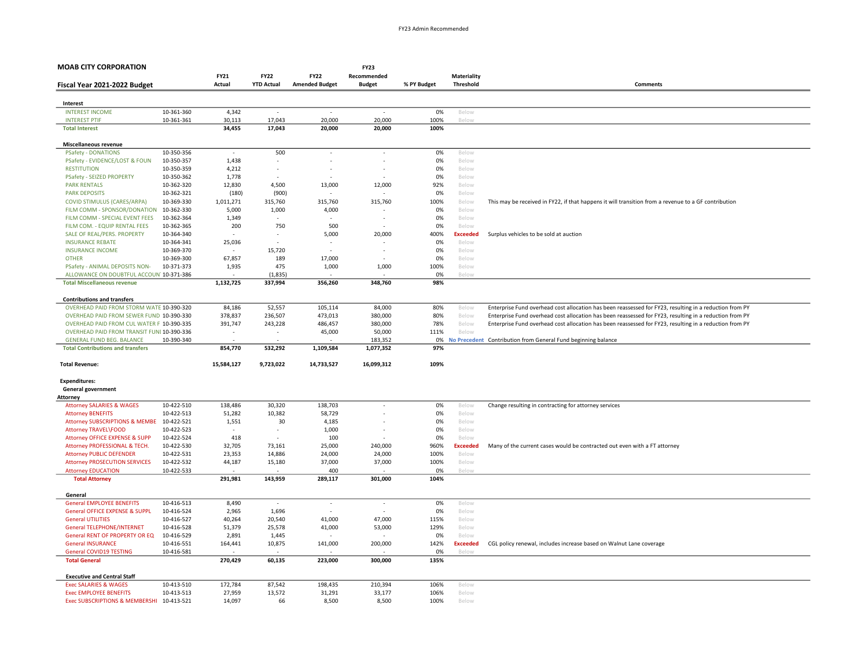| <b>MOAB CITY CORPORATION</b>                                                 |            |                          |                          |                                    | <b>FY23</b>              |             |                 |                                                                                                         |  |  |
|------------------------------------------------------------------------------|------------|--------------------------|--------------------------|------------------------------------|--------------------------|-------------|-----------------|---------------------------------------------------------------------------------------------------------|--|--|
|                                                                              |            | FY21                     | <b>FY22</b>              | <b>FY22</b>                        | Recommended              |             | Materiality     |                                                                                                         |  |  |
| Fiscal Year 2021-2022 Budget                                                 |            | Actual                   | <b>YTD Actual</b>        | <b>Amended Budget</b>              | <b>Budget</b>            | % PY Budget | Threshold       | Comments                                                                                                |  |  |
|                                                                              |            |                          |                          |                                    |                          |             |                 |                                                                                                         |  |  |
| Interest                                                                     |            |                          |                          |                                    |                          |             |                 |                                                                                                         |  |  |
| <b>INTEREST INCOME</b>                                                       | 10-361-360 | 4,342                    | $\overline{\phantom{a}}$ | $\overline{\phantom{a}}$           |                          | 0%          | Below           |                                                                                                         |  |  |
| <b>INTEREST PTIF</b>                                                         | 10-361-361 | 30,113                   | 17,043                   | 20,000                             | 20,000                   | 100%        | Below           |                                                                                                         |  |  |
| <b>Total Interest</b>                                                        |            | 34,455                   | 17,043                   | 20,000                             | 20,000                   | 100%        |                 |                                                                                                         |  |  |
| Miscellaneous revenue                                                        |            |                          |                          |                                    |                          |             |                 |                                                                                                         |  |  |
| <b>PSafety - DONATIONS</b>                                                   | 10-350-356 | $\overline{\phantom{a}}$ | 500                      | $\overline{\phantom{a}}$           | $\overline{\phantom{a}}$ | 0%          | Below           |                                                                                                         |  |  |
| PSafety - EVIDENCE/LOST & FOUN                                               | 10-350-357 | 1,438                    |                          |                                    |                          | 0%          | Below           |                                                                                                         |  |  |
| <b>RESTITUTION</b>                                                           | 10-350-359 | 4,212                    |                          |                                    |                          | 0%          | Below           |                                                                                                         |  |  |
| <b>PSafety - SEIZED PROPERTY</b>                                             | 10-350-362 | 1,778                    |                          |                                    |                          | 0%          | Below           |                                                                                                         |  |  |
| <b>PARK RENTALS</b>                                                          | 10-362-320 | 12,830                   | 4,500                    | 13,000                             | 12,000                   | 92%         | Below           |                                                                                                         |  |  |
| <b>PARK DEPOSITS</b>                                                         | 10-362-321 | (180)                    | (900)                    |                                    |                          | 0%          | Below           |                                                                                                         |  |  |
| COVID STIMULUS (CARES/ARPA)                                                  | 10-369-330 | 1,011,271                | 315,760                  | 315,760                            | 315,760                  | 100%        | Below           | This may be received in FY22, if that happens it will transition from a revenue to a GF contribution    |  |  |
| FILM COMM - SPONSOR/DONATION                                                 | 10-362-330 | 5,000                    | 1,000                    | 4,000                              |                          | 0%          | Below           |                                                                                                         |  |  |
| FILM COMM - SPECIAL EVENT FEES                                               | 10-362-364 | 1,349                    |                          |                                    |                          | 0%          | Below           |                                                                                                         |  |  |
| FILM COM. - EQUIP RENTAL FEES                                                | 10-362-365 | 200                      | 750                      | 500                                |                          | 0%          | Below           |                                                                                                         |  |  |
| SALE OF REAL/PERS. PROPERTY                                                  | 10-364-340 |                          |                          | 5,000                              | 20,000                   | 400%        | <b>Exceeded</b> | Surplus vehicles to be sold at auction                                                                  |  |  |
| <b>INSURANCE REBATE</b>                                                      | 10-364-341 | 25,036                   | $\sim$                   | $\overline{\phantom{a}}$<br>$\sim$ |                          | 0%          | Below           |                                                                                                         |  |  |
| <b>INSURANCE INCOME</b>                                                      | 10-369-370 |                          | 15,720                   |                                    |                          | 0%          | Below           |                                                                                                         |  |  |
| <b>OTHER</b>                                                                 | 10-369-300 | 67,857                   | 189                      | 17,000                             |                          | 0%          | Below           |                                                                                                         |  |  |
| PSafety - ANIMAL DEPOSITS NON-<br>ALLOWANCE ON DOUBTFUL ACCOUN' 10-371-386   | 10-371-373 | 1,935                    | 475<br>(1, 835)          | 1,000                              | 1,000                    | 100%<br>0%  | Below<br>Below  |                                                                                                         |  |  |
| <b>Total Miscellaneous revenue</b>                                           |            | 1,132,725                | 337,994                  | 356,260                            | 348,760                  | 98%         |                 |                                                                                                         |  |  |
|                                                                              |            |                          |                          |                                    |                          |             |                 |                                                                                                         |  |  |
| <b>Contributions and transfers</b>                                           |            |                          |                          |                                    |                          |             |                 |                                                                                                         |  |  |
| OVERHEAD PAID FROM STORM WATE 10-390-320                                     |            | 84,186                   | 52,557                   | 105,114                            | 84,000                   | 80%         | Below           | Enterprise Fund overhead cost allocation has been reassessed for FY23, resulting in a reduction from PY |  |  |
| OVERHEAD PAID FROM SEWER FUND 10-390-330                                     |            | 378,837                  | 236,507                  | 473,013                            | 380,000                  | 80%         | Below           | Enterprise Fund overhead cost allocation has been reassessed for FY23, resulting in a reduction from PY |  |  |
| OVERHEAD PAID FROM CUL WATER F 10-390-335                                    |            | 391,747                  | 243,228                  | 486,457                            | 380,000                  | 78%         | Below           | Enterprise Fund overhead cost allocation has been reassessed for FY23, resulting in a reduction from PY |  |  |
| OVERHEAD PAID FROM TRANSIT FUNI 10-390-336                                   |            |                          |                          | 45,000                             | 50,000                   | 111%        | Below           |                                                                                                         |  |  |
| <b>GENERAL FUND BEG. BALANCE</b><br><b>Total Contributions and transfers</b> | 10-390-340 | 854,770                  | 532,292                  | 1,109,584                          | 183,352<br>1,077,352     | 0%<br>97%   |                 | No Precedent Contribution from General Fund beginning balance                                           |  |  |
|                                                                              |            |                          |                          |                                    |                          |             |                 |                                                                                                         |  |  |
| <b>Total Revenue:</b>                                                        |            | 15,584,127               | 9,723,022                | 14,733,527                         | 16,099,312               | 109%        |                 |                                                                                                         |  |  |
| <b>Expenditures:</b>                                                         |            |                          |                          |                                    |                          |             |                 |                                                                                                         |  |  |
| <b>General government</b>                                                    |            |                          |                          |                                    |                          |             |                 |                                                                                                         |  |  |
| Attorney                                                                     |            |                          |                          |                                    |                          |             |                 |                                                                                                         |  |  |
| <b>Attorney SALARIES &amp; WAGES</b>                                         | 10-422-510 | 138,486                  | 30,320                   | 138,703                            | $\overline{\phantom{a}}$ | 0%          | Below           | Change resulting in contracting for attorney services                                                   |  |  |
| <b>Attorney BENEFITS</b>                                                     | 10-422-513 | 51,282                   | 10,382                   | 58,729                             |                          | 0%          | Below           |                                                                                                         |  |  |
| Attorney SUBSCRIPTIONS & MEMBE                                               | 10-422-521 | 1,551                    | 30                       | 4,185                              |                          | 0%          | Below           |                                                                                                         |  |  |
| Attorney TRAVEL\FOOD                                                         | 10-422-523 | $\overline{\phantom{a}}$ | $\sim$                   | 1,000                              |                          | 0%          | Below           |                                                                                                         |  |  |
| Attorney OFFICE EXPENSE & SUPP                                               | 10-422-524 | 418                      | $\sim$                   | 100                                |                          | 0%          | Below           |                                                                                                         |  |  |
| Attorney PROFESSIONAL & TECH.                                                | 10-422-530 | 32,705                   | 73,161                   | 25,000                             | 240,000                  | 960%        | <b>Exceeded</b> | Many of the current cases would be contracted out even with a FT attorney                               |  |  |
| <b>Attorney PUBLIC DEFENDER</b>                                              | 10-422-531 | 23,353                   | 14,886                   | 24,000                             | 24,000                   | 100%        | Below           |                                                                                                         |  |  |
| <b>Attorney PROSECUTION SERVICES</b>                                         | 10-422-532 | 44,187                   | 15,180                   | 37,000                             | 37,000                   | 100%        | Below           |                                                                                                         |  |  |
| <b>Attorney EDUCATION</b><br><b>Total Attorney</b>                           | 10-422-533 | 291,981                  | 143,959                  | 400<br>289,117                     | 301,000                  | 0%<br>104%  | Below           |                                                                                                         |  |  |
|                                                                              |            |                          |                          |                                    |                          |             |                 |                                                                                                         |  |  |
| General                                                                      |            |                          |                          |                                    |                          |             |                 |                                                                                                         |  |  |
| <b>General EMPLOYEE BENEFITS</b>                                             | 10-416-513 | 8,490                    | $\overline{\phantom{a}}$ | $\sim$                             | $\overline{\phantom{a}}$ | 0%          | Below           |                                                                                                         |  |  |
| <b>General OFFICE EXPENSE &amp; SUPPL</b>                                    | 10-416-524 | 2,965                    | 1,696                    |                                    |                          | 0%          | Below           |                                                                                                         |  |  |
| <b>General UTILITIES</b>                                                     | 10-416-527 | 40,264                   | 20,540                   | 41,000                             | 47,000                   | 115%        | Below           |                                                                                                         |  |  |
| <b>General TELEPHONE/INTERNET</b>                                            | 10-416-528 | 51,379                   | 25,578                   | 41,000                             | 53,000                   | 129%        | Below           |                                                                                                         |  |  |
| General RENT OF PROPERTY OR EQ                                               | 10-416-529 | 2,891                    | 1,445                    |                                    |                          | 0%          | Below           |                                                                                                         |  |  |
| <b>General INSURANCE</b>                                                     | 10-416-551 | 164,441                  | 10,875                   | 141,000                            | 200,000                  | 142%        | <b>Exceeded</b> | CGL policy renewal, includes increase based on Walnut Lane coverage                                     |  |  |
| <b>General COVID19 TESTING</b><br><b>Total General</b>                       | 10-416-581 | 270,429                  | 60,135                   | 223,000                            | 300,000                  | 0%<br>135%  | Below           |                                                                                                         |  |  |
|                                                                              |            |                          |                          |                                    |                          |             |                 |                                                                                                         |  |  |
| <b>Executive and Central Staff</b>                                           |            |                          |                          |                                    |                          |             |                 |                                                                                                         |  |  |
| <b>Exec SALARIES &amp; WAGES</b>                                             | 10-413-510 | 172,784                  | 87,542                   | 198,435                            | 210,394                  | 106%        | Below           |                                                                                                         |  |  |
| <b>Exec EMPLOYEE BENEFITS</b>                                                | 10-413-513 | 27,959                   | 13,572                   | 31,291                             | 33,177                   | 106%        | Below           |                                                                                                         |  |  |
| <b>Exec SUBSCRIPTIONS &amp; MEMBERSHI</b>                                    | 10-413-521 | 14,097                   | 66                       | 8,500                              | 8,500                    | 100%        | Below           |                                                                                                         |  |  |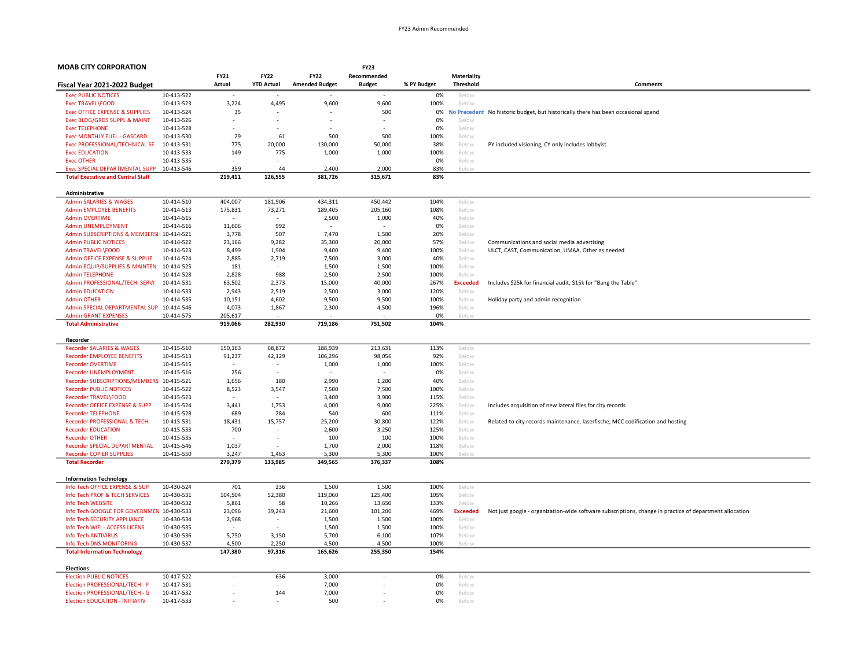| <b>FY21</b><br><b>FY22</b><br><b>FY22</b><br>Recommended<br>Materiality<br>Actual<br><b>YTD Actual</b><br><b>Amended Budget</b><br>% PY Budget<br><b>Threshold</b><br>Comments<br>Fiscal Year 2021-2022 Budget<br><b>Budget</b><br>10-413-522<br><b>Exec PUBLIC NOTICES</b><br>0%<br>Below<br>10-413-523<br>4,495<br>9,600<br>9,600<br>100%<br><b>Exec TRAVEL\FOOD</b><br>3,224<br>Below<br><b>Exec OFFICE EXPENSE &amp; SUPPLIES</b><br>10-413-524<br>35<br>500<br>0%<br><b>No Precedent</b><br>No historic budget, but historically there has been occasional spend<br>Exec BLDG/GRDS SUPPL & MAINT<br>10-413-526<br>0%<br>Below<br>$\overline{a}$<br><b>Exec TELEPHONE</b><br>10-413-528<br>0%<br>Below<br>61<br>Exec MONTHLY FUEL - GASCARD<br>10-413-530<br>29<br>500<br>500<br>100%<br>Below<br>Exec PROFESSIONAL/TECHNICAL SE<br>10-413-531<br>775<br>20,000<br>130,000<br>50,000<br>38%<br>Below<br>PY included visioning, CY only includes lobbyist<br>149<br><b>Exec EDUCATION</b><br>10-413-533<br>775<br>1,000<br>1,000<br>100%<br>Below<br><b>Exec OTHER</b><br>Below<br>10-413-535<br>0%<br>Exec SPECIAL DEPARTMENTAL SUPP<br>2,400<br>2,000<br>10-413-546<br>359<br>44<br>83%<br><b>Below</b><br><b>Total Executive and Central Staff</b><br>219,411<br>126,555<br>381,726<br>315,671<br>83%<br>Administrative<br><b>Admin SALARIES &amp; WAGES</b><br>404,007<br>181,906<br>434,311<br>450,442<br>104%<br>Below<br>10-414-510<br><b>Admin EMPLOYEE BENEFITS</b><br>10-414-513<br>175,831<br>73,271<br>189,405<br>205,160<br>108%<br>Below<br><b>Admin OVERTIME</b><br>10-414-515<br>2,500<br>1,000<br>40%<br>Below<br>$\overline{\phantom{a}}$<br>$\overline{\phantom{a}}$<br>10-414-516<br>11,606<br>992<br>0%<br>Admin UNEMPLOYMENT<br>Below<br>507<br>7,470<br>1,500<br>Admin SUBSCRIPTIONS & MEMBERSH 10-414-521<br>3,778<br>20%<br>Below<br><b>Admin PUBLIC NOTICES</b><br>10-414-522<br>23,166<br>9,282<br>35,300<br>20,000<br>57%<br>Below<br>Communications and social media advertising<br>1,904<br>9,400<br>100%<br>Admin TRAVEL\FOOD<br>10-414-523<br>8,499<br>9,400<br>Below<br>ULCT, CAST, Communication, UMAA, Other as needed<br>2,719<br>40%<br>Admin OFFICE EXPENSE & SUPPLIE<br>10-414-524<br>2,885<br>7,500<br>3,000<br>Below<br>Admin EQUIP/SUPPLIES & MAINTEN<br>10-414-525<br>181<br>1,500<br>1,500<br>100%<br>Below<br><b>Admin TELEPHONE</b><br>10-414-528<br>2,828<br>988<br>2.500<br>2,500<br>100%<br>Below<br>Admin PROFESSIONAL/TECH. SERVI<br>10-414-531<br>63,502<br>2,373<br>15,000<br>40,000<br>267%<br><b>Exceeded</b><br>Includes \$25k for financial audit, \$15k for "Bang the Table"<br><b>Admin EDUCATION</b><br>10-414-533<br>2,943<br>2,519<br>2,500<br>3,000<br>120%<br>Below<br><b>Admin OTHER</b><br>10-414-535<br>10,151<br>4,602<br>9,500<br>9,500<br>100%<br>Below<br>Holiday party and admin recognition<br>Admin SPECIAL DEPARTMENTAL SUP 10-414-546<br>4,073<br>1,867<br>2,300<br>4,500<br>196%<br>Below<br><b>Admin GRANT EXPENSES</b><br>10-414-575<br>205,617<br>0%<br><b>Below</b><br><b>Total Administrative</b><br>919,066<br>282,930<br>719,186<br>751,502<br>104%<br>Recorder<br><b>Recorder SALARIES &amp; WAGES</b><br>10-415-510<br>150,163<br>68,872<br>188,939<br>213,631<br>113%<br>Below<br><b>Recorder EMPLOYEE BENEFITS</b><br>10-415-513<br>91,237<br>42,129<br>106,296<br>98,056<br>92%<br>Below<br><b>Recorder OVERTIME</b><br>10-415-515<br>1,000<br>1,000<br>100%<br>Below<br>$\overline{\phantom{a}}$<br>$\overline{\phantom{a}}$<br>10-415-516<br>256<br>0%<br>Recorder UNEMPLOYMENT<br>×.<br>Below<br>$\overline{\phantom{a}}$<br>180<br>2,990<br>1,200<br>Recorder SUBSCRIPTIONS/MEMBERS 10-415-521<br>1,656<br>40%<br>Below<br>8,523<br>7,500<br>7,500<br><b>Recorder PUBLIC NOTICES</b><br>10-415-522<br>3,547<br>100%<br>Below<br>3,400<br>3,900<br>Recorder TRAVEL\FOOD<br>10-415-523<br>115%<br>Below<br>Recorder OFFICE EXPENSE & SUPP<br>1,753<br>4,000<br>9,000<br>225%<br>10-415-524<br>3,441<br>Includes acquisition of new lateral files for city records<br>Below<br>284<br>540<br>111%<br><b>Recorder TELEPHONE</b><br>10-415-528<br>689<br>600<br>Below<br>Recorder PROFESSIONAL & TECH.<br>10-415-531<br>18,431<br>15,757<br>25,200<br>30,800<br>122%<br>Below<br>Related to city records maintenance, laserfische, MCC codification and hosting<br><b>Recorder EDUCATION</b><br>10-415-533<br>700<br>2,600<br>3,250<br>125%<br>Below<br><b>Recorder OTHER</b><br>10-415-535<br>100<br>100<br>100%<br>Below<br>$\overline{\phantom{a}}$<br>Recorder SPECIAL DEPARTMENTAL<br>10-415-546<br>1,037<br>1,700<br>2,000<br>118%<br>Below<br><b>Recorder COPIER SUPPLIES</b><br>10-415-550<br>3,247<br>1,463<br>5,300<br>5,300<br>100%<br>Below<br>279,379<br>133,985<br>349,565<br>376,337<br>108%<br><b>Total Recorder</b><br><b>Information Technology</b><br>Info Tech OFFICE EXPENSE & SUP<br>10-430-524<br>701<br>236<br>1,500<br>1,500<br>100%<br>Below<br>104,504<br>52,380<br>119,060<br>125,400<br>Info Tech PROF & TECH SERVICES<br>10-430-531<br>105%<br>Below<br>Info Tech WEBSITE<br>10-430-532<br>5,861<br>58<br>10,266<br>13,650<br>133%<br>Below<br>Info Tech GOOGLE FOR GOVERNMEN 10-430-533<br>23,096<br>39,243<br>21,600<br>101,200<br>469%<br>Not just google - organization-wide software subscriptions, change in practice of department allocation<br><b>Exceeded</b><br>10-430-534<br>2,968<br>1,500<br>1,500<br>100%<br>Info Tech SECURITY APPLIANCE<br>Below<br>٠<br>Info Tech WIFI - ACCESS LICENS<br>1,500<br>1,500<br>100%<br>10-430-535<br>Below<br>Info Tech ANTIVIRUS<br>5,750<br>3,150<br>5,700<br>6,100<br>107%<br>10-430-536<br>Below<br>Info Tech DNS MONITORING<br>10-430-537<br>4,500<br>2,250<br>4,500<br>4,500<br>100%<br>Below<br>147,380<br>97,316<br>165,626<br>255,350<br>154%<br><b>Total Information Technology</b><br><b>Elections</b><br><b>Election PUBLIC NOTICES</b><br>10-417-522<br>636<br>3,000<br>0%<br>Below<br>÷.<br>Election PROFESSIONAL/TECH - P<br>10-417-531<br>7,000<br>0%<br>Below<br>7,000<br>0%<br>Election PROFESSIONAL/TECH - G<br>10-417-532<br>144<br>Below<br><b>Election EDUCATION - INITIATIV</b><br>10-417-533<br>500<br>0%<br>Below | <b>MOAB CITY CORPORATION</b> |  |  | <b>FY23</b> |  |  |
|--------------------------------------------------------------------------------------------------------------------------------------------------------------------------------------------------------------------------------------------------------------------------------------------------------------------------------------------------------------------------------------------------------------------------------------------------------------------------------------------------------------------------------------------------------------------------------------------------------------------------------------------------------------------------------------------------------------------------------------------------------------------------------------------------------------------------------------------------------------------------------------------------------------------------------------------------------------------------------------------------------------------------------------------------------------------------------------------------------------------------------------------------------------------------------------------------------------------------------------------------------------------------------------------------------------------------------------------------------------------------------------------------------------------------------------------------------------------------------------------------------------------------------------------------------------------------------------------------------------------------------------------------------------------------------------------------------------------------------------------------------------------------------------------------------------------------------------------------------------------------------------------------------------------------------------------------------------------------------------------------------------------------------------------------------------------------------------------------------------------------------------------------------------------------------------------------------------------------------------------------------------------------------------------------------------------------------------------------------------------------------------------------------------------------------------------------------------------------------------------------------------------------------------------------------------------------------------------------------------------------------------------------------------------------------------------------------------------------------------------------------------------------------------------------------------------------------------------------------------------------------------------------------------------------------------------------------------------------------------------------------------------------------------------------------------------------------------------------------------------------------------------------------------------------------------------------------------------------------------------------------------------------------------------------------------------------------------------------------------------------------------------------------------------------------------------------------------------------------------------------------------------------------------------------------------------------------------------------------------------------------------------------------------------------------------------------------------------------------------------------------------------------------------------------------------------------------------------------------------------------------------------------------------------------------------------------------------------------------------------------------------------------------------------------------------------------------------------------------------------------------------------------------------------------------------------------------------------------------------------------------------------------------------------------------------------------------------------------------------------------------------------------------------------------------------------------------------------------------------------------------------------------------------------------------------------------------------------------------------------------------------------------------------------------------------------------------------------------------------------------------------------------------------------------------------------------------------------------------------------------------------------------------------------------------------------------------------------------------------------------------------------------------------------------------------------------------------------------------------------------------------------------------------------------------------------------------------------------------------------------------------------------------------------------------------------------------------------------------------------------------------------------------------------------------------------------------------------------------------------------------------------------------------------------------------------------------------------------------------------------------------------------------------------------------------------------------------------------------------------------------------------------------------------------------------------------------------------------------------------------------------------------------------------------------------------------------------------------------------------------------------------------------------------------------------------------------------------------------------------------------------------------------------------------------------------------------------------|------------------------------|--|--|-------------|--|--|
|                                                                                                                                                                                                                                                                                                                                                                                                                                                                                                                                                                                                                                                                                                                                                                                                                                                                                                                                                                                                                                                                                                                                                                                                                                                                                                                                                                                                                                                                                                                                                                                                                                                                                                                                                                                                                                                                                                                                                                                                                                                                                                                                                                                                                                                                                                                                                                                                                                                                                                                                                                                                                                                                                                                                                                                                                                                                                                                                                                                                                                                                                                                                                                                                                                                                                                                                                                                                                                                                                                                                                                                                                                                                                                                                                                                                                                                                                                                                                                                                                                                                                                                                                                                                                                                                                                                                                                                                                                                                                                                                                                                                                                                                                                                                                                                                                                                                                                                                                                                                                                                                                                                                                                                                                                                                                                                                                                                                                                                                                                                                                                                                                                                                                                                                                                                                                                                                                                                                                                                                                                                                                                                                                                                                                    |                              |  |  |             |  |  |
|                                                                                                                                                                                                                                                                                                                                                                                                                                                                                                                                                                                                                                                                                                                                                                                                                                                                                                                                                                                                                                                                                                                                                                                                                                                                                                                                                                                                                                                                                                                                                                                                                                                                                                                                                                                                                                                                                                                                                                                                                                                                                                                                                                                                                                                                                                                                                                                                                                                                                                                                                                                                                                                                                                                                                                                                                                                                                                                                                                                                                                                                                                                                                                                                                                                                                                                                                                                                                                                                                                                                                                                                                                                                                                                                                                                                                                                                                                                                                                                                                                                                                                                                                                                                                                                                                                                                                                                                                                                                                                                                                                                                                                                                                                                                                                                                                                                                                                                                                                                                                                                                                                                                                                                                                                                                                                                                                                                                                                                                                                                                                                                                                                                                                                                                                                                                                                                                                                                                                                                                                                                                                                                                                                                                                    |                              |  |  |             |  |  |
|                                                                                                                                                                                                                                                                                                                                                                                                                                                                                                                                                                                                                                                                                                                                                                                                                                                                                                                                                                                                                                                                                                                                                                                                                                                                                                                                                                                                                                                                                                                                                                                                                                                                                                                                                                                                                                                                                                                                                                                                                                                                                                                                                                                                                                                                                                                                                                                                                                                                                                                                                                                                                                                                                                                                                                                                                                                                                                                                                                                                                                                                                                                                                                                                                                                                                                                                                                                                                                                                                                                                                                                                                                                                                                                                                                                                                                                                                                                                                                                                                                                                                                                                                                                                                                                                                                                                                                                                                                                                                                                                                                                                                                                                                                                                                                                                                                                                                                                                                                                                                                                                                                                                                                                                                                                                                                                                                                                                                                                                                                                                                                                                                                                                                                                                                                                                                                                                                                                                                                                                                                                                                                                                                                                                                    |                              |  |  |             |  |  |
|                                                                                                                                                                                                                                                                                                                                                                                                                                                                                                                                                                                                                                                                                                                                                                                                                                                                                                                                                                                                                                                                                                                                                                                                                                                                                                                                                                                                                                                                                                                                                                                                                                                                                                                                                                                                                                                                                                                                                                                                                                                                                                                                                                                                                                                                                                                                                                                                                                                                                                                                                                                                                                                                                                                                                                                                                                                                                                                                                                                                                                                                                                                                                                                                                                                                                                                                                                                                                                                                                                                                                                                                                                                                                                                                                                                                                                                                                                                                                                                                                                                                                                                                                                                                                                                                                                                                                                                                                                                                                                                                                                                                                                                                                                                                                                                                                                                                                                                                                                                                                                                                                                                                                                                                                                                                                                                                                                                                                                                                                                                                                                                                                                                                                                                                                                                                                                                                                                                                                                                                                                                                                                                                                                                                                    |                              |  |  |             |  |  |
|                                                                                                                                                                                                                                                                                                                                                                                                                                                                                                                                                                                                                                                                                                                                                                                                                                                                                                                                                                                                                                                                                                                                                                                                                                                                                                                                                                                                                                                                                                                                                                                                                                                                                                                                                                                                                                                                                                                                                                                                                                                                                                                                                                                                                                                                                                                                                                                                                                                                                                                                                                                                                                                                                                                                                                                                                                                                                                                                                                                                                                                                                                                                                                                                                                                                                                                                                                                                                                                                                                                                                                                                                                                                                                                                                                                                                                                                                                                                                                                                                                                                                                                                                                                                                                                                                                                                                                                                                                                                                                                                                                                                                                                                                                                                                                                                                                                                                                                                                                                                                                                                                                                                                                                                                                                                                                                                                                                                                                                                                                                                                                                                                                                                                                                                                                                                                                                                                                                                                                                                                                                                                                                                                                                                                    |                              |  |  |             |  |  |
|                                                                                                                                                                                                                                                                                                                                                                                                                                                                                                                                                                                                                                                                                                                                                                                                                                                                                                                                                                                                                                                                                                                                                                                                                                                                                                                                                                                                                                                                                                                                                                                                                                                                                                                                                                                                                                                                                                                                                                                                                                                                                                                                                                                                                                                                                                                                                                                                                                                                                                                                                                                                                                                                                                                                                                                                                                                                                                                                                                                                                                                                                                                                                                                                                                                                                                                                                                                                                                                                                                                                                                                                                                                                                                                                                                                                                                                                                                                                                                                                                                                                                                                                                                                                                                                                                                                                                                                                                                                                                                                                                                                                                                                                                                                                                                                                                                                                                                                                                                                                                                                                                                                                                                                                                                                                                                                                                                                                                                                                                                                                                                                                                                                                                                                                                                                                                                                                                                                                                                                                                                                                                                                                                                                                                    |                              |  |  |             |  |  |
|                                                                                                                                                                                                                                                                                                                                                                                                                                                                                                                                                                                                                                                                                                                                                                                                                                                                                                                                                                                                                                                                                                                                                                                                                                                                                                                                                                                                                                                                                                                                                                                                                                                                                                                                                                                                                                                                                                                                                                                                                                                                                                                                                                                                                                                                                                                                                                                                                                                                                                                                                                                                                                                                                                                                                                                                                                                                                                                                                                                                                                                                                                                                                                                                                                                                                                                                                                                                                                                                                                                                                                                                                                                                                                                                                                                                                                                                                                                                                                                                                                                                                                                                                                                                                                                                                                                                                                                                                                                                                                                                                                                                                                                                                                                                                                                                                                                                                                                                                                                                                                                                                                                                                                                                                                                                                                                                                                                                                                                                                                                                                                                                                                                                                                                                                                                                                                                                                                                                                                                                                                                                                                                                                                                                                    |                              |  |  |             |  |  |
|                                                                                                                                                                                                                                                                                                                                                                                                                                                                                                                                                                                                                                                                                                                                                                                                                                                                                                                                                                                                                                                                                                                                                                                                                                                                                                                                                                                                                                                                                                                                                                                                                                                                                                                                                                                                                                                                                                                                                                                                                                                                                                                                                                                                                                                                                                                                                                                                                                                                                                                                                                                                                                                                                                                                                                                                                                                                                                                                                                                                                                                                                                                                                                                                                                                                                                                                                                                                                                                                                                                                                                                                                                                                                                                                                                                                                                                                                                                                                                                                                                                                                                                                                                                                                                                                                                                                                                                                                                                                                                                                                                                                                                                                                                                                                                                                                                                                                                                                                                                                                                                                                                                                                                                                                                                                                                                                                                                                                                                                                                                                                                                                                                                                                                                                                                                                                                                                                                                                                                                                                                                                                                                                                                                                                    |                              |  |  |             |  |  |
|                                                                                                                                                                                                                                                                                                                                                                                                                                                                                                                                                                                                                                                                                                                                                                                                                                                                                                                                                                                                                                                                                                                                                                                                                                                                                                                                                                                                                                                                                                                                                                                                                                                                                                                                                                                                                                                                                                                                                                                                                                                                                                                                                                                                                                                                                                                                                                                                                                                                                                                                                                                                                                                                                                                                                                                                                                                                                                                                                                                                                                                                                                                                                                                                                                                                                                                                                                                                                                                                                                                                                                                                                                                                                                                                                                                                                                                                                                                                                                                                                                                                                                                                                                                                                                                                                                                                                                                                                                                                                                                                                                                                                                                                                                                                                                                                                                                                                                                                                                                                                                                                                                                                                                                                                                                                                                                                                                                                                                                                                                                                                                                                                                                                                                                                                                                                                                                                                                                                                                                                                                                                                                                                                                                                                    |                              |  |  |             |  |  |
|                                                                                                                                                                                                                                                                                                                                                                                                                                                                                                                                                                                                                                                                                                                                                                                                                                                                                                                                                                                                                                                                                                                                                                                                                                                                                                                                                                                                                                                                                                                                                                                                                                                                                                                                                                                                                                                                                                                                                                                                                                                                                                                                                                                                                                                                                                                                                                                                                                                                                                                                                                                                                                                                                                                                                                                                                                                                                                                                                                                                                                                                                                                                                                                                                                                                                                                                                                                                                                                                                                                                                                                                                                                                                                                                                                                                                                                                                                                                                                                                                                                                                                                                                                                                                                                                                                                                                                                                                                                                                                                                                                                                                                                                                                                                                                                                                                                                                                                                                                                                                                                                                                                                                                                                                                                                                                                                                                                                                                                                                                                                                                                                                                                                                                                                                                                                                                                                                                                                                                                                                                                                                                                                                                                                                    |                              |  |  |             |  |  |
|                                                                                                                                                                                                                                                                                                                                                                                                                                                                                                                                                                                                                                                                                                                                                                                                                                                                                                                                                                                                                                                                                                                                                                                                                                                                                                                                                                                                                                                                                                                                                                                                                                                                                                                                                                                                                                                                                                                                                                                                                                                                                                                                                                                                                                                                                                                                                                                                                                                                                                                                                                                                                                                                                                                                                                                                                                                                                                                                                                                                                                                                                                                                                                                                                                                                                                                                                                                                                                                                                                                                                                                                                                                                                                                                                                                                                                                                                                                                                                                                                                                                                                                                                                                                                                                                                                                                                                                                                                                                                                                                                                                                                                                                                                                                                                                                                                                                                                                                                                                                                                                                                                                                                                                                                                                                                                                                                                                                                                                                                                                                                                                                                                                                                                                                                                                                                                                                                                                                                                                                                                                                                                                                                                                                                    |                              |  |  |             |  |  |
|                                                                                                                                                                                                                                                                                                                                                                                                                                                                                                                                                                                                                                                                                                                                                                                                                                                                                                                                                                                                                                                                                                                                                                                                                                                                                                                                                                                                                                                                                                                                                                                                                                                                                                                                                                                                                                                                                                                                                                                                                                                                                                                                                                                                                                                                                                                                                                                                                                                                                                                                                                                                                                                                                                                                                                                                                                                                                                                                                                                                                                                                                                                                                                                                                                                                                                                                                                                                                                                                                                                                                                                                                                                                                                                                                                                                                                                                                                                                                                                                                                                                                                                                                                                                                                                                                                                                                                                                                                                                                                                                                                                                                                                                                                                                                                                                                                                                                                                                                                                                                                                                                                                                                                                                                                                                                                                                                                                                                                                                                                                                                                                                                                                                                                                                                                                                                                                                                                                                                                                                                                                                                                                                                                                                                    |                              |  |  |             |  |  |
|                                                                                                                                                                                                                                                                                                                                                                                                                                                                                                                                                                                                                                                                                                                                                                                                                                                                                                                                                                                                                                                                                                                                                                                                                                                                                                                                                                                                                                                                                                                                                                                                                                                                                                                                                                                                                                                                                                                                                                                                                                                                                                                                                                                                                                                                                                                                                                                                                                                                                                                                                                                                                                                                                                                                                                                                                                                                                                                                                                                                                                                                                                                                                                                                                                                                                                                                                                                                                                                                                                                                                                                                                                                                                                                                                                                                                                                                                                                                                                                                                                                                                                                                                                                                                                                                                                                                                                                                                                                                                                                                                                                                                                                                                                                                                                                                                                                                                                                                                                                                                                                                                                                                                                                                                                                                                                                                                                                                                                                                                                                                                                                                                                                                                                                                                                                                                                                                                                                                                                                                                                                                                                                                                                                                                    |                              |  |  |             |  |  |
|                                                                                                                                                                                                                                                                                                                                                                                                                                                                                                                                                                                                                                                                                                                                                                                                                                                                                                                                                                                                                                                                                                                                                                                                                                                                                                                                                                                                                                                                                                                                                                                                                                                                                                                                                                                                                                                                                                                                                                                                                                                                                                                                                                                                                                                                                                                                                                                                                                                                                                                                                                                                                                                                                                                                                                                                                                                                                                                                                                                                                                                                                                                                                                                                                                                                                                                                                                                                                                                                                                                                                                                                                                                                                                                                                                                                                                                                                                                                                                                                                                                                                                                                                                                                                                                                                                                                                                                                                                                                                                                                                                                                                                                                                                                                                                                                                                                                                                                                                                                                                                                                                                                                                                                                                                                                                                                                                                                                                                                                                                                                                                                                                                                                                                                                                                                                                                                                                                                                                                                                                                                                                                                                                                                                                    |                              |  |  |             |  |  |
|                                                                                                                                                                                                                                                                                                                                                                                                                                                                                                                                                                                                                                                                                                                                                                                                                                                                                                                                                                                                                                                                                                                                                                                                                                                                                                                                                                                                                                                                                                                                                                                                                                                                                                                                                                                                                                                                                                                                                                                                                                                                                                                                                                                                                                                                                                                                                                                                                                                                                                                                                                                                                                                                                                                                                                                                                                                                                                                                                                                                                                                                                                                                                                                                                                                                                                                                                                                                                                                                                                                                                                                                                                                                                                                                                                                                                                                                                                                                                                                                                                                                                                                                                                                                                                                                                                                                                                                                                                                                                                                                                                                                                                                                                                                                                                                                                                                                                                                                                                                                                                                                                                                                                                                                                                                                                                                                                                                                                                                                                                                                                                                                                                                                                                                                                                                                                                                                                                                                                                                                                                                                                                                                                                                                                    |                              |  |  |             |  |  |
|                                                                                                                                                                                                                                                                                                                                                                                                                                                                                                                                                                                                                                                                                                                                                                                                                                                                                                                                                                                                                                                                                                                                                                                                                                                                                                                                                                                                                                                                                                                                                                                                                                                                                                                                                                                                                                                                                                                                                                                                                                                                                                                                                                                                                                                                                                                                                                                                                                                                                                                                                                                                                                                                                                                                                                                                                                                                                                                                                                                                                                                                                                                                                                                                                                                                                                                                                                                                                                                                                                                                                                                                                                                                                                                                                                                                                                                                                                                                                                                                                                                                                                                                                                                                                                                                                                                                                                                                                                                                                                                                                                                                                                                                                                                                                                                                                                                                                                                                                                                                                                                                                                                                                                                                                                                                                                                                                                                                                                                                                                                                                                                                                                                                                                                                                                                                                                                                                                                                                                                                                                                                                                                                                                                                                    |                              |  |  |             |  |  |
|                                                                                                                                                                                                                                                                                                                                                                                                                                                                                                                                                                                                                                                                                                                                                                                                                                                                                                                                                                                                                                                                                                                                                                                                                                                                                                                                                                                                                                                                                                                                                                                                                                                                                                                                                                                                                                                                                                                                                                                                                                                                                                                                                                                                                                                                                                                                                                                                                                                                                                                                                                                                                                                                                                                                                                                                                                                                                                                                                                                                                                                                                                                                                                                                                                                                                                                                                                                                                                                                                                                                                                                                                                                                                                                                                                                                                                                                                                                                                                                                                                                                                                                                                                                                                                                                                                                                                                                                                                                                                                                                                                                                                                                                                                                                                                                                                                                                                                                                                                                                                                                                                                                                                                                                                                                                                                                                                                                                                                                                                                                                                                                                                                                                                                                                                                                                                                                                                                                                                                                                                                                                                                                                                                                                                    |                              |  |  |             |  |  |
|                                                                                                                                                                                                                                                                                                                                                                                                                                                                                                                                                                                                                                                                                                                                                                                                                                                                                                                                                                                                                                                                                                                                                                                                                                                                                                                                                                                                                                                                                                                                                                                                                                                                                                                                                                                                                                                                                                                                                                                                                                                                                                                                                                                                                                                                                                                                                                                                                                                                                                                                                                                                                                                                                                                                                                                                                                                                                                                                                                                                                                                                                                                                                                                                                                                                                                                                                                                                                                                                                                                                                                                                                                                                                                                                                                                                                                                                                                                                                                                                                                                                                                                                                                                                                                                                                                                                                                                                                                                                                                                                                                                                                                                                                                                                                                                                                                                                                                                                                                                                                                                                                                                                                                                                                                                                                                                                                                                                                                                                                                                                                                                                                                                                                                                                                                                                                                                                                                                                                                                                                                                                                                                                                                                                                    |                              |  |  |             |  |  |
|                                                                                                                                                                                                                                                                                                                                                                                                                                                                                                                                                                                                                                                                                                                                                                                                                                                                                                                                                                                                                                                                                                                                                                                                                                                                                                                                                                                                                                                                                                                                                                                                                                                                                                                                                                                                                                                                                                                                                                                                                                                                                                                                                                                                                                                                                                                                                                                                                                                                                                                                                                                                                                                                                                                                                                                                                                                                                                                                                                                                                                                                                                                                                                                                                                                                                                                                                                                                                                                                                                                                                                                                                                                                                                                                                                                                                                                                                                                                                                                                                                                                                                                                                                                                                                                                                                                                                                                                                                                                                                                                                                                                                                                                                                                                                                                                                                                                                                                                                                                                                                                                                                                                                                                                                                                                                                                                                                                                                                                                                                                                                                                                                                                                                                                                                                                                                                                                                                                                                                                                                                                                                                                                                                                                                    |                              |  |  |             |  |  |
|                                                                                                                                                                                                                                                                                                                                                                                                                                                                                                                                                                                                                                                                                                                                                                                                                                                                                                                                                                                                                                                                                                                                                                                                                                                                                                                                                                                                                                                                                                                                                                                                                                                                                                                                                                                                                                                                                                                                                                                                                                                                                                                                                                                                                                                                                                                                                                                                                                                                                                                                                                                                                                                                                                                                                                                                                                                                                                                                                                                                                                                                                                                                                                                                                                                                                                                                                                                                                                                                                                                                                                                                                                                                                                                                                                                                                                                                                                                                                                                                                                                                                                                                                                                                                                                                                                                                                                                                                                                                                                                                                                                                                                                                                                                                                                                                                                                                                                                                                                                                                                                                                                                                                                                                                                                                                                                                                                                                                                                                                                                                                                                                                                                                                                                                                                                                                                                                                                                                                                                                                                                                                                                                                                                                                    |                              |  |  |             |  |  |
|                                                                                                                                                                                                                                                                                                                                                                                                                                                                                                                                                                                                                                                                                                                                                                                                                                                                                                                                                                                                                                                                                                                                                                                                                                                                                                                                                                                                                                                                                                                                                                                                                                                                                                                                                                                                                                                                                                                                                                                                                                                                                                                                                                                                                                                                                                                                                                                                                                                                                                                                                                                                                                                                                                                                                                                                                                                                                                                                                                                                                                                                                                                                                                                                                                                                                                                                                                                                                                                                                                                                                                                                                                                                                                                                                                                                                                                                                                                                                                                                                                                                                                                                                                                                                                                                                                                                                                                                                                                                                                                                                                                                                                                                                                                                                                                                                                                                                                                                                                                                                                                                                                                                                                                                                                                                                                                                                                                                                                                                                                                                                                                                                                                                                                                                                                                                                                                                                                                                                                                                                                                                                                                                                                                                                    |                              |  |  |             |  |  |
|                                                                                                                                                                                                                                                                                                                                                                                                                                                                                                                                                                                                                                                                                                                                                                                                                                                                                                                                                                                                                                                                                                                                                                                                                                                                                                                                                                                                                                                                                                                                                                                                                                                                                                                                                                                                                                                                                                                                                                                                                                                                                                                                                                                                                                                                                                                                                                                                                                                                                                                                                                                                                                                                                                                                                                                                                                                                                                                                                                                                                                                                                                                                                                                                                                                                                                                                                                                                                                                                                                                                                                                                                                                                                                                                                                                                                                                                                                                                                                                                                                                                                                                                                                                                                                                                                                                                                                                                                                                                                                                                                                                                                                                                                                                                                                                                                                                                                                                                                                                                                                                                                                                                                                                                                                                                                                                                                                                                                                                                                                                                                                                                                                                                                                                                                                                                                                                                                                                                                                                                                                                                                                                                                                                                                    |                              |  |  |             |  |  |
|                                                                                                                                                                                                                                                                                                                                                                                                                                                                                                                                                                                                                                                                                                                                                                                                                                                                                                                                                                                                                                                                                                                                                                                                                                                                                                                                                                                                                                                                                                                                                                                                                                                                                                                                                                                                                                                                                                                                                                                                                                                                                                                                                                                                                                                                                                                                                                                                                                                                                                                                                                                                                                                                                                                                                                                                                                                                                                                                                                                                                                                                                                                                                                                                                                                                                                                                                                                                                                                                                                                                                                                                                                                                                                                                                                                                                                                                                                                                                                                                                                                                                                                                                                                                                                                                                                                                                                                                                                                                                                                                                                                                                                                                                                                                                                                                                                                                                                                                                                                                                                                                                                                                                                                                                                                                                                                                                                                                                                                                                                                                                                                                                                                                                                                                                                                                                                                                                                                                                                                                                                                                                                                                                                                                                    |                              |  |  |             |  |  |
|                                                                                                                                                                                                                                                                                                                                                                                                                                                                                                                                                                                                                                                                                                                                                                                                                                                                                                                                                                                                                                                                                                                                                                                                                                                                                                                                                                                                                                                                                                                                                                                                                                                                                                                                                                                                                                                                                                                                                                                                                                                                                                                                                                                                                                                                                                                                                                                                                                                                                                                                                                                                                                                                                                                                                                                                                                                                                                                                                                                                                                                                                                                                                                                                                                                                                                                                                                                                                                                                                                                                                                                                                                                                                                                                                                                                                                                                                                                                                                                                                                                                                                                                                                                                                                                                                                                                                                                                                                                                                                                                                                                                                                                                                                                                                                                                                                                                                                                                                                                                                                                                                                                                                                                                                                                                                                                                                                                                                                                                                                                                                                                                                                                                                                                                                                                                                                                                                                                                                                                                                                                                                                                                                                                                                    |                              |  |  |             |  |  |
|                                                                                                                                                                                                                                                                                                                                                                                                                                                                                                                                                                                                                                                                                                                                                                                                                                                                                                                                                                                                                                                                                                                                                                                                                                                                                                                                                                                                                                                                                                                                                                                                                                                                                                                                                                                                                                                                                                                                                                                                                                                                                                                                                                                                                                                                                                                                                                                                                                                                                                                                                                                                                                                                                                                                                                                                                                                                                                                                                                                                                                                                                                                                                                                                                                                                                                                                                                                                                                                                                                                                                                                                                                                                                                                                                                                                                                                                                                                                                                                                                                                                                                                                                                                                                                                                                                                                                                                                                                                                                                                                                                                                                                                                                                                                                                                                                                                                                                                                                                                                                                                                                                                                                                                                                                                                                                                                                                                                                                                                                                                                                                                                                                                                                                                                                                                                                                                                                                                                                                                                                                                                                                                                                                                                                    |                              |  |  |             |  |  |
|                                                                                                                                                                                                                                                                                                                                                                                                                                                                                                                                                                                                                                                                                                                                                                                                                                                                                                                                                                                                                                                                                                                                                                                                                                                                                                                                                                                                                                                                                                                                                                                                                                                                                                                                                                                                                                                                                                                                                                                                                                                                                                                                                                                                                                                                                                                                                                                                                                                                                                                                                                                                                                                                                                                                                                                                                                                                                                                                                                                                                                                                                                                                                                                                                                                                                                                                                                                                                                                                                                                                                                                                                                                                                                                                                                                                                                                                                                                                                                                                                                                                                                                                                                                                                                                                                                                                                                                                                                                                                                                                                                                                                                                                                                                                                                                                                                                                                                                                                                                                                                                                                                                                                                                                                                                                                                                                                                                                                                                                                                                                                                                                                                                                                                                                                                                                                                                                                                                                                                                                                                                                                                                                                                                                                    |                              |  |  |             |  |  |
|                                                                                                                                                                                                                                                                                                                                                                                                                                                                                                                                                                                                                                                                                                                                                                                                                                                                                                                                                                                                                                                                                                                                                                                                                                                                                                                                                                                                                                                                                                                                                                                                                                                                                                                                                                                                                                                                                                                                                                                                                                                                                                                                                                                                                                                                                                                                                                                                                                                                                                                                                                                                                                                                                                                                                                                                                                                                                                                                                                                                                                                                                                                                                                                                                                                                                                                                                                                                                                                                                                                                                                                                                                                                                                                                                                                                                                                                                                                                                                                                                                                                                                                                                                                                                                                                                                                                                                                                                                                                                                                                                                                                                                                                                                                                                                                                                                                                                                                                                                                                                                                                                                                                                                                                                                                                                                                                                                                                                                                                                                                                                                                                                                                                                                                                                                                                                                                                                                                                                                                                                                                                                                                                                                                                                    |                              |  |  |             |  |  |
|                                                                                                                                                                                                                                                                                                                                                                                                                                                                                                                                                                                                                                                                                                                                                                                                                                                                                                                                                                                                                                                                                                                                                                                                                                                                                                                                                                                                                                                                                                                                                                                                                                                                                                                                                                                                                                                                                                                                                                                                                                                                                                                                                                                                                                                                                                                                                                                                                                                                                                                                                                                                                                                                                                                                                                                                                                                                                                                                                                                                                                                                                                                                                                                                                                                                                                                                                                                                                                                                                                                                                                                                                                                                                                                                                                                                                                                                                                                                                                                                                                                                                                                                                                                                                                                                                                                                                                                                                                                                                                                                                                                                                                                                                                                                                                                                                                                                                                                                                                                                                                                                                                                                                                                                                                                                                                                                                                                                                                                                                                                                                                                                                                                                                                                                                                                                                                                                                                                                                                                                                                                                                                                                                                                                                    |                              |  |  |             |  |  |
|                                                                                                                                                                                                                                                                                                                                                                                                                                                                                                                                                                                                                                                                                                                                                                                                                                                                                                                                                                                                                                                                                                                                                                                                                                                                                                                                                                                                                                                                                                                                                                                                                                                                                                                                                                                                                                                                                                                                                                                                                                                                                                                                                                                                                                                                                                                                                                                                                                                                                                                                                                                                                                                                                                                                                                                                                                                                                                                                                                                                                                                                                                                                                                                                                                                                                                                                                                                                                                                                                                                                                                                                                                                                                                                                                                                                                                                                                                                                                                                                                                                                                                                                                                                                                                                                                                                                                                                                                                                                                                                                                                                                                                                                                                                                                                                                                                                                                                                                                                                                                                                                                                                                                                                                                                                                                                                                                                                                                                                                                                                                                                                                                                                                                                                                                                                                                                                                                                                                                                                                                                                                                                                                                                                                                    |                              |  |  |             |  |  |
|                                                                                                                                                                                                                                                                                                                                                                                                                                                                                                                                                                                                                                                                                                                                                                                                                                                                                                                                                                                                                                                                                                                                                                                                                                                                                                                                                                                                                                                                                                                                                                                                                                                                                                                                                                                                                                                                                                                                                                                                                                                                                                                                                                                                                                                                                                                                                                                                                                                                                                                                                                                                                                                                                                                                                                                                                                                                                                                                                                                                                                                                                                                                                                                                                                                                                                                                                                                                                                                                                                                                                                                                                                                                                                                                                                                                                                                                                                                                                                                                                                                                                                                                                                                                                                                                                                                                                                                                                                                                                                                                                                                                                                                                                                                                                                                                                                                                                                                                                                                                                                                                                                                                                                                                                                                                                                                                                                                                                                                                                                                                                                                                                                                                                                                                                                                                                                                                                                                                                                                                                                                                                                                                                                                                                    |                              |  |  |             |  |  |
|                                                                                                                                                                                                                                                                                                                                                                                                                                                                                                                                                                                                                                                                                                                                                                                                                                                                                                                                                                                                                                                                                                                                                                                                                                                                                                                                                                                                                                                                                                                                                                                                                                                                                                                                                                                                                                                                                                                                                                                                                                                                                                                                                                                                                                                                                                                                                                                                                                                                                                                                                                                                                                                                                                                                                                                                                                                                                                                                                                                                                                                                                                                                                                                                                                                                                                                                                                                                                                                                                                                                                                                                                                                                                                                                                                                                                                                                                                                                                                                                                                                                                                                                                                                                                                                                                                                                                                                                                                                                                                                                                                                                                                                                                                                                                                                                                                                                                                                                                                                                                                                                                                                                                                                                                                                                                                                                                                                                                                                                                                                                                                                                                                                                                                                                                                                                                                                                                                                                                                                                                                                                                                                                                                                                                    |                              |  |  |             |  |  |
|                                                                                                                                                                                                                                                                                                                                                                                                                                                                                                                                                                                                                                                                                                                                                                                                                                                                                                                                                                                                                                                                                                                                                                                                                                                                                                                                                                                                                                                                                                                                                                                                                                                                                                                                                                                                                                                                                                                                                                                                                                                                                                                                                                                                                                                                                                                                                                                                                                                                                                                                                                                                                                                                                                                                                                                                                                                                                                                                                                                                                                                                                                                                                                                                                                                                                                                                                                                                                                                                                                                                                                                                                                                                                                                                                                                                                                                                                                                                                                                                                                                                                                                                                                                                                                                                                                                                                                                                                                                                                                                                                                                                                                                                                                                                                                                                                                                                                                                                                                                                                                                                                                                                                                                                                                                                                                                                                                                                                                                                                                                                                                                                                                                                                                                                                                                                                                                                                                                                                                                                                                                                                                                                                                                                                    |                              |  |  |             |  |  |
|                                                                                                                                                                                                                                                                                                                                                                                                                                                                                                                                                                                                                                                                                                                                                                                                                                                                                                                                                                                                                                                                                                                                                                                                                                                                                                                                                                                                                                                                                                                                                                                                                                                                                                                                                                                                                                                                                                                                                                                                                                                                                                                                                                                                                                                                                                                                                                                                                                                                                                                                                                                                                                                                                                                                                                                                                                                                                                                                                                                                                                                                                                                                                                                                                                                                                                                                                                                                                                                                                                                                                                                                                                                                                                                                                                                                                                                                                                                                                                                                                                                                                                                                                                                                                                                                                                                                                                                                                                                                                                                                                                                                                                                                                                                                                                                                                                                                                                                                                                                                                                                                                                                                                                                                                                                                                                                                                                                                                                                                                                                                                                                                                                                                                                                                                                                                                                                                                                                                                                                                                                                                                                                                                                                                                    |                              |  |  |             |  |  |
|                                                                                                                                                                                                                                                                                                                                                                                                                                                                                                                                                                                                                                                                                                                                                                                                                                                                                                                                                                                                                                                                                                                                                                                                                                                                                                                                                                                                                                                                                                                                                                                                                                                                                                                                                                                                                                                                                                                                                                                                                                                                                                                                                                                                                                                                                                                                                                                                                                                                                                                                                                                                                                                                                                                                                                                                                                                                                                                                                                                                                                                                                                                                                                                                                                                                                                                                                                                                                                                                                                                                                                                                                                                                                                                                                                                                                                                                                                                                                                                                                                                                                                                                                                                                                                                                                                                                                                                                                                                                                                                                                                                                                                                                                                                                                                                                                                                                                                                                                                                                                                                                                                                                                                                                                                                                                                                                                                                                                                                                                                                                                                                                                                                                                                                                                                                                                                                                                                                                                                                                                                                                                                                                                                                                                    |                              |  |  |             |  |  |
|                                                                                                                                                                                                                                                                                                                                                                                                                                                                                                                                                                                                                                                                                                                                                                                                                                                                                                                                                                                                                                                                                                                                                                                                                                                                                                                                                                                                                                                                                                                                                                                                                                                                                                                                                                                                                                                                                                                                                                                                                                                                                                                                                                                                                                                                                                                                                                                                                                                                                                                                                                                                                                                                                                                                                                                                                                                                                                                                                                                                                                                                                                                                                                                                                                                                                                                                                                                                                                                                                                                                                                                                                                                                                                                                                                                                                                                                                                                                                                                                                                                                                                                                                                                                                                                                                                                                                                                                                                                                                                                                                                                                                                                                                                                                                                                                                                                                                                                                                                                                                                                                                                                                                                                                                                                                                                                                                                                                                                                                                                                                                                                                                                                                                                                                                                                                                                                                                                                                                                                                                                                                                                                                                                                                                    |                              |  |  |             |  |  |
|                                                                                                                                                                                                                                                                                                                                                                                                                                                                                                                                                                                                                                                                                                                                                                                                                                                                                                                                                                                                                                                                                                                                                                                                                                                                                                                                                                                                                                                                                                                                                                                                                                                                                                                                                                                                                                                                                                                                                                                                                                                                                                                                                                                                                                                                                                                                                                                                                                                                                                                                                                                                                                                                                                                                                                                                                                                                                                                                                                                                                                                                                                                                                                                                                                                                                                                                                                                                                                                                                                                                                                                                                                                                                                                                                                                                                                                                                                                                                                                                                                                                                                                                                                                                                                                                                                                                                                                                                                                                                                                                                                                                                                                                                                                                                                                                                                                                                                                                                                                                                                                                                                                                                                                                                                                                                                                                                                                                                                                                                                                                                                                                                                                                                                                                                                                                                                                                                                                                                                                                                                                                                                                                                                                                                    |                              |  |  |             |  |  |
|                                                                                                                                                                                                                                                                                                                                                                                                                                                                                                                                                                                                                                                                                                                                                                                                                                                                                                                                                                                                                                                                                                                                                                                                                                                                                                                                                                                                                                                                                                                                                                                                                                                                                                                                                                                                                                                                                                                                                                                                                                                                                                                                                                                                                                                                                                                                                                                                                                                                                                                                                                                                                                                                                                                                                                                                                                                                                                                                                                                                                                                                                                                                                                                                                                                                                                                                                                                                                                                                                                                                                                                                                                                                                                                                                                                                                                                                                                                                                                                                                                                                                                                                                                                                                                                                                                                                                                                                                                                                                                                                                                                                                                                                                                                                                                                                                                                                                                                                                                                                                                                                                                                                                                                                                                                                                                                                                                                                                                                                                                                                                                                                                                                                                                                                                                                                                                                                                                                                                                                                                                                                                                                                                                                                                    |                              |  |  |             |  |  |
|                                                                                                                                                                                                                                                                                                                                                                                                                                                                                                                                                                                                                                                                                                                                                                                                                                                                                                                                                                                                                                                                                                                                                                                                                                                                                                                                                                                                                                                                                                                                                                                                                                                                                                                                                                                                                                                                                                                                                                                                                                                                                                                                                                                                                                                                                                                                                                                                                                                                                                                                                                                                                                                                                                                                                                                                                                                                                                                                                                                                                                                                                                                                                                                                                                                                                                                                                                                                                                                                                                                                                                                                                                                                                                                                                                                                                                                                                                                                                                                                                                                                                                                                                                                                                                                                                                                                                                                                                                                                                                                                                                                                                                                                                                                                                                                                                                                                                                                                                                                                                                                                                                                                                                                                                                                                                                                                                                                                                                                                                                                                                                                                                                                                                                                                                                                                                                                                                                                                                                                                                                                                                                                                                                                                                    |                              |  |  |             |  |  |
|                                                                                                                                                                                                                                                                                                                                                                                                                                                                                                                                                                                                                                                                                                                                                                                                                                                                                                                                                                                                                                                                                                                                                                                                                                                                                                                                                                                                                                                                                                                                                                                                                                                                                                                                                                                                                                                                                                                                                                                                                                                                                                                                                                                                                                                                                                                                                                                                                                                                                                                                                                                                                                                                                                                                                                                                                                                                                                                                                                                                                                                                                                                                                                                                                                                                                                                                                                                                                                                                                                                                                                                                                                                                                                                                                                                                                                                                                                                                                                                                                                                                                                                                                                                                                                                                                                                                                                                                                                                                                                                                                                                                                                                                                                                                                                                                                                                                                                                                                                                                                                                                                                                                                                                                                                                                                                                                                                                                                                                                                                                                                                                                                                                                                                                                                                                                                                                                                                                                                                                                                                                                                                                                                                                                                    |                              |  |  |             |  |  |
|                                                                                                                                                                                                                                                                                                                                                                                                                                                                                                                                                                                                                                                                                                                                                                                                                                                                                                                                                                                                                                                                                                                                                                                                                                                                                                                                                                                                                                                                                                                                                                                                                                                                                                                                                                                                                                                                                                                                                                                                                                                                                                                                                                                                                                                                                                                                                                                                                                                                                                                                                                                                                                                                                                                                                                                                                                                                                                                                                                                                                                                                                                                                                                                                                                                                                                                                                                                                                                                                                                                                                                                                                                                                                                                                                                                                                                                                                                                                                                                                                                                                                                                                                                                                                                                                                                                                                                                                                                                                                                                                                                                                                                                                                                                                                                                                                                                                                                                                                                                                                                                                                                                                                                                                                                                                                                                                                                                                                                                                                                                                                                                                                                                                                                                                                                                                                                                                                                                                                                                                                                                                                                                                                                                                                    |                              |  |  |             |  |  |
|                                                                                                                                                                                                                                                                                                                                                                                                                                                                                                                                                                                                                                                                                                                                                                                                                                                                                                                                                                                                                                                                                                                                                                                                                                                                                                                                                                                                                                                                                                                                                                                                                                                                                                                                                                                                                                                                                                                                                                                                                                                                                                                                                                                                                                                                                                                                                                                                                                                                                                                                                                                                                                                                                                                                                                                                                                                                                                                                                                                                                                                                                                                                                                                                                                                                                                                                                                                                                                                                                                                                                                                                                                                                                                                                                                                                                                                                                                                                                                                                                                                                                                                                                                                                                                                                                                                                                                                                                                                                                                                                                                                                                                                                                                                                                                                                                                                                                                                                                                                                                                                                                                                                                                                                                                                                                                                                                                                                                                                                                                                                                                                                                                                                                                                                                                                                                                                                                                                                                                                                                                                                                                                                                                                                                    |                              |  |  |             |  |  |
|                                                                                                                                                                                                                                                                                                                                                                                                                                                                                                                                                                                                                                                                                                                                                                                                                                                                                                                                                                                                                                                                                                                                                                                                                                                                                                                                                                                                                                                                                                                                                                                                                                                                                                                                                                                                                                                                                                                                                                                                                                                                                                                                                                                                                                                                                                                                                                                                                                                                                                                                                                                                                                                                                                                                                                                                                                                                                                                                                                                                                                                                                                                                                                                                                                                                                                                                                                                                                                                                                                                                                                                                                                                                                                                                                                                                                                                                                                                                                                                                                                                                                                                                                                                                                                                                                                                                                                                                                                                                                                                                                                                                                                                                                                                                                                                                                                                                                                                                                                                                                                                                                                                                                                                                                                                                                                                                                                                                                                                                                                                                                                                                                                                                                                                                                                                                                                                                                                                                                                                                                                                                                                                                                                                                                    |                              |  |  |             |  |  |
|                                                                                                                                                                                                                                                                                                                                                                                                                                                                                                                                                                                                                                                                                                                                                                                                                                                                                                                                                                                                                                                                                                                                                                                                                                                                                                                                                                                                                                                                                                                                                                                                                                                                                                                                                                                                                                                                                                                                                                                                                                                                                                                                                                                                                                                                                                                                                                                                                                                                                                                                                                                                                                                                                                                                                                                                                                                                                                                                                                                                                                                                                                                                                                                                                                                                                                                                                                                                                                                                                                                                                                                                                                                                                                                                                                                                                                                                                                                                                                                                                                                                                                                                                                                                                                                                                                                                                                                                                                                                                                                                                                                                                                                                                                                                                                                                                                                                                                                                                                                                                                                                                                                                                                                                                                                                                                                                                                                                                                                                                                                                                                                                                                                                                                                                                                                                                                                                                                                                                                                                                                                                                                                                                                                                                    |                              |  |  |             |  |  |
|                                                                                                                                                                                                                                                                                                                                                                                                                                                                                                                                                                                                                                                                                                                                                                                                                                                                                                                                                                                                                                                                                                                                                                                                                                                                                                                                                                                                                                                                                                                                                                                                                                                                                                                                                                                                                                                                                                                                                                                                                                                                                                                                                                                                                                                                                                                                                                                                                                                                                                                                                                                                                                                                                                                                                                                                                                                                                                                                                                                                                                                                                                                                                                                                                                                                                                                                                                                                                                                                                                                                                                                                                                                                                                                                                                                                                                                                                                                                                                                                                                                                                                                                                                                                                                                                                                                                                                                                                                                                                                                                                                                                                                                                                                                                                                                                                                                                                                                                                                                                                                                                                                                                                                                                                                                                                                                                                                                                                                                                                                                                                                                                                                                                                                                                                                                                                                                                                                                                                                                                                                                                                                                                                                                                                    |                              |  |  |             |  |  |
|                                                                                                                                                                                                                                                                                                                                                                                                                                                                                                                                                                                                                                                                                                                                                                                                                                                                                                                                                                                                                                                                                                                                                                                                                                                                                                                                                                                                                                                                                                                                                                                                                                                                                                                                                                                                                                                                                                                                                                                                                                                                                                                                                                                                                                                                                                                                                                                                                                                                                                                                                                                                                                                                                                                                                                                                                                                                                                                                                                                                                                                                                                                                                                                                                                                                                                                                                                                                                                                                                                                                                                                                                                                                                                                                                                                                                                                                                                                                                                                                                                                                                                                                                                                                                                                                                                                                                                                                                                                                                                                                                                                                                                                                                                                                                                                                                                                                                                                                                                                                                                                                                                                                                                                                                                                                                                                                                                                                                                                                                                                                                                                                                                                                                                                                                                                                                                                                                                                                                                                                                                                                                                                                                                                                                    |                              |  |  |             |  |  |
|                                                                                                                                                                                                                                                                                                                                                                                                                                                                                                                                                                                                                                                                                                                                                                                                                                                                                                                                                                                                                                                                                                                                                                                                                                                                                                                                                                                                                                                                                                                                                                                                                                                                                                                                                                                                                                                                                                                                                                                                                                                                                                                                                                                                                                                                                                                                                                                                                                                                                                                                                                                                                                                                                                                                                                                                                                                                                                                                                                                                                                                                                                                                                                                                                                                                                                                                                                                                                                                                                                                                                                                                                                                                                                                                                                                                                                                                                                                                                                                                                                                                                                                                                                                                                                                                                                                                                                                                                                                                                                                                                                                                                                                                                                                                                                                                                                                                                                                                                                                                                                                                                                                                                                                                                                                                                                                                                                                                                                                                                                                                                                                                                                                                                                                                                                                                                                                                                                                                                                                                                                                                                                                                                                                                                    |                              |  |  |             |  |  |
|                                                                                                                                                                                                                                                                                                                                                                                                                                                                                                                                                                                                                                                                                                                                                                                                                                                                                                                                                                                                                                                                                                                                                                                                                                                                                                                                                                                                                                                                                                                                                                                                                                                                                                                                                                                                                                                                                                                                                                                                                                                                                                                                                                                                                                                                                                                                                                                                                                                                                                                                                                                                                                                                                                                                                                                                                                                                                                                                                                                                                                                                                                                                                                                                                                                                                                                                                                                                                                                                                                                                                                                                                                                                                                                                                                                                                                                                                                                                                                                                                                                                                                                                                                                                                                                                                                                                                                                                                                                                                                                                                                                                                                                                                                                                                                                                                                                                                                                                                                                                                                                                                                                                                                                                                                                                                                                                                                                                                                                                                                                                                                                                                                                                                                                                                                                                                                                                                                                                                                                                                                                                                                                                                                                                                    |                              |  |  |             |  |  |
|                                                                                                                                                                                                                                                                                                                                                                                                                                                                                                                                                                                                                                                                                                                                                                                                                                                                                                                                                                                                                                                                                                                                                                                                                                                                                                                                                                                                                                                                                                                                                                                                                                                                                                                                                                                                                                                                                                                                                                                                                                                                                                                                                                                                                                                                                                                                                                                                                                                                                                                                                                                                                                                                                                                                                                                                                                                                                                                                                                                                                                                                                                                                                                                                                                                                                                                                                                                                                                                                                                                                                                                                                                                                                                                                                                                                                                                                                                                                                                                                                                                                                                                                                                                                                                                                                                                                                                                                                                                                                                                                                                                                                                                                                                                                                                                                                                                                                                                                                                                                                                                                                                                                                                                                                                                                                                                                                                                                                                                                                                                                                                                                                                                                                                                                                                                                                                                                                                                                                                                                                                                                                                                                                                                                                    |                              |  |  |             |  |  |
|                                                                                                                                                                                                                                                                                                                                                                                                                                                                                                                                                                                                                                                                                                                                                                                                                                                                                                                                                                                                                                                                                                                                                                                                                                                                                                                                                                                                                                                                                                                                                                                                                                                                                                                                                                                                                                                                                                                                                                                                                                                                                                                                                                                                                                                                                                                                                                                                                                                                                                                                                                                                                                                                                                                                                                                                                                                                                                                                                                                                                                                                                                                                                                                                                                                                                                                                                                                                                                                                                                                                                                                                                                                                                                                                                                                                                                                                                                                                                                                                                                                                                                                                                                                                                                                                                                                                                                                                                                                                                                                                                                                                                                                                                                                                                                                                                                                                                                                                                                                                                                                                                                                                                                                                                                                                                                                                                                                                                                                                                                                                                                                                                                                                                                                                                                                                                                                                                                                                                                                                                                                                                                                                                                                                                    |                              |  |  |             |  |  |
|                                                                                                                                                                                                                                                                                                                                                                                                                                                                                                                                                                                                                                                                                                                                                                                                                                                                                                                                                                                                                                                                                                                                                                                                                                                                                                                                                                                                                                                                                                                                                                                                                                                                                                                                                                                                                                                                                                                                                                                                                                                                                                                                                                                                                                                                                                                                                                                                                                                                                                                                                                                                                                                                                                                                                                                                                                                                                                                                                                                                                                                                                                                                                                                                                                                                                                                                                                                                                                                                                                                                                                                                                                                                                                                                                                                                                                                                                                                                                                                                                                                                                                                                                                                                                                                                                                                                                                                                                                                                                                                                                                                                                                                                                                                                                                                                                                                                                                                                                                                                                                                                                                                                                                                                                                                                                                                                                                                                                                                                                                                                                                                                                                                                                                                                                                                                                                                                                                                                                                                                                                                                                                                                                                                                                    |                              |  |  |             |  |  |
|                                                                                                                                                                                                                                                                                                                                                                                                                                                                                                                                                                                                                                                                                                                                                                                                                                                                                                                                                                                                                                                                                                                                                                                                                                                                                                                                                                                                                                                                                                                                                                                                                                                                                                                                                                                                                                                                                                                                                                                                                                                                                                                                                                                                                                                                                                                                                                                                                                                                                                                                                                                                                                                                                                                                                                                                                                                                                                                                                                                                                                                                                                                                                                                                                                                                                                                                                                                                                                                                                                                                                                                                                                                                                                                                                                                                                                                                                                                                                                                                                                                                                                                                                                                                                                                                                                                                                                                                                                                                                                                                                                                                                                                                                                                                                                                                                                                                                                                                                                                                                                                                                                                                                                                                                                                                                                                                                                                                                                                                                                                                                                                                                                                                                                                                                                                                                                                                                                                                                                                                                                                                                                                                                                                                                    |                              |  |  |             |  |  |
|                                                                                                                                                                                                                                                                                                                                                                                                                                                                                                                                                                                                                                                                                                                                                                                                                                                                                                                                                                                                                                                                                                                                                                                                                                                                                                                                                                                                                                                                                                                                                                                                                                                                                                                                                                                                                                                                                                                                                                                                                                                                                                                                                                                                                                                                                                                                                                                                                                                                                                                                                                                                                                                                                                                                                                                                                                                                                                                                                                                                                                                                                                                                                                                                                                                                                                                                                                                                                                                                                                                                                                                                                                                                                                                                                                                                                                                                                                                                                                                                                                                                                                                                                                                                                                                                                                                                                                                                                                                                                                                                                                                                                                                                                                                                                                                                                                                                                                                                                                                                                                                                                                                                                                                                                                                                                                                                                                                                                                                                                                                                                                                                                                                                                                                                                                                                                                                                                                                                                                                                                                                                                                                                                                                                                    |                              |  |  |             |  |  |
|                                                                                                                                                                                                                                                                                                                                                                                                                                                                                                                                                                                                                                                                                                                                                                                                                                                                                                                                                                                                                                                                                                                                                                                                                                                                                                                                                                                                                                                                                                                                                                                                                                                                                                                                                                                                                                                                                                                                                                                                                                                                                                                                                                                                                                                                                                                                                                                                                                                                                                                                                                                                                                                                                                                                                                                                                                                                                                                                                                                                                                                                                                                                                                                                                                                                                                                                                                                                                                                                                                                                                                                                                                                                                                                                                                                                                                                                                                                                                                                                                                                                                                                                                                                                                                                                                                                                                                                                                                                                                                                                                                                                                                                                                                                                                                                                                                                                                                                                                                                                                                                                                                                                                                                                                                                                                                                                                                                                                                                                                                                                                                                                                                                                                                                                                                                                                                                                                                                                                                                                                                                                                                                                                                                                                    |                              |  |  |             |  |  |
|                                                                                                                                                                                                                                                                                                                                                                                                                                                                                                                                                                                                                                                                                                                                                                                                                                                                                                                                                                                                                                                                                                                                                                                                                                                                                                                                                                                                                                                                                                                                                                                                                                                                                                                                                                                                                                                                                                                                                                                                                                                                                                                                                                                                                                                                                                                                                                                                                                                                                                                                                                                                                                                                                                                                                                                                                                                                                                                                                                                                                                                                                                                                                                                                                                                                                                                                                                                                                                                                                                                                                                                                                                                                                                                                                                                                                                                                                                                                                                                                                                                                                                                                                                                                                                                                                                                                                                                                                                                                                                                                                                                                                                                                                                                                                                                                                                                                                                                                                                                                                                                                                                                                                                                                                                                                                                                                                                                                                                                                                                                                                                                                                                                                                                                                                                                                                                                                                                                                                                                                                                                                                                                                                                                                                    |                              |  |  |             |  |  |
|                                                                                                                                                                                                                                                                                                                                                                                                                                                                                                                                                                                                                                                                                                                                                                                                                                                                                                                                                                                                                                                                                                                                                                                                                                                                                                                                                                                                                                                                                                                                                                                                                                                                                                                                                                                                                                                                                                                                                                                                                                                                                                                                                                                                                                                                                                                                                                                                                                                                                                                                                                                                                                                                                                                                                                                                                                                                                                                                                                                                                                                                                                                                                                                                                                                                                                                                                                                                                                                                                                                                                                                                                                                                                                                                                                                                                                                                                                                                                                                                                                                                                                                                                                                                                                                                                                                                                                                                                                                                                                                                                                                                                                                                                                                                                                                                                                                                                                                                                                                                                                                                                                                                                                                                                                                                                                                                                                                                                                                                                                                                                                                                                                                                                                                                                                                                                                                                                                                                                                                                                                                                                                                                                                                                                    |                              |  |  |             |  |  |
|                                                                                                                                                                                                                                                                                                                                                                                                                                                                                                                                                                                                                                                                                                                                                                                                                                                                                                                                                                                                                                                                                                                                                                                                                                                                                                                                                                                                                                                                                                                                                                                                                                                                                                                                                                                                                                                                                                                                                                                                                                                                                                                                                                                                                                                                                                                                                                                                                                                                                                                                                                                                                                                                                                                                                                                                                                                                                                                                                                                                                                                                                                                                                                                                                                                                                                                                                                                                                                                                                                                                                                                                                                                                                                                                                                                                                                                                                                                                                                                                                                                                                                                                                                                                                                                                                                                                                                                                                                                                                                                                                                                                                                                                                                                                                                                                                                                                                                                                                                                                                                                                                                                                                                                                                                                                                                                                                                                                                                                                                                                                                                                                                                                                                                                                                                                                                                                                                                                                                                                                                                                                                                                                                                                                                    |                              |  |  |             |  |  |
|                                                                                                                                                                                                                                                                                                                                                                                                                                                                                                                                                                                                                                                                                                                                                                                                                                                                                                                                                                                                                                                                                                                                                                                                                                                                                                                                                                                                                                                                                                                                                                                                                                                                                                                                                                                                                                                                                                                                                                                                                                                                                                                                                                                                                                                                                                                                                                                                                                                                                                                                                                                                                                                                                                                                                                                                                                                                                                                                                                                                                                                                                                                                                                                                                                                                                                                                                                                                                                                                                                                                                                                                                                                                                                                                                                                                                                                                                                                                                                                                                                                                                                                                                                                                                                                                                                                                                                                                                                                                                                                                                                                                                                                                                                                                                                                                                                                                                                                                                                                                                                                                                                                                                                                                                                                                                                                                                                                                                                                                                                                                                                                                                                                                                                                                                                                                                                                                                                                                                                                                                                                                                                                                                                                                                    |                              |  |  |             |  |  |
|                                                                                                                                                                                                                                                                                                                                                                                                                                                                                                                                                                                                                                                                                                                                                                                                                                                                                                                                                                                                                                                                                                                                                                                                                                                                                                                                                                                                                                                                                                                                                                                                                                                                                                                                                                                                                                                                                                                                                                                                                                                                                                                                                                                                                                                                                                                                                                                                                                                                                                                                                                                                                                                                                                                                                                                                                                                                                                                                                                                                                                                                                                                                                                                                                                                                                                                                                                                                                                                                                                                                                                                                                                                                                                                                                                                                                                                                                                                                                                                                                                                                                                                                                                                                                                                                                                                                                                                                                                                                                                                                                                                                                                                                                                                                                                                                                                                                                                                                                                                                                                                                                                                                                                                                                                                                                                                                                                                                                                                                                                                                                                                                                                                                                                                                                                                                                                                                                                                                                                                                                                                                                                                                                                                                                    |                              |  |  |             |  |  |
|                                                                                                                                                                                                                                                                                                                                                                                                                                                                                                                                                                                                                                                                                                                                                                                                                                                                                                                                                                                                                                                                                                                                                                                                                                                                                                                                                                                                                                                                                                                                                                                                                                                                                                                                                                                                                                                                                                                                                                                                                                                                                                                                                                                                                                                                                                                                                                                                                                                                                                                                                                                                                                                                                                                                                                                                                                                                                                                                                                                                                                                                                                                                                                                                                                                                                                                                                                                                                                                                                                                                                                                                                                                                                                                                                                                                                                                                                                                                                                                                                                                                                                                                                                                                                                                                                                                                                                                                                                                                                                                                                                                                                                                                                                                                                                                                                                                                                                                                                                                                                                                                                                                                                                                                                                                                                                                                                                                                                                                                                                                                                                                                                                                                                                                                                                                                                                                                                                                                                                                                                                                                                                                                                                                                                    |                              |  |  |             |  |  |
|                                                                                                                                                                                                                                                                                                                                                                                                                                                                                                                                                                                                                                                                                                                                                                                                                                                                                                                                                                                                                                                                                                                                                                                                                                                                                                                                                                                                                                                                                                                                                                                                                                                                                                                                                                                                                                                                                                                                                                                                                                                                                                                                                                                                                                                                                                                                                                                                                                                                                                                                                                                                                                                                                                                                                                                                                                                                                                                                                                                                                                                                                                                                                                                                                                                                                                                                                                                                                                                                                                                                                                                                                                                                                                                                                                                                                                                                                                                                                                                                                                                                                                                                                                                                                                                                                                                                                                                                                                                                                                                                                                                                                                                                                                                                                                                                                                                                                                                                                                                                                                                                                                                                                                                                                                                                                                                                                                                                                                                                                                                                                                                                                                                                                                                                                                                                                                                                                                                                                                                                                                                                                                                                                                                                                    |                              |  |  |             |  |  |
|                                                                                                                                                                                                                                                                                                                                                                                                                                                                                                                                                                                                                                                                                                                                                                                                                                                                                                                                                                                                                                                                                                                                                                                                                                                                                                                                                                                                                                                                                                                                                                                                                                                                                                                                                                                                                                                                                                                                                                                                                                                                                                                                                                                                                                                                                                                                                                                                                                                                                                                                                                                                                                                                                                                                                                                                                                                                                                                                                                                                                                                                                                                                                                                                                                                                                                                                                                                                                                                                                                                                                                                                                                                                                                                                                                                                                                                                                                                                                                                                                                                                                                                                                                                                                                                                                                                                                                                                                                                                                                                                                                                                                                                                                                                                                                                                                                                                                                                                                                                                                                                                                                                                                                                                                                                                                                                                                                                                                                                                                                                                                                                                                                                                                                                                                                                                                                                                                                                                                                                                                                                                                                                                                                                                                    |                              |  |  |             |  |  |
|                                                                                                                                                                                                                                                                                                                                                                                                                                                                                                                                                                                                                                                                                                                                                                                                                                                                                                                                                                                                                                                                                                                                                                                                                                                                                                                                                                                                                                                                                                                                                                                                                                                                                                                                                                                                                                                                                                                                                                                                                                                                                                                                                                                                                                                                                                                                                                                                                                                                                                                                                                                                                                                                                                                                                                                                                                                                                                                                                                                                                                                                                                                                                                                                                                                                                                                                                                                                                                                                                                                                                                                                                                                                                                                                                                                                                                                                                                                                                                                                                                                                                                                                                                                                                                                                                                                                                                                                                                                                                                                                                                                                                                                                                                                                                                                                                                                                                                                                                                                                                                                                                                                                                                                                                                                                                                                                                                                                                                                                                                                                                                                                                                                                                                                                                                                                                                                                                                                                                                                                                                                                                                                                                                                                                    |                              |  |  |             |  |  |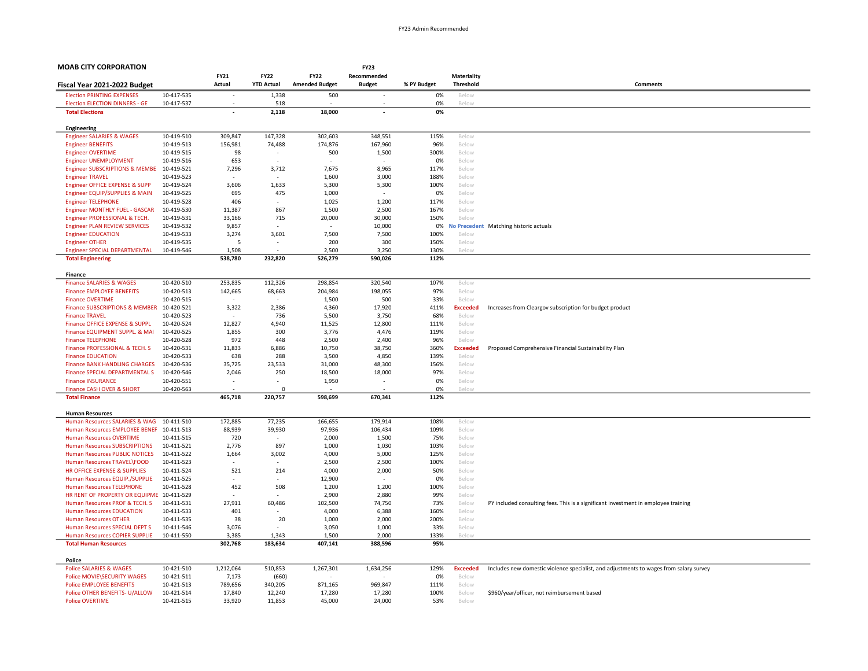| <b>MOAB CITY CORPORATION</b>                                    |                          |                   |                          |                       | <b>FY23</b>              |              |                 |                                                                                        |
|-----------------------------------------------------------------|--------------------------|-------------------|--------------------------|-----------------------|--------------------------|--------------|-----------------|----------------------------------------------------------------------------------------|
|                                                                 |                          | FY21              | <b>FY22</b>              | <b>FY22</b>           | Recommended              |              | Materiality     |                                                                                        |
| Fiscal Year 2021-2022 Budget                                    |                          | Actual            | <b>YTD Actual</b>        | <b>Amended Budget</b> | <b>Budget</b>            | % PY Budget  | Threshold       | Comments                                                                               |
| <b>Election PRINTING EXPENSES</b>                               | 10-417-535               |                   | 1,338                    | 500                   |                          | 0%           | Below           |                                                                                        |
| <b>Election ELECTION DINNERS - GE</b>                           | 10-417-537               |                   | 518                      |                       |                          | 0%           | Below           |                                                                                        |
| <b>Total Elections</b>                                          |                          |                   | 2,118                    | 18,000                | $\overline{\phantom{a}}$ | 0%           |                 |                                                                                        |
| Engineering                                                     |                          |                   |                          |                       |                          |              |                 |                                                                                        |
| <b>Engineer SALARIES &amp; WAGES</b>                            | 10-419-510               | 309,847           | 147,328                  | 302,603               | 348,551                  | 115%         | Below           |                                                                                        |
| <b>Engineer BENEFITS</b>                                        | 10-419-513               | 156,981           | 74,488                   | 174,876               | 167,960                  | 96%          | Below           |                                                                                        |
| <b>Engineer OVERTIME</b>                                        | 10-419-515               | 98                | $\overline{\phantom{a}}$ | 500                   | 1,500                    | 300%         | Below           |                                                                                        |
| <b>Engineer UNEMPLOYMENT</b>                                    | 10-419-516               | 653               |                          |                       |                          | 0%           | Below           |                                                                                        |
| <b>Engineer SUBSCRIPTIONS &amp; MEMBE</b>                       | 10-419-521               | 7,296             | 3,712                    | 7,675                 | 8,965                    | 117%         | Below           |                                                                                        |
| <b>Engineer TRAVEL</b>                                          | 10-419-523               | $\sim$            | -                        | 1,600                 | 3,000                    | 188%         | Below           |                                                                                        |
| Engineer OFFICE EXPENSE & SUPP                                  | 10-419-524               | 3,606             | 1,633                    | 5,300                 | 5,300                    | 100%         | Below           |                                                                                        |
| Engineer EQUIP/SUPPLIES & MAIN                                  | 10-419-525               | 695               | 475                      | 1,000                 |                          | 0%           | Below           |                                                                                        |
| <b>Engineer TELEPHONE</b>                                       | 10-419-528               | 406               |                          | 1,025                 | 1,200                    | 117%         | Below           |                                                                                        |
| Engineer MONTHLY FUEL - GASCAR<br>Engineer PROFESSIONAL & TECH. | 10-419-530<br>10-419-531 | 11,387<br>33,166  | 867<br>715               | 1,500<br>20,000       | 2,500<br>30,000          | 167%<br>150% | Below<br>Below  |                                                                                        |
| <b>Engineer PLAN REVIEW SERVICES</b>                            | 10-419-532               | 9,857             |                          | ÷                     | 10,000                   | 0%           |                 | No Precedent Matching historic actuals                                                 |
| <b>Engineer EDUCATION</b>                                       | 10-419-533               | 3,274             | 3,601                    | 7,500                 | 7,500                    | 100%         | Below           |                                                                                        |
| <b>Engineer OTHER</b>                                           | 10-419-535               | 5                 | ÷.                       | 200                   | 300                      | 150%         | Below           |                                                                                        |
| <b>Engineer SPECIAL DEPARTMENTAL</b>                            | 10-419-546               | 1,508             |                          | 2.500                 | 3.250                    | 130%         | Below           |                                                                                        |
| <b>Total Engineering</b>                                        |                          | 538,780           | 232,820                  | 526,279               | 590,026                  | 112%         |                 |                                                                                        |
|                                                                 |                          |                   |                          |                       |                          |              |                 |                                                                                        |
| Finance                                                         |                          |                   |                          |                       |                          |              |                 |                                                                                        |
| <b>Finance SALARIES &amp; WAGES</b>                             | 10-420-510               | 253,835           | 112,326                  | 298,854               | 320,540                  | 107%         | Below           |                                                                                        |
| <b>Finance EMPLOYEE BENEFITS</b><br><b>Finance OVERTIME</b>     | 10-420-513<br>10-420-515 | 142,665<br>$\sim$ | 68,663<br>÷              | 204,984               | 198,055<br>500           | 97%<br>33%   | Below<br>Below  |                                                                                        |
| Finance SUBSCRIPTIONS & MEMBER 10-420-521                       |                          | 3,322             | 2,386                    | 1,500<br>4,360        | 17,920                   | 411%         | <b>Exceeded</b> | Increases from Cleargov subscription for budget product                                |
| <b>Finance TRAVEL</b>                                           | 10-420-523               |                   | 736                      | 5,500                 | 3,750                    | 68%          | Below           |                                                                                        |
| Finance OFFICE EXPENSE & SUPPL                                  | 10-420-524               | 12,827            | 4,940                    | 11,525                | 12,800                   | 111%         | Below           |                                                                                        |
| Finance EQUIPMENT SUPPL. & MAI                                  | 10-420-525               | 1,855             | 300                      | 3,776                 | 4,476                    | 119%         | Below           |                                                                                        |
| <b>Finance TELEPHONE</b>                                        | 10-420-528               | 972               | 448                      | 2,500                 | 2,400                    | 96%          | Below           |                                                                                        |
| Finance PROFESSIONAL & TECH. S                                  | 10-420-531               | 11,833            | 6.886                    | 10,750                | 38,750                   | 360%         | <b>Exceeded</b> | Proposed Comprehensive Financial Sustainability Plan                                   |
| <b>Finance EDUCATION</b>                                        | 10-420-533               | 638               | 288                      | 3,500                 | 4,850                    | 139%         | Below           |                                                                                        |
| <b>Finance BANK HANDLING CHARGES</b>                            | 10-420-536               | 35,725            | 23,533                   | 31,000                | 48,300                   | 156%         | Below           |                                                                                        |
| Finance SPECIAL DEPARTMENTAL S                                  | 10-420-546               | 2,046             | 250                      | 18,500                | 18,000                   | 97%          | Below           |                                                                                        |
| <b>Finance INSURANCE</b>                                        | 10-420-551               |                   |                          | 1,950                 |                          | 0%           | Below           |                                                                                        |
| Finance CASH OVER & SHORT<br><b>Total Finance</b>               | 10-420-563               | 465,718           | $\mathbf 0$<br>220,757   | 598,699               | 670,341                  | 0%<br>112%   | Below           |                                                                                        |
|                                                                 |                          |                   |                          |                       |                          |              |                 |                                                                                        |
| <b>Human Resources</b>                                          |                          |                   |                          |                       |                          |              |                 |                                                                                        |
| Human Resources SALARIES & WAG                                  | 10-411-510               | 172,885           | 77,235                   | 166,655               | 179,914                  | 108%         | Below           |                                                                                        |
| Human Resources EMPLOYEE BENEF 10-411-513                       |                          | 88,939            | 39,930                   | 97,936                | 106,434                  | 109%         | Below           |                                                                                        |
| <b>Human Resources OVERTIME</b>                                 | 10-411-515               | 720               | $\sim$                   | 2,000                 | 1,500                    | 75%          | Below           |                                                                                        |
| <b>Human Resources SUBSCRIPTIONS</b>                            | 10-411-521               | 2,776             | 897                      | 1,000                 | 1,030                    | 103%         | Below           |                                                                                        |
| Human Resources PUBLIC NOTICES<br>Human Resources TRAVEL\FOOD   | 10-411-522<br>10-411-523 | 1,664             | 3,002                    | 4,000<br>2.500        | 5,000<br>2,500           | 125%<br>100% | Below<br>Below  |                                                                                        |
| HR OFFICE EXPENSE & SUPPLIES                                    | 10-411-524               | 521               | 214                      | 4,000                 | 2,000                    | 50%          | Below           |                                                                                        |
| Human Resources EQUIP./SUPPLIE                                  | 10-411-525               |                   |                          | 12,900                |                          | 0%           | Below           |                                                                                        |
| <b>Human Resources TELEPHONE</b>                                | 10-411-528               | 452               | 508                      | 1,200                 | 1,200                    | 100%         | Below           |                                                                                        |
| HR RENT OF PROPERTY OR EQUIPME 10-411-529                       |                          |                   |                          | 2,900                 | 2,880                    | 99%          | Below           |                                                                                        |
| Human Resources PROF & TECH. S                                  | 10-411-531               | 27,911            | 60,486                   | 102,500               | 74,750                   | 73%          | Below           | PY included consulting fees. This is a significant investment in employee training     |
| <b>Human Resources EDUCATION</b>                                | 10-411-533               | 401               |                          | 4,000                 | 6,388                    | 160%         | Below           |                                                                                        |
| <b>Human Resources OTHER</b>                                    | 10-411-535               | 38                | 20                       | 1,000                 | 2,000                    | 200%         | Below           |                                                                                        |
| Human Resources SPECIAL DEPT S                                  | 10-411-546               | 3,076             |                          | 3,050                 | 1,000                    | 33%          | Below           |                                                                                        |
| Human Resources COPIER SUPPLIE<br><b>Total Human Resources</b>  | 10-411-550               | 3,385<br>302,768  | 1,343<br>183,634         | 1,500<br>407,141      | 2,000<br>388,596         | 133%<br>95%  | Below           |                                                                                        |
|                                                                 |                          |                   |                          |                       |                          |              |                 |                                                                                        |
| Police                                                          |                          |                   |                          |                       |                          |              |                 |                                                                                        |
| <b>Police SALARIES &amp; WAGES</b>                              | 10-421-510               | 1,212,064         | 510,853                  | 1,267,301             | 1,634,256                | 129%         | <b>Exceeded</b> | Includes new domestic violence specialist, and adjustments to wages from salary survey |
| Police MOVIE\SECURITY WAGES                                     | 10-421-511               | 7,173             | (660)                    |                       |                          | 0%           | Below           |                                                                                        |
| <b>Police EMPLOYEE BENEFITS</b>                                 | 10-421-513               | 789,656           | 340,205                  | 871,165               | 969,847                  | 111%         | Below           |                                                                                        |
| Police OTHER BENEFITS- U/ALLOW                                  | 10-421-514               | 17,840            | 12,240                   | 17,280                | 17,280                   | 100%         | Below           | \$960/year/officer, not reimbursement based                                            |
| <b>Police OVERTIME</b>                                          | 10-421-515               | 33,920            | 11,853                   | 45,000                | 24,000                   | 53%          | Below           |                                                                                        |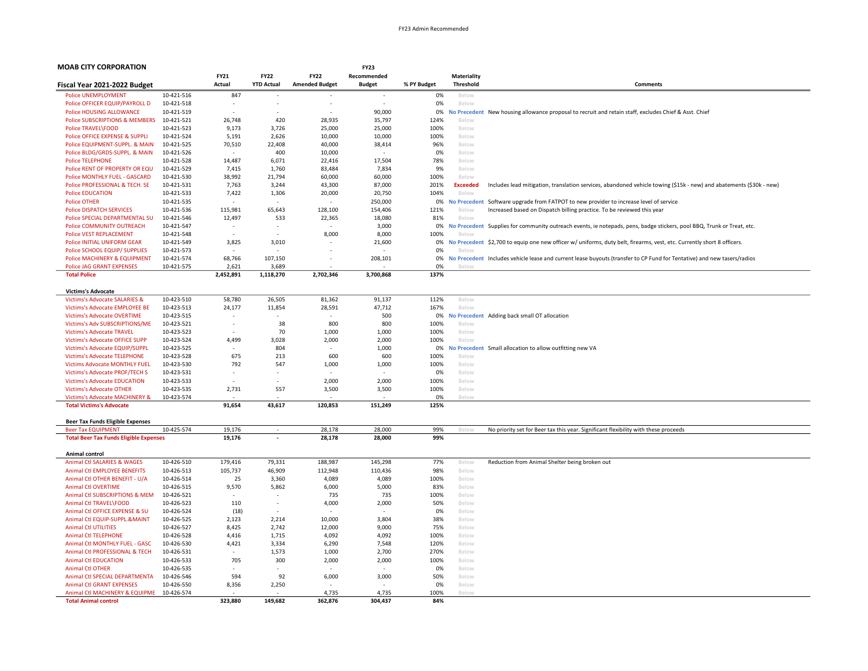| <b>MOAB CITY CORPORATION</b>                                                |                          |                          |                   |                          | <b>FY23</b>      |              |                          |                                                                                                                         |
|-----------------------------------------------------------------------------|--------------------------|--------------------------|-------------------|--------------------------|------------------|--------------|--------------------------|-------------------------------------------------------------------------------------------------------------------------|
|                                                                             |                          | <b>FY21</b>              | <b>FY22</b>       | <b>FY22</b>              | Recommended      |              | Materiality              |                                                                                                                         |
| Fiscal Year 2021-2022 Budget                                                |                          | Actual                   | <b>YTD Actual</b> | <b>Amended Budget</b>    | <b>Budget</b>    | % PY Budget  | <b>Threshold</b>         | <b>Comments</b>                                                                                                         |
| <b>Police UNEMPLOYMENT</b>                                                  | 10-421-516               | 847                      |                   |                          |                  | 0%           | Below                    |                                                                                                                         |
| Police OFFICER EQUIP/PAYROLL D                                              | 10-421-518               |                          |                   |                          |                  | 0%           | Below                    |                                                                                                                         |
| Police HOUSING ALLOWANCE                                                    | 10-421-519               |                          |                   |                          | 90,000           | 0%           | <b>No Precedent</b>      | New housing allowance proposal to recruit and retain staff, excludes Chief & Asst. Chief                                |
| <b>Police SUBSCRIPTIONS &amp; MEMBERS</b>                                   | 10-421-521               | 26,748                   | 420               | 28,935                   | 35,797           | 124%         | Below                    |                                                                                                                         |
| Police TRAVEL\FOOD                                                          | 10-421-523               | 9,173                    | 3,726             | 25,000                   | 25,000           | 100%         | Below                    |                                                                                                                         |
| Police OFFICE EXPENSE & SUPPLI                                              | 10-421-524               | 5,191                    | 2,626             | 10,000                   | 10,000           | 100%         | Below                    |                                                                                                                         |
| Police EQUIPMENT-SUPPL. & MAIN                                              | 10-421-525               | 70,510                   | 22,408            | 40,000                   | 38,414           | 96%          | Below                    |                                                                                                                         |
| Police BLDG/GRDS-SUPPL, & MAIN                                              | 10-421-526               |                          | 400               | 10,000                   |                  | 0%           | Below                    |                                                                                                                         |
| <b>Police TELEPHONE</b>                                                     | 10-421-528               | 14,487                   | 6,071             | 22,416                   | 17,504           | 78%          | Below                    |                                                                                                                         |
| Police RENT OF PROPERTY OR EQU                                              | 10-421-529               | 7,415                    | 1,760             | 83,484                   | 7,834            | 9%           | Below                    |                                                                                                                         |
| Police MONTHLY FUEL - GASCARD                                               | 10-421-530               | 38,992                   | 21,794            | 60,000                   | 60,000           | 100%         | Below                    |                                                                                                                         |
| Police PROFESSIONAL & TECH. SE<br><b>Police EDUCATION</b>                   | 10-421-531<br>10-421-533 | 7,763<br>7,422           | 3,244             | 43,300<br>20,000         | 87,000<br>20,750 | 201%<br>104% | <b>Exceeded</b><br>Below | Includes lead mitigation, translation services, abandoned vehicle towing (\$15k - new) and abatements (\$30k - new)     |
| <b>Police OTHER</b>                                                         |                          |                          | 1,306             |                          | 250,000          |              |                          | No Precedent Software upgrade from FATPOT to new provider to increase level of service                                  |
| <b>Police DISPATCH SERVICES</b>                                             | 10-421-535<br>10-421-536 | 115,981                  | 65,643            | 128.100                  | 154,406          | 0%<br>121%   | Below                    | Increased based on Dispatch billing practice. To be reviewed this year                                                  |
| Police SPECIAL DEPARTMENTAL SU                                              | 10-421-546               | 12,497                   | 533               | 22,365                   | 18,080           | 81%          | Below                    |                                                                                                                         |
| Police COMMUNITY OUTREACH                                                   | 10-421-547               | $\overline{\phantom{a}}$ |                   |                          | 3,000            | 0%           |                          | No Precedent Supplies for community outreach events, ie notepads, pens, badge stickers, pool BBQ, Trunk or Treat, etc.  |
| <b>Police VEST REPLACEMENT</b>                                              | 10-421-548               |                          |                   | 8,000                    | 8,000            | 100%         | Beloy                    |                                                                                                                         |
| Police INITIAL UNIFORM GEAR                                                 | 10-421-549               | 3,825                    | 3,010             |                          | 21,600           | 0%           |                          | No Precedent \$2,700 to equip one new officer w/ uniforms, duty belt, firearms, vest, etc. Currently short 8 officers.  |
| Police SCHOOL EQUIP/ SUPPLIES                                               | 10-421-573               | $\overline{\phantom{a}}$ | $\sim$            |                          |                  | 0%           | Below                    |                                                                                                                         |
| Police MACHINERY & EQUIPMENT                                                | 10-421-574               | 68,766                   | 107,150           |                          | 208,101          | 0%           |                          | No Precedent Includes vehicle lease and current lease buyouts (transfer to CP Fund for Tentative) and new tasers/radios |
| <b>Police JAG GRANT EXPENSES</b>                                            | 10-421-575               | 2,621                    | 3,689             |                          |                  | 0%           |                          |                                                                                                                         |
| <b>Total Police</b>                                                         |                          | 2,452,891                | 1,118,270         | 2,702,346                | 3,700,868        | 137%         |                          |                                                                                                                         |
|                                                                             |                          |                          |                   |                          |                  |              |                          |                                                                                                                         |
| <b>Victims's Advocate</b>                                                   |                          |                          |                   |                          |                  |              |                          |                                                                                                                         |
| <b>Victims's Advocate SALARIES &amp;</b>                                    | 10-423-510               | 58,780                   | 26,505            | 81,362                   | 91,137           | 112%         | Below                    |                                                                                                                         |
| Victims's Advocate EMPLOYEE BE                                              | 10-423-513               | 24,177                   | 11,854            | 28,591                   | 47,712           | 167%         | Below                    |                                                                                                                         |
| <b>Victims's Advocate OVERTIME</b>                                          | 10-423-515               | ٠                        | $\sim$            | $\overline{\phantom{a}}$ | 500              | 0%           |                          | No Precedent Adding back small OT allocation                                                                            |
| Victims's Adv SUBSCRIPTIONS/ME                                              | 10-423-521               | ÷,                       | 38                | 800                      | 800              | 100%         | Below                    |                                                                                                                         |
| <b>Victims's Advocate TRAVEL</b>                                            | 10-423-523               |                          | 70                | 1,000                    | 1,000            | 100%         | Below                    |                                                                                                                         |
| <b>Victims's Advocate OFFICE SUPP</b>                                       | 10-423-524               | 4,499                    | 3,028             | 2,000                    | 2,000            | 100%         | Below                    |                                                                                                                         |
| Victims's Advocate EQUIP/SUPPL                                              | 10-423-525               | 675                      | 804               | 600                      | 1,000            | 0%<br>100%   |                          | No Precedent Small allocation to allow outfitting new VA                                                                |
| <b>Victims's Advocate TELEPHONE</b><br><b>Victims Advocate MONTHLY FUEL</b> | 10-423-528<br>10-423-530 | 792                      | 213<br>547        | 1,000                    | 600<br>1,000     | 100%         | Below<br>Below           |                                                                                                                         |
| Victims's Advocate PROF/TECH S                                              | 10-423-531               | ٠                        |                   |                          |                  | 0%           | Below                    |                                                                                                                         |
| <b>Victims's Advocate EDUCATION</b>                                         | 10-423-533               |                          |                   | 2,000                    | 2,000            | 100%         | Below                    |                                                                                                                         |
| <b>Victims's Advocate OTHER</b>                                             | 10-423-535               | 2,731                    | 557               | 3,500                    | 3,500            | 100%         | Below                    |                                                                                                                         |
| <b>Victims's Advocate MACHINERY &amp;</b>                                   | 10-423-574               |                          |                   |                          |                  | 0%           | Beloy                    |                                                                                                                         |
| <b>Total Victims's Advocate</b>                                             |                          | 91,654                   | 43,617            | 120,853                  | 151,249          | 125%         |                          |                                                                                                                         |
|                                                                             |                          |                          |                   |                          |                  |              |                          |                                                                                                                         |
| <b>Beer Tax Funds Eligible Expenses</b>                                     |                          |                          |                   |                          |                  |              |                          |                                                                                                                         |
| <b>Beer Tax EQUIPMENT</b>                                                   | 10-425-574               | 19,176                   |                   | 28,178                   | 28,000           | 99%          | Below                    | No priority set for Beer tax this year. Significant flexibility with these proceeds                                     |
| <b>Total Beer Tax Funds Eligible Expenses</b>                               |                          | 19,176                   |                   | 28,178                   | 28,000           | 99%          |                          |                                                                                                                         |
| Animal control                                                              |                          |                          |                   |                          |                  |              |                          |                                                                                                                         |
| <b>Animal Ctl SALARIES &amp; WAGES</b>                                      | 10-426-510               | 179,416                  | 79,331            | 188,987                  | 145,298          | 77%          | Below                    | Reduction from Animal Shelter being broken out                                                                          |
| <b>Animal Ctl EMPLOYEE BENEFITS</b>                                         | 10-426-513               | 105,737                  | 46,909            | 112,948                  | 110,436          | 98%          | Below                    |                                                                                                                         |
| Animal Ctl OTHER BENEFIT - U/A                                              | 10-426-514               | 25                       | 3,360             | 4,089                    | 4,089            | 100%         | Below                    |                                                                                                                         |
| <b>Animal Ctl OVERTIME</b>                                                  | 10-426-515               | 9,570                    | 5,862             | 6,000                    | 5,000            | 83%          | Below                    |                                                                                                                         |
| Animal Ctl SUBSCRIPTIONS & MEM                                              | 10-426-521               |                          |                   | 735                      | 735              | 100%         | Below                    |                                                                                                                         |
| Animal Ctl TRAVEL\FOOD                                                      | 10-426-523               | 110                      | $\sim$            | 4,000                    | 2,000            | 50%          | Below                    |                                                                                                                         |
| Animal Ctl OFFICE EXPENSE & SU                                              | 10-426-524               | (18)                     |                   |                          |                  | 0%           | Below                    |                                                                                                                         |
| Animal Ctl EQUIP-SUPPL.&MAINT                                               | 10-426-525               | 2,123                    | 2,214             | 10,000                   | 3,804            | 38%          | Below                    |                                                                                                                         |
| <b>Animal Ctl UTILITIES</b>                                                 | 10-426-527               | 8,425                    | 2,742             | 12,000                   | 9,000            | 75%          | Below                    |                                                                                                                         |
| <b>Animal Ctl TELEPHONE</b>                                                 | 10-426-528               | 4,416                    | 1,715             | 4,092                    | 4,092            | 100%         | Below                    |                                                                                                                         |
| Animal Ctl MONTHLY FUEL - GASC                                              | 10-426-530               | 4,421                    | 3,334             | 6,290                    | 7,548            | 120%         | Below                    |                                                                                                                         |
| Animal Ctl PROFESSIONAL & TECH                                              | 10-426-531               |                          | 1,573             | 1,000                    | 2,700            | 270%         | Below                    |                                                                                                                         |
| <b>Animal Ctl EDUCATION</b>                                                 | 10-426-533               | 705                      | 300               | 2,000                    | 2,000            | 100%         | Below                    |                                                                                                                         |
| <b>Animal Ctl OTHER</b>                                                     | 10-426-535               |                          |                   |                          |                  | 0%           | Below                    |                                                                                                                         |
| Animal Ctl SPECIAL DEPARTMENTA                                              | 10-426-546               | 594                      | 92                | 6,000                    | 3,000            | 50%          | Below                    |                                                                                                                         |
| <b>Animal Ctl GRANT EXPENSES</b>                                            | 10-426-550               | 8,356                    | 2,250             |                          |                  | 0%           | Below                    |                                                                                                                         |
| Animal Ctl MACHINERY & EQUIPME                                              | 10-426-574               |                          |                   | 4,735                    | 4,735            | 100%         |                          |                                                                                                                         |

Total Animal control 149,682 362,876 304,437 364%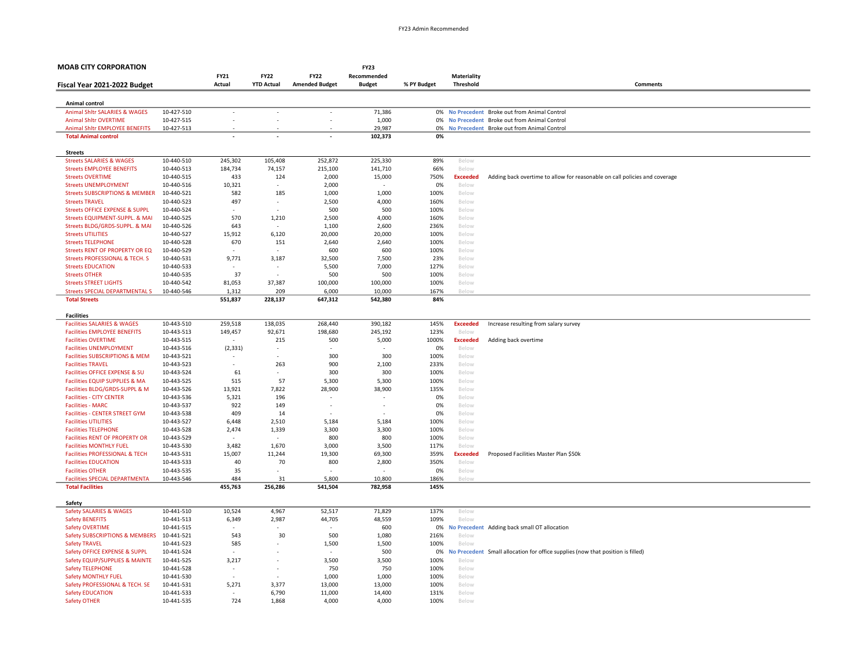| <b>MOAB CITY CORPORATION</b>                                                |                          |                          |                          |                          | <b>FY23</b>              |              |                          |                                                                                 |
|-----------------------------------------------------------------------------|--------------------------|--------------------------|--------------------------|--------------------------|--------------------------|--------------|--------------------------|---------------------------------------------------------------------------------|
|                                                                             |                          | FY21                     | <b>FY22</b>              | <b>FY22</b>              | Recommended              |              | <b>Materiality</b>       |                                                                                 |
| Fiscal Year 2021-2022 Budget                                                |                          | Actual                   | <b>YTD Actual</b>        | <b>Amended Budget</b>    | <b>Budget</b>            | % PY Budget  | <b>Threshold</b>         | <b>Comments</b>                                                                 |
| Animal control                                                              |                          |                          |                          |                          |                          |              |                          |                                                                                 |
| Animal Shltr SALARIES & WAGES                                               | 10-427-510               | $\overline{\phantom{a}}$ | $\overline{\phantom{a}}$ | $\overline{\phantom{a}}$ | 71,386                   |              |                          | 0% No Precedent Broke out from Animal Control                                   |
| <b>Animal Shltr OVERTIME</b>                                                | 10-427-515               |                          |                          |                          | 1,000                    |              |                          | 0% No Precedent Broke out from Animal Control                                   |
| Animal Shltr EMPLOYEE BENEFITS                                              | 10-427-513               |                          |                          |                          | 29,987                   |              |                          | 0% No Precedent Broke out from Animal Control                                   |
| <b>Total Animal control</b>                                                 |                          |                          |                          |                          | 102,373                  | 0%           |                          |                                                                                 |
|                                                                             |                          |                          |                          |                          |                          |              |                          |                                                                                 |
| <b>Streets</b><br><b>Streets SALARIES &amp; WAGES</b>                       | 10-440-510               | 245,302                  | 105,408                  | 252,872                  | 225,330                  | 89%          | Below                    |                                                                                 |
| <b>Streets EMPLOYEE BENEFITS</b>                                            | 10-440-513               | 184,734                  | 74,157                   | 215,100                  | 141,710                  | 66%          | Below                    |                                                                                 |
| <b>Streets OVERTIME</b>                                                     | 10-440-515               | 433                      | 124                      | 2,000                    | 15,000                   | 750%         | <b>Exceeded</b>          | Adding back overtime to allow for reasonable on call policies and coverage      |
| <b>Streets UNEMPLOYMENT</b>                                                 | 10-440-516               | 10,321                   | ÷,                       | 2,000                    |                          | 0%           | Below                    |                                                                                 |
| <b>Streets SUBSCRIPTIONS &amp; MEMBER</b>                                   | 10-440-521               | 582                      | 185                      | 1,000                    | 1,000                    | 100%         | Below                    |                                                                                 |
| <b>Streets TRAVEL</b>                                                       | 10-440-523               | 497                      | $\overline{\phantom{a}}$ | 2,500                    | 4,000                    | 160%         | Below                    |                                                                                 |
| <b>Streets OFFICE EXPENSE &amp; SUPPL</b>                                   | 10-440-524               |                          |                          | 500                      | 500                      | 100%         | Below                    |                                                                                 |
| Streets EQUIPMENT-SUPPL. & MAI<br>Streets BLDG/GRDS-SUPPL. & MAI            | 10-440-525<br>10-440-526 | 570<br>643               | 1,210                    | 2,500<br>1,100           | 4,000<br>2,600           | 160%<br>236% | Below<br>Below           |                                                                                 |
| <b>Streets UTILITIES</b>                                                    | 10-440-527               | 15,912                   | 6,120                    | 20,000                   | 20,000                   | 100%         | Below                    |                                                                                 |
| <b>Streets TELEPHONE</b>                                                    | 10-440-528               | 670                      | 151                      | 2,640                    | 2,640                    | 100%         | Below                    |                                                                                 |
| <b>Streets RENT OF PROPERTY OR EQ</b>                                       | 10-440-529               |                          |                          | 600                      | 600                      | 100%         | Below                    |                                                                                 |
| Streets PROFESSIONAL & TECH. S                                              | 10-440-531               | 9,771                    | 3,187                    | 32,500                   | 7,500                    | 23%          | Below                    |                                                                                 |
| <b>Streets EDUCATION</b>                                                    | 10-440-533               |                          |                          | 5,500                    | 7,000                    | 127%         | Below                    |                                                                                 |
| <b>Streets OTHER</b>                                                        | 10-440-535               | 37                       | $\overline{\phantom{a}}$ | 500                      | 500                      | 100%         | Below                    |                                                                                 |
| <b>Streets STREET LIGHTS</b>                                                | 10-440-542               | 81,053                   | 37,387                   | 100,000                  | 100,000                  | 100%         | Below                    |                                                                                 |
| <b>Streets SPECIAL DEPARTMENTAL S</b>                                       | 10-440-546               | 1,312<br>551,837         | 209<br>228,137           | 6,000<br>647,312         | 10,000<br>542,380        | 167%<br>84%  | Below                    |                                                                                 |
| <b>Total Streets</b>                                                        |                          |                          |                          |                          |                          |              |                          |                                                                                 |
| <b>Facilities</b>                                                           |                          |                          |                          |                          |                          |              |                          |                                                                                 |
| <b>Facilities SALARIES &amp; WAGES</b>                                      | 10-443-510               | 259,518                  | 138,035                  | 268,440                  | 390,182                  | 145%         | <b>Exceeded</b>          | Increase resulting from salary survey                                           |
| <b>Facilities EMPLOYEE BENEFITS</b>                                         | 10-443-513               | 149,457                  | 92,671                   | 198,680                  | 245,192                  | 123%         | Below                    |                                                                                 |
| <b>Facilities OVERTIME</b>                                                  | 10-443-515               | $\overline{\phantom{a}}$ | 215                      | 500                      | 5,000                    | 1000%        | <b>Exceeded</b>          | Adding back overtime                                                            |
| <b>Facilities UNEMPLOYMENT</b>                                              | 10-443-516               | (2, 331)                 | $\overline{a}$           |                          |                          | 0%           | Below                    |                                                                                 |
| <b>Facilities SUBSCRIPTIONS &amp; MEM</b>                                   | 10-443-521               | $\overline{\phantom{a}}$ | 263                      | 300                      | 300                      | 100%         | Below                    |                                                                                 |
| <b>Facilities TRAVEL</b><br><b>Facilities OFFICE EXPENSE &amp; SU</b>       | 10-443-523<br>10-443-524 | 61                       | ٠                        | 900<br>300               | 2,100<br>300             | 233%<br>100% | Below<br>Below           |                                                                                 |
| Facilities EQUIP SUPPLIES & MA                                              | 10-443-525               | 515                      | 57                       | 5,300                    | 5,300                    | 100%         | Below                    |                                                                                 |
| Facilities BLDG/GRDS-SUPPL & M                                              | 10-443-526               | 13,921                   | 7,822                    | 28,900                   | 38,900                   | 135%         | Below                    |                                                                                 |
| <b>Facilities - CITY CENTER</b>                                             | 10-443-536               | 5,321                    | 196                      | L,                       |                          | 0%           | Below                    |                                                                                 |
| <b>Facilities - MARC</b>                                                    | 10-443-537               | 922                      | 149                      | $\overline{\phantom{a}}$ | $\overline{\phantom{a}}$ | 0%           | Below                    |                                                                                 |
| <b>Facilities - CENTER STREET GYM</b>                                       | 10-443-538               | 409                      | 14                       |                          |                          | 0%           | Below                    |                                                                                 |
| <b>Facilities UTILITIES</b>                                                 | 10-443-527               | 6,448                    | 2,510                    | 5,184                    | 5,184                    | 100%         | Below                    |                                                                                 |
| <b>Facilities TELEPHONE</b>                                                 | 10-443-528               | 2,474                    | 1,339                    | 3,300                    | 3,300                    | 100%         | Below                    |                                                                                 |
| <b>Facilities RENT OF PROPERTY OR</b>                                       | 10-443-529               |                          | 1,670                    | 800<br>3,000             | 800                      | 100%         | Below                    |                                                                                 |
| <b>Facilities MONTHLY FUEL</b><br><b>Facilities PROFESSIONAL &amp; TECH</b> | 10-443-530<br>10-443-531 | 3,482<br>15,007          | 11,244                   | 19,300                   | 3,500<br>69,300          | 117%<br>359% | Below<br><b>Exceeded</b> | Proposed Facilities Master Plan \$50k                                           |
| <b>Facilities EDUCATION</b>                                                 | 10-443-533               | 40                       | 70                       | 800                      | 2,800                    | 350%         | Below                    |                                                                                 |
| <b>Facilities OTHER</b>                                                     | 10-443-535               | 35                       |                          |                          |                          | 0%           | Below                    |                                                                                 |
| <b>Facilities SPECIAL DEPARTMENTA</b>                                       | 10-443-546               | 484                      | 31                       | 5,800                    | 10,800                   | 186%         | Below                    |                                                                                 |
| <b>Total Facilities</b>                                                     |                          | 455,763                  | 256,286                  | 541,504                  | 782,958                  | 145%         |                          |                                                                                 |
| Safety                                                                      |                          |                          |                          |                          |                          |              |                          |                                                                                 |
| Safety SALARIES & WAGES                                                     | 10-441-510               | 10,524                   | 4,967                    | 52,517                   | 71,829                   | 137%         | Below                    |                                                                                 |
| <b>Safety BENEFITS</b>                                                      | 10-441-513               | 6,349                    | 2,987                    | 44,705                   | 48,559                   | 109%         | Below                    |                                                                                 |
| Safety OVERTIME                                                             | 10-441-515               |                          | ٠                        | $\overline{a}$           | 600                      | 0%           |                          | No Precedent Adding back small OT allocation                                    |
| Safety SUBSCRIPTIONS & MEMBERS                                              | 10-441-521               | 543                      | 30                       | 500                      | 1,080                    | 216%         | Below                    |                                                                                 |
| <b>Safety TRAVEL</b>                                                        | 10-441-523               | 585                      | ٠                        | 1,500                    | 1,500                    | 100%         | Below                    |                                                                                 |
| Safety OFFICE EXPENSE & SUPPL                                               | 10-441-524               |                          |                          |                          | 500                      | 0%           |                          | No Precedent Small allocation for office supplies (now that position is filled) |
| Safety EQUIP/SUPPLIES & MAINTE                                              | 10-441-525               | 3,217                    | ä,                       | 3,500                    | 3,500                    | 100%         | Below                    |                                                                                 |
| <b>Safety TELEPHONE</b><br>Safety MONTHLY FUEL                              | 10-441-528<br>10-441-530 | $\overline{\phantom{a}}$ |                          | 750<br>1,000             | 750                      | 100%<br>100% | Below<br>Below           |                                                                                 |
| Safety PROFESSIONAL & TECH. SE                                              | 10-441-531               | 5,271                    | 3,377                    | 13,000                   | 1,000<br>13,000          | 100%         | Below                    |                                                                                 |
| <b>Safety EDUCATION</b>                                                     | 10-441-533               |                          | 6,790                    | 11,000                   | 14,400                   | 131%         | Below                    |                                                                                 |
| Safety OTHER                                                                | 10-441-535               | 724                      | 1,868                    | 4,000                    | 4,000                    | 100%         | Below                    |                                                                                 |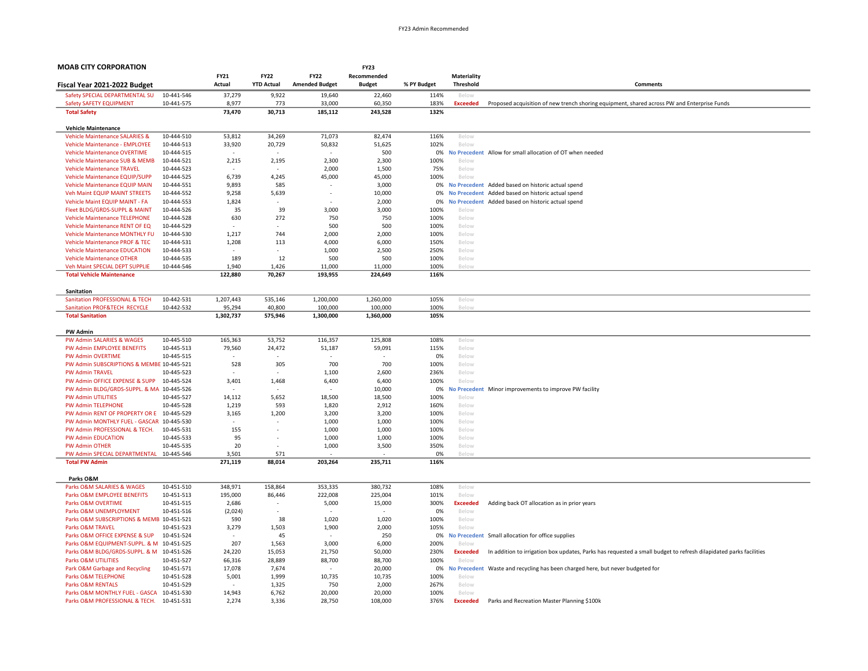| <b>MOAB CITY CORPORATION</b>                                             |                          |                          |                          |                          | <b>FY23</b>   |             |                              |                                                                                                                   |
|--------------------------------------------------------------------------|--------------------------|--------------------------|--------------------------|--------------------------|---------------|-------------|------------------------------|-------------------------------------------------------------------------------------------------------------------|
|                                                                          |                          | <b>FY21</b>              | <b>FY22</b>              | <b>FY22</b>              | Recommended   |             | Materiality                  |                                                                                                                   |
| Fiscal Year 2021-2022 Budget                                             |                          | Actual                   | <b>YTD Actual</b>        | <b>Amended Budget</b>    | <b>Budget</b> | % PY Budget | <b>Threshold</b>             | Comments                                                                                                          |
| Safety SPECIAL DEPARTMENTAL SU                                           | 10-441-546               | 37,279                   | 9,922                    | 19,640                   | 22,460        | 114%        | Below                        |                                                                                                                   |
| Safety SAFETY EQUIPMENT                                                  | 10-441-575               | 8.977                    | 773                      | 33,000                   | 60,350        | 183%        | <b>Exceeded</b>              | Proposed acquisition of new trench shoring equipment, shared across PW and Enterprise Funds                       |
| <b>Total Safety</b>                                                      |                          | 73,470                   | 30,713                   | 185,112                  | 243,528       | 132%        |                              |                                                                                                                   |
|                                                                          |                          |                          |                          |                          |               |             |                              |                                                                                                                   |
| <b>Vehicle Maintenance</b>                                               |                          |                          |                          |                          |               |             |                              |                                                                                                                   |
| <b>Vehicle Maintenance SALARIES &amp;</b>                                | 10-444-510               | 53,812                   | 34,269                   | 71,073                   | 82,474        | 116%        | Below                        |                                                                                                                   |
| Vehicle Maintenance - EMPLOYEE<br><b>Vehicle Maintenance OVERTIME</b>    | 10-444-513<br>10-444-515 | 33,920                   | 20,729                   | 50,832                   | 51,625<br>500 | 102%        | Below                        | 0% No Precedent Allow for small allocation of OT when needed                                                      |
| Vehicle Maintenance SUB & MEMB                                           | 10-444-521               | 2,215                    | 2,195                    | 2,300                    | 2,300         | 100%        | Below                        |                                                                                                                   |
| <b>Vehicle Maintenance TRAVEL</b>                                        | 10-444-523               | $\overline{\phantom{a}}$ |                          | 2,000                    | 1,500         | 75%         | Below                        |                                                                                                                   |
| Vehicle Maintenance EQUIP/SUPP                                           | 10-444-525               | 6,739                    | 4,245                    | 45,000                   | 45,000        | 100%        | Below                        |                                                                                                                   |
| Vehicle Maintenance EQUIP MAIN                                           | 10-444-551               | 9,893                    | 585                      |                          | 3,000         |             | 0% No Precedent              | Added based on historic actual spend                                                                              |
| Veh Maint EQUIP MAINT STREETS                                            | 10-444-552               | 9,258                    | 5,639                    | $\overline{\phantom{a}}$ | 10,000        | 0%          | <b>No Precedent</b>          | Added based on historic actual spend                                                                              |
| Vehicle Maint EQUIP MAINT - FA                                           | 10-444-553               | 1,824                    |                          |                          | 2,000         | 0%          | <b>No Precedent</b>          | Added based on historic actual spend                                                                              |
| Fleet BLDG/GRDS-SUPPL & MAINT                                            | 10-444-526               | 35                       | 39                       | 3,000                    | 3,000         | 100%        | Below                        |                                                                                                                   |
| <b>Vehicle Maintenance TELEPHONE</b>                                     | 10-444-528               | 630                      | 272                      | 750                      | 750           | 100%        | Below                        |                                                                                                                   |
| Vehicle Maintenance RENT OF EQ                                           | 10-444-529               |                          |                          | 500                      | 500           | 100%        | Below                        |                                                                                                                   |
| Vehicle Maintenance MONTHLY FU                                           | 10-444-530               | 1,217                    | 744                      | 2,000                    | 2,000         | 100%        | Below                        |                                                                                                                   |
| Vehicle Maintenance PROF & TEC                                           | 10-444-531               | 1,208                    | 113                      | 4,000                    | 6,000         | 150%        | Below                        |                                                                                                                   |
| <b>Vehicle Maintenance EDUCATION</b>                                     | 10-444-533               |                          |                          | 1,000                    | 2,500         | 250%        | Below                        |                                                                                                                   |
| <b>Vehicle Maintenance OTHER</b>                                         | 10-444-535               | 189                      | 12                       | 500                      | 500           | 100%        | Below                        |                                                                                                                   |
| Veh Maint SPECIAL DEPT SUPPLIE                                           | 10-444-546               | 1,940                    | 1,426                    | 11,000                   | 11,000        | 100%        | Below                        |                                                                                                                   |
| <b>Total Vehicle Maintenance</b>                                         |                          | 122,880                  | 70,267                   | 193,955                  | 224,649       | 116%        |                              |                                                                                                                   |
|                                                                          |                          |                          |                          |                          |               |             |                              |                                                                                                                   |
| Sanitation                                                               |                          |                          |                          |                          |               |             |                              |                                                                                                                   |
| Sanitation PROFESSIONAL & TECH                                           | 10-442-531               | 1,207,443                | 535,146                  | 1,200,000                | 1,260,000     | 105%        | Below                        |                                                                                                                   |
| Sanitation PROF&TECH RECYCLE                                             | 10-442-532               | 95,294                   | 40,800                   | 100,000                  | 100,000       | 100%        | Below                        |                                                                                                                   |
| <b>Total Sanitation</b>                                                  |                          | 1,302,737                | 575,946                  | 1,300,000                | 1,360,000     | 105%        |                              |                                                                                                                   |
| <b>PW Admin</b>                                                          |                          |                          |                          |                          |               |             |                              |                                                                                                                   |
| PW Admin SALARIES & WAGES                                                | 10-445-510               | 165,363                  | 53,752                   | 116,357                  | 125,808       | 108%        | Below                        |                                                                                                                   |
| PW Admin EMPLOYEE BENEFITS                                               | 10-445-513               | 79,560                   | 24,472                   | 51,187                   | 59,091        | 115%        | Below                        |                                                                                                                   |
| <b>PW Admin OVERTIME</b>                                                 | 10-445-515               |                          |                          |                          |               | 0%          | Below                        |                                                                                                                   |
| PW Admin SUBSCRIPTIONS & MEMBE 10-445-521                                |                          | 528                      | 305                      | 700                      | 700           | 100%        | Below                        |                                                                                                                   |
| <b>PW Admin TRAVEL</b>                                                   | 10-445-523               | ٠                        |                          | 1,100                    | 2,600         | 236%        | Below                        |                                                                                                                   |
| PW Admin OFFICE EXPENSE & SUPP                                           | 10-445-524               | 3,401                    | 1,468                    | 6,400                    | 6,400         | 100%        | Below                        |                                                                                                                   |
| PW Admin BLDG/GRDS-SUPPL. & MA 10-445-526                                |                          |                          |                          |                          | 10,000        | 0%          | <b>No Precedent</b>          | Minor improvements to improve PW facility                                                                         |
| <b>PW Admin UTILITIES</b>                                                | 10-445-527               | 14,112                   | 5,652                    | 18,500                   | 18,500        | 100%        | Below                        |                                                                                                                   |
| <b>PW Admin TELEPHONE</b>                                                | 10-445-528               | 1,219                    | 593                      | 1,820                    | 2,912         | 160%        | Below                        |                                                                                                                   |
| PW Admin RENT OF PROPERTY OR E 10-445-529                                |                          | 3,165                    | 1,200                    | 3,200                    | 3,200         | 100%        | Below                        |                                                                                                                   |
| PW Admin MONTHLY FUEL - GASCAR 10-445-530                                |                          |                          |                          | 1,000                    | 1,000         | 100%        | Below                        |                                                                                                                   |
| PW Admin PROFESSIONAL & TECH.                                            | 10-445-531               | 155                      |                          | 1,000                    | 1,000         | 100%        | Below                        |                                                                                                                   |
| <b>PW Admin EDUCATION</b>                                                | 10-445-533               | 95                       |                          | 1,000                    | 1,000         | 100%        | Below                        |                                                                                                                   |
| PW Admin OTHER                                                           | 10-445-535               | 20                       |                          | 1,000                    | 3,500         | 350%        | Below                        |                                                                                                                   |
| PW Admin SPECIAL DEPARTMENTAL 10-445-546                                 |                          | 3.501                    | 571                      |                          |               | 0%          | <b>Below</b>                 |                                                                                                                   |
| <b>Total PW Admin</b>                                                    |                          | 271,119                  | 88,014                   | 203,264                  | 235,711       | 116%        |                              |                                                                                                                   |
|                                                                          |                          |                          |                          |                          |               |             |                              |                                                                                                                   |
| Parks O&M                                                                |                          |                          |                          |                          |               |             |                              |                                                                                                                   |
| Parks O&M SALARIES & WAGES                                               | 10-451-510               | 348,971                  | 158,864                  | 353,335                  | 380,732       | 108%        | Below                        |                                                                                                                   |
| Parks O&M EMPLOYEE BENEFITS                                              | 10-451-513               | 195,000                  | 86,446                   | 222,008                  | 225,004       | 101%        | Below                        |                                                                                                                   |
| Parks O&M OVERTIME                                                       | 10-451-515               | 2,686                    |                          | 5,000                    | 15,000        | 300%        | <b>Exceeded</b>              | Adding back OT allocation as in prior years                                                                       |
| Parks O&M UNEMPLOYMENT                                                   | 10-451-516               | (2,024)                  | $\overline{\phantom{a}}$ |                          |               | 0%          | Below                        |                                                                                                                   |
| Parks O&M SUBSCRIPTIONS & MEMB 10-451-521<br><b>Parks O&amp;M TRAVEL</b> |                          | 590                      | 38                       | 1,020                    | 1,020         | 100%        | Below                        |                                                                                                                   |
| Parks O&M OFFICE EXPENSE & SUP                                           | 10-451-523<br>10-451-524 | 3,279                    | 1,503<br>45              | 1,900                    | 2,000<br>250  | 105%<br>0%  | Below<br><b>No Precedent</b> | Small allocation for office supplies                                                                              |
| Parks O&M EQUIPMENT-SUPPL. & M 10-451-525                                |                          | 207                      | 1,563                    | 3,000                    | 6,000         | 200%        | Below                        |                                                                                                                   |
| Parks O&M BLDG/GRDS-SUPPL. & M 10-451-526                                |                          | 24,220                   | 15,053                   | 21,750                   | 50,000        | 230%        | <b>Exceeded</b>              | In addition to irrigation box updates, Parks has requested a small budget to refresh dilapidated parks facilities |
| Parks O&M UTILITIES                                                      |                          | 66,316                   | 28,889                   | 88,700                   | 88,700        | 100%        |                              |                                                                                                                   |
| Park O&M Garbage and Recycling                                           | 10-451-527<br>10-451-571 | 17,078                   | 7,674                    |                          | 20,000        | 0%          | Below<br><b>No Precedent</b> | Waste and recycling has been charged here, but never budgeted for                                                 |
| Parks O&M TELEPHONE                                                      | 10-451-528               | 5,001                    | 1,999                    | 10,735                   | 10,735        | 100%        | Below                        |                                                                                                                   |
| Parks O&M RENTALS                                                        | 10-451-529               |                          | 1,325                    | 750                      | 2,000         | 267%        | Below                        |                                                                                                                   |
| Parks O&M MONTHLY FUEL - GASCA 10-451-530                                |                          | 14,943                   | 6,762                    | 20,000                   | 20,000        | 100%        | Below                        |                                                                                                                   |
| Parks O&M PROFESSIONAL & TECH. 10-451-531                                |                          | 2,274                    | 3,336                    | 28,750                   | 108,000       | 376%        | <b>Exceeded</b>              | Parks and Recreation Master Planning \$100k                                                                       |
|                                                                          |                          |                          |                          |                          |               |             |                              |                                                                                                                   |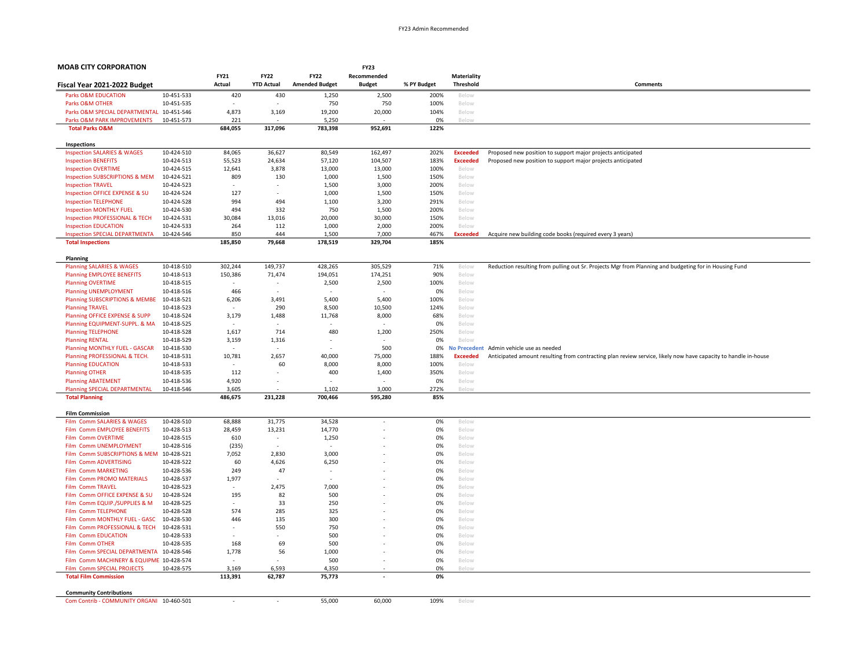| <b>MOAB CITY CORPORATION</b>                                                         |                          |                          |                          |                          | <b>FY23</b>              |              |                          |                                                                                                                |
|--------------------------------------------------------------------------------------|--------------------------|--------------------------|--------------------------|--------------------------|--------------------------|--------------|--------------------------|----------------------------------------------------------------------------------------------------------------|
|                                                                                      |                          | FY21                     | <b>FY22</b>              | <b>FY22</b>              | Recommended              |              | <b>Materiality</b>       |                                                                                                                |
| Fiscal Year 2021-2022 Budget                                                         |                          | Actual                   | <b>YTD Actual</b>        | <b>Amended Budget</b>    | <b>Budget</b>            | % PY Budget  | Threshold                | Comments                                                                                                       |
| <b>Parks O&amp;M EDUCATION</b>                                                       | 10-451-533               | 420                      | 430                      | 1,250                    | 2,500                    | 200%         | Below                    |                                                                                                                |
| Parks O&M OTHER                                                                      | 10-451-535               |                          |                          | 750                      | 750                      | 100%         | Below                    |                                                                                                                |
| Parks O&M SPECIAL DEPARTMENTAL 10-451-546                                            |                          | 4,873                    | 3,169                    | 19,200                   | 20,000                   | 104%         | Below                    |                                                                                                                |
| Parks O&M PARK IMPROVEMENTS                                                          | 10-451-573               | 221                      |                          | 5,250                    |                          | 0%           | Below                    |                                                                                                                |
| <b>Total Parks O&amp;M</b>                                                           |                          | 684,055                  | 317,096                  | 783,398                  | 952,691                  | 122%         |                          |                                                                                                                |
| Inspections                                                                          |                          |                          |                          |                          |                          |              |                          |                                                                                                                |
| <b>Inspection SALARIES &amp; WAGES</b>                                               | 10-424-510               | 84,065                   | 36,627                   | 80,549                   | 162,497                  | 202%         | <b>Exceeded</b>          | Proposed new position to support major projects anticipated                                                    |
| <b>Inspection BENEFITS</b>                                                           | 10-424-513               | 55,523                   | 24,634                   | 57,120                   | 104,507                  | 183%         | <b>Exceeded</b>          | Proposed new position to support major projects anticipated                                                    |
| <b>Inspection OVERTIME</b>                                                           | 10-424-515               | 12,641                   | 3,878                    | 13,000                   | 13,000                   | 100%         | Below                    |                                                                                                                |
| Inspection SUBSCRIPTIONS & MEM                                                       | 10-424-521               | 809                      | 130                      | 1,000                    | 1,500                    | 150%         | Below                    |                                                                                                                |
| <b>Inspection TRAVEL</b>                                                             | 10-424-523               |                          | $\overline{\phantom{a}}$ | 1,500                    | 3,000                    | 200%         | Below                    |                                                                                                                |
| Inspection OFFICE EXPENSE & SU                                                       | 10-424-524               | 127                      |                          | 1,000                    | 1,500                    | 150%         | Below                    |                                                                                                                |
| <b>Inspection TELEPHONE</b>                                                          | 10-424-528               | 994                      | 494                      | 1,100                    | 3,200                    | 291%         | Below                    |                                                                                                                |
| <b>Inspection MONTHLY FUEL</b>                                                       | 10-424-530               | 494                      | 332                      | 750                      | 1,500                    | 200%         | Below                    |                                                                                                                |
| Inspection PROFESSIONAL & TECH                                                       | 10-424-531               | 30,084                   | 13,016                   | 20,000                   | 30,000                   | 150%         | Below                    |                                                                                                                |
| <b>Inspection EDUCATION</b><br><b>Inspection SPECIAL DEPARTMENTA</b>                 | 10-424-533<br>10-424-546 | 264<br>850               | 112<br>444               | 1,000<br>1,500           | 2,000                    | 200%<br>467% | Below<br><b>Exceeded</b> |                                                                                                                |
| <b>Total Inspections</b>                                                             |                          | 185,850                  | 79,668                   | 178,519                  | 7,000<br>329,704         | 185%         |                          | Acquire new building code books (required every 3 years)                                                       |
|                                                                                      |                          |                          |                          |                          |                          |              |                          |                                                                                                                |
| Planning                                                                             |                          |                          |                          |                          |                          |              |                          |                                                                                                                |
| <b>Planning SALARIES &amp; WAGES</b><br><b>Planning EMPLOYEE BENEFITS</b>            | 10-418-510<br>10-418-513 | 302,244<br>150,386       | 149,737<br>71,474        | 428,265<br>194,051       | 305,529<br>174,251       | 71%<br>90%   | Below<br>Below           | Reduction resulting from pulling out Sr. Projects Mgr from Planning and budgeting for in Housing Fund          |
| <b>Planning OVERTIME</b>                                                             | 10-418-515               | $\overline{\phantom{a}}$ | $\sim$                   | 2,500                    | 2,500                    | 100%         | Below                    |                                                                                                                |
| <b>Planning UNEMPLOYMENT</b>                                                         | 10-418-516               | 466                      |                          |                          |                          | 0%           | Below                    |                                                                                                                |
| Planning SUBSCRIPTIONS & MEMBE                                                       | 10-418-521               | 6,206                    | 3,491                    | 5,400                    | 5,400                    | 100%         | Below                    |                                                                                                                |
| <b>Planning TRAVEL</b>                                                               | 10-418-523               |                          | 290                      | 8,500                    | 10,500                   | 124%         | Below                    |                                                                                                                |
| Planning OFFICE EXPENSE & SUPP                                                       | 10-418-524               | 3,179                    | 1,488                    | 11,768                   | 8,000                    | 68%          | Below                    |                                                                                                                |
| Planning EQUIPMENT-SUPPL. & MA                                                       | 10-418-525               |                          |                          |                          |                          | 0%           | Below                    |                                                                                                                |
| <b>Planning TELEPHONE</b>                                                            | 10-418-528               | 1,617                    | 714                      | 480                      | 1,200                    | 250%         | Below                    |                                                                                                                |
| <b>Planning RENTAL</b>                                                               | 10-418-529               | 3,159                    | 1,316                    |                          |                          | 0%           | Below                    |                                                                                                                |
| Planning MONTHLY FUEL - GASCAR                                                       | 10-418-530               |                          | $\sim$                   |                          | 500                      | 0%           | <b>No Precedent</b>      | Admin vehicle use as needed                                                                                    |
| Planning PROFESSIONAL & TECH.                                                        | 10-418-531               | 10,781                   | 2,657                    | 40,000                   | 75,000                   | 188%         | <b>Exceeded</b>          | Anticipated amount resulting from contracting plan review service, likely now have capacity to handle in-house |
| <b>Planning EDUCATION</b>                                                            | 10-418-533               | $\overline{\phantom{a}}$ | 60                       | 8,000                    | 8,000                    | 100%         | Below                    |                                                                                                                |
| <b>Planning OTHER</b>                                                                | 10-418-535               | 112                      |                          | 400                      | 1,400                    | 350%         | Below                    |                                                                                                                |
| <b>Planning ABATEMENT</b>                                                            | 10-418-536               | 4,920                    | $\overline{a}$           |                          |                          | 0%           | Below                    |                                                                                                                |
| Planning SPECIAL DEPARTMENTAL<br><b>Total Planning</b>                               | 10-418-546               | 3,605<br>486,675         | 231,228                  | 1.102<br>700,466         | 3.000<br>595,280         | 272%<br>85%  | Below                    |                                                                                                                |
|                                                                                      |                          |                          |                          |                          |                          |              |                          |                                                                                                                |
| <b>Film Commission</b>                                                               |                          |                          |                          |                          |                          |              |                          |                                                                                                                |
| Film Comm SALARIES & WAGES                                                           | 10-428-510               | 68,888                   | 31,775                   | 34,528                   | $\overline{\phantom{a}}$ | 0%           | Below                    |                                                                                                                |
| Film Comm EMPLOYEE BENEFITS<br>Film Comm OVERTIME                                    | 10-428-513<br>10-428-515 | 28,459<br>610            | 13,231<br>$\sim$         | 14,770<br>1,250          | $\overline{\phantom{a}}$ | 0%<br>0%     | Below<br>Below           |                                                                                                                |
| Film Comm UNEMPLOYMENT                                                               | 10-428-516               | (235)                    |                          |                          |                          | 0%           | Below                    |                                                                                                                |
| Film Comm SUBSCRIPTIONS & MEM                                                        | 10-428-521               | 7,052                    | 2,830                    | 3,000                    |                          | 0%           | Below                    |                                                                                                                |
| Film Comm ADVERTISING                                                                | 10-428-522               | 60                       | 4,626                    | 6,250                    |                          | 0%           | Below                    |                                                                                                                |
| Film Comm MARKETING                                                                  | 10-428-536               | 249                      | 47                       | $\overline{\phantom{a}}$ |                          | 0%           | Below                    |                                                                                                                |
| Film Comm PROMO MATERIALS                                                            | 10-428-537               | 1,977                    | $\overline{\phantom{a}}$ |                          |                          | 0%           | Below                    |                                                                                                                |
| Film Comm TRAVEL                                                                     | 10-428-523               | $\overline{\phantom{a}}$ | 2,475                    | 7,000                    |                          | 0%           | Below                    |                                                                                                                |
| Film Comm OFFICE EXPENSE & SU                                                        | 10-428-524               | 195                      | 82                       | 500                      |                          | 0%           | Below                    |                                                                                                                |
| Film Comm EQUIP./SUPPLIES & M                                                        | 10-428-525               |                          | 33                       | 250                      | $\overline{\phantom{a}}$ | 0%           | Below                    |                                                                                                                |
| Film Comm TELEPHONE                                                                  | 10-428-528               | 574                      | 285                      | 325                      |                          | 0%           | Below                    |                                                                                                                |
| Film Comm MONTHLY FUEL - GASC                                                        | 10-428-530               | 446                      | 135                      | 300                      |                          | 0%           | Below                    |                                                                                                                |
| Film Comm PROFESSIONAL & TECH                                                        | 10-428-531               |                          | 550                      | 750                      |                          | 0%           | Below                    |                                                                                                                |
| Film Comm EDUCATION                                                                  | 10-428-533               |                          | $\sim$                   | 500                      |                          | 0%           | Below                    |                                                                                                                |
| Film Comm OTHER                                                                      | 10-428-535               | 168<br>1,778             | 69                       | 500<br>1,000             | $\overline{\phantom{a}}$ | 0%<br>0%     | Below<br>Below           |                                                                                                                |
| Film Comm SPECIAL DEPARTMENTA 10-428-546<br>Film Comm MACHINERY & EQUIPME 10-428-574 |                          |                          | 56                       | 500                      |                          | 0%           | Below                    |                                                                                                                |
| Film Comm SPECIAL PROJECTS                                                           | 10-428-575               | 3,169                    | 6,593                    | 4,350                    |                          | 0%           | Below                    |                                                                                                                |
| <b>Total Film Commission</b>                                                         |                          | 113,391                  | 62,787                   | 75,773                   |                          | 0%           |                          |                                                                                                                |
|                                                                                      |                          |                          |                          |                          |                          |              |                          |                                                                                                                |
| <b>Community Contributions</b>                                                       |                          |                          |                          |                          |                          |              |                          |                                                                                                                |
| Com Contrib - COMMUNITY ORGANI 10-460-501                                            |                          |                          |                          | 55,000                   | 60,000                   | 109%         | Below                    |                                                                                                                |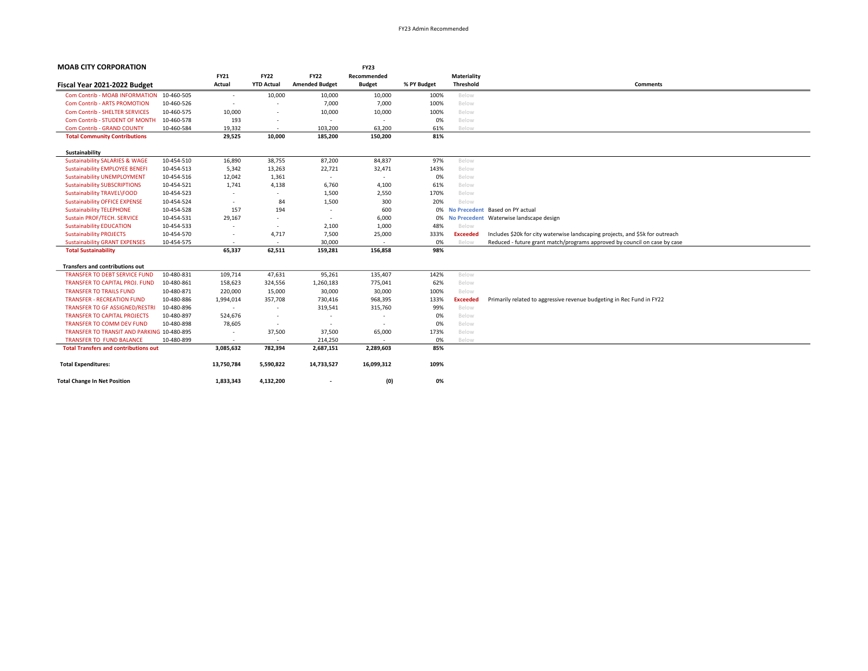| <b>MOAB CITY CORPORATION</b>                 |            |                          |                          |                          | <b>FY23</b>              |             |                 |                                                                               |
|----------------------------------------------|------------|--------------------------|--------------------------|--------------------------|--------------------------|-------------|-----------------|-------------------------------------------------------------------------------|
|                                              |            | <b>FY21</b>              | <b>FY22</b>              | <b>FY22</b>              | Recommended              |             | Materiality     |                                                                               |
| Fiscal Year 2021-2022 Budget                 |            | Actual                   | <b>YTD Actual</b>        | <b>Amended Budget</b>    | <b>Budget</b>            | % PY Budget | Threshold       | <b>Comments</b>                                                               |
| Com Contrib - MOAB INFORMATION 10-460-505    |            | $\overline{\phantom{a}}$ | 10,000                   | 10,000                   | 10,000                   | 100%        | Below           |                                                                               |
| <b>Com Contrib - ARTS PROMOTION</b>          | 10-460-526 | $\overline{\phantom{a}}$ |                          | 7,000                    | 7,000                    | 100%        | Below           |                                                                               |
| <b>Com Contrib - SHELTER SERVICES</b>        | 10-460-575 | 10,000                   | $\sim$                   | 10,000                   | 10,000                   | 100%        | Below           |                                                                               |
| Com Contrib - STUDENT OF MONTH               | 10-460-578 | 193                      | $\overline{\phantom{a}}$ | $\overline{\phantom{a}}$ | $\overline{\phantom{a}}$ | 0%          | Below           |                                                                               |
| <b>Com Contrib - GRAND COUNTY</b>            | 10-460-584 | 19,332                   | $\sim$                   | 103,200                  | 63,200                   | 61%         | Below           |                                                                               |
| <b>Total Community Contributions</b>         |            | 29,525                   | 10,000                   | 185,200                  | 150,200                  | 81%         |                 |                                                                               |
| Sustainability                               |            |                          |                          |                          |                          |             |                 |                                                                               |
| <b>Sustainability SALARIES &amp; WAGE</b>    | 10-454-510 | 16,890                   | 38,755                   | 87,200                   | 84,837                   | 97%         | Below           |                                                                               |
| <b>Sustainability EMPLOYEE BENEFI</b>        | 10-454-513 | 5,342                    | 13,263                   | 22,721                   | 32,471                   | 143%        | Below           |                                                                               |
| <b>Sustainability UNEMPLOYMENT</b>           | 10-454-516 | 12,042                   | 1,361                    | $\sim$                   | $\overline{\phantom{a}}$ | 0%          | Below           |                                                                               |
| <b>Sustainability SUBSCRIPTIONS</b>          | 10-454-521 | 1,741                    | 4,138                    | 6,760                    | 4,100                    | 61%         | Below           |                                                                               |
| Sustainability TRAVEL\FOOD                   | 10-454-523 |                          | $\sim$                   | 1,500                    | 2,550                    | 170%        | Below           |                                                                               |
| <b>Sustainability OFFICE EXPENSE</b>         | 10-454-524 | $\overline{\phantom{a}}$ | 84                       | 1,500                    | 300                      | 20%         | Below           |                                                                               |
| <b>Sustainability TELEPHONE</b>              | 10-454-528 | 157                      | 194                      | $\sim$                   | 600                      | 0%          |                 | No Precedent Based on PY actual                                               |
| Sustain PROF/TECH. SERVICE                   | 10-454-531 | 29,167                   | $\sim$                   | $\sim$                   | 6,000                    | 0%          |                 | No Precedent Waterwise landscape design                                       |
| <b>Sustainability EDUCATION</b>              | 10-454-533 | $\overline{\phantom{a}}$ | $\sim$                   | 2,100                    | 1,000                    | 48%         | Below           |                                                                               |
| <b>Sustainability PROJECTS</b>               | 10-454-570 | $\overline{\phantom{a}}$ | 4,717                    | 7,500                    | 25,000                   | 333%        | <b>Exceeded</b> | Includes \$20k for city waterwise landscaping projects, and \$5k for outreach |
| <b>Sustainability GRANT EXPENSES</b>         | 10-454-575 | $\overline{\phantom{a}}$ | $\sim$                   | 30,000                   | $\overline{\phantom{a}}$ | 0%          | Below           | Reduced - future grant match/programs approved by council on case by case     |
| <b>Total Sustainability</b>                  |            | 65,337                   | 62,511                   | 159,281                  | 156,858                  | 98%         |                 |                                                                               |
| <b>Transfers and contributions out</b>       |            |                          |                          |                          |                          |             |                 |                                                                               |
| <b>TRANSFER TO DEBT SERVICE FUND</b>         | 10-480-831 | 109,714                  | 47,631                   | 95,261                   | 135,407                  | 142%        | Below           |                                                                               |
| TRANSFER TO CAPITAL PROJ. FUND               | 10-480-861 | 158,623                  | 324,556                  | 1,260,183                | 775,041                  | 62%         | Below           |                                                                               |
| <b>TRANSFER TO TRAILS FUND</b>               | 10-480-871 | 220,000                  | 15,000                   | 30,000                   | 30,000                   | 100%        | Below           |                                                                               |
| <b>TRANSFER - RECREATION FUND</b>            | 10-480-886 | 1,994,014                | 357,708                  | 730,416                  | 968,395                  | 133%        | <b>Exceeded</b> | Primarily related to aggressive revenue budgeting in Rec Fund in FY22         |
| <b>TRANSFER TO GF ASSIGNED/RESTRI</b>        | 10-480-896 | $\overline{\phantom{a}}$ | $\overline{\phantom{a}}$ | 319,541                  | 315,760                  | 99%         | Below           |                                                                               |
| <b>TRANSFER TO CAPITAL PROJECTS</b>          | 10-480-897 | 524,676                  | $\overline{\phantom{a}}$ | $\sim$                   | $\overline{\phantom{a}}$ | 0%          | Below           |                                                                               |
| <b>TRANSFER TO COMM DEV FUND</b>             | 10-480-898 | 78,605                   | $\sim$                   | $\overline{\phantom{a}}$ | $\overline{\phantom{a}}$ | 0%          | Below           |                                                                               |
| TRANSFER TO TRANSIT AND PARKING 10-480-895   |            | $\overline{\phantom{a}}$ | 37,500                   | 37,500                   | 65,000                   | 173%        | Below           |                                                                               |
| <b>TRANSFER TO FUND BALANCE</b>              | 10-480-899 | $\sim$                   | $\sim$                   | 214,250                  | $\overline{\phantom{a}}$ | 0%          | Below           |                                                                               |
| <b>Total Transfers and contributions out</b> |            | 3,085,632                | 782,394                  | 2,687,151                | 2,289,603                | 85%         |                 |                                                                               |
| <b>Total Expenditures:</b>                   |            | 13,750,784               | 5,590,822                | 14,733,527               | 16,099,312               | 109%        |                 |                                                                               |
| <b>Total Change In Net Position</b>          |            | 1,833,343                | 4,132,200                | $\overline{\phantom{a}}$ | (0)                      | 0%          |                 |                                                                               |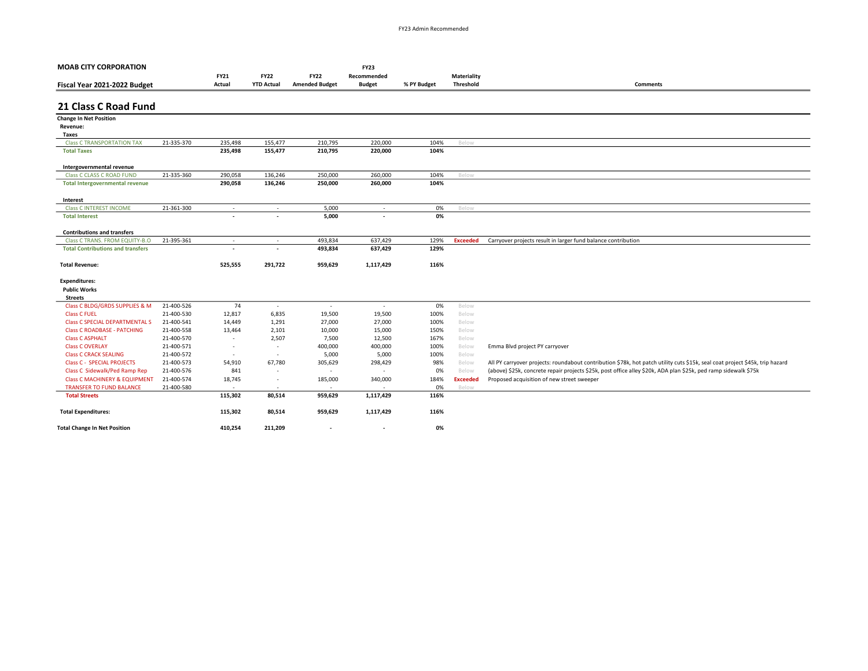| <b>MOAB CITY CORPORATION</b>               |            |                          |                          |                          | <b>FY23</b>              |             |                 |                                                                                                                              |
|--------------------------------------------|------------|--------------------------|--------------------------|--------------------------|--------------------------|-------------|-----------------|------------------------------------------------------------------------------------------------------------------------------|
|                                            |            | <b>FY21</b>              | <b>FY22</b>              | <b>FY22</b>              | Recommended              |             | Materiality     |                                                                                                                              |
| Fiscal Year 2021-2022 Budget               |            | Actual                   | <b>YTD Actual</b>        | <b>Amended Budget</b>    | <b>Budget</b>            | % PY Budget | Threshold       | <b>Comments</b>                                                                                                              |
|                                            |            |                          |                          |                          |                          |             |                 |                                                                                                                              |
| 21 Class C Road Fund                       |            |                          |                          |                          |                          |             |                 |                                                                                                                              |
| <b>Change In Net Position</b>              |            |                          |                          |                          |                          |             |                 |                                                                                                                              |
| Revenue:                                   |            |                          |                          |                          |                          |             |                 |                                                                                                                              |
| Taxes                                      |            |                          |                          |                          |                          |             |                 |                                                                                                                              |
| <b>Class C TRANSPORTATION TAX</b>          | 21-335-370 | 235,498                  | 155,477                  | 210,795                  | 220,000                  | 104%        | Below           |                                                                                                                              |
| <b>Total Taxes</b>                         |            | 235,498                  | 155,477                  | 210,795                  | 220,000                  | 104%        |                 |                                                                                                                              |
| Intergovernmental revenue                  |            |                          |                          |                          |                          |             |                 |                                                                                                                              |
| <b>Class C CLASS C ROAD FUND</b>           | 21-335-360 | 290,058                  | 136,246                  | 250,000                  | 260,000                  | 104%        | Below           |                                                                                                                              |
| <b>Total Intergovernmental revenue</b>     |            | 290,058                  | 136,246                  | 250,000                  | 260,000                  | 104%        |                 |                                                                                                                              |
|                                            |            |                          |                          |                          |                          |             |                 |                                                                                                                              |
| Interest<br><b>Class C INTEREST INCOME</b> | 21-361-300 |                          |                          | 5,000                    |                          |             |                 |                                                                                                                              |
| <b>Total Interest</b>                      |            | $\sim$                   | $\sim$                   | 5,000                    | $\sim$                   | 0%<br>0%    | Below           |                                                                                                                              |
|                                            |            |                          |                          |                          |                          |             |                 |                                                                                                                              |
| <b>Contributions and transfers</b>         |            |                          |                          |                          |                          |             |                 |                                                                                                                              |
| Class C TRANS, FROM EQUITY-B.O.            | 21-395-361 | $\overline{\phantom{a}}$ | $\sim$                   | 493,834                  | 637,429                  | 129%        | <b>Exceeded</b> | Carryover projects result in larger fund balance contribution                                                                |
| <b>Total Contributions and transfers</b>   |            |                          |                          | 493,834                  | 637,429                  | 129%        |                 |                                                                                                                              |
| <b>Total Revenue:</b>                      |            | 525,555                  | 291,722                  | 959,629                  | 1,117,429                | 116%        |                 |                                                                                                                              |
|                                            |            |                          |                          |                          |                          |             |                 |                                                                                                                              |
| <b>Expenditures:</b>                       |            |                          |                          |                          |                          |             |                 |                                                                                                                              |
| <b>Public Works</b>                        |            |                          |                          |                          |                          |             |                 |                                                                                                                              |
| <b>Streets</b>                             |            |                          |                          |                          |                          |             |                 |                                                                                                                              |
| Class C BLDG/GRDS SUPPLIES & M             | 21-400-526 | 74                       | $\sim$                   | $\sim$                   | $\sim$                   | 0%          | Below           |                                                                                                                              |
| <b>Class C FUEL</b>                        | 21-400-530 | 12,817                   | 6,835                    | 19,500                   | 19,500                   | 100%        | Below           |                                                                                                                              |
| <b>Class C SPECIAL DEPARTMENTAL S</b>      | 21-400-541 | 14,449                   | 1,291                    | 27,000                   | 27,000                   | 100%        | Below           |                                                                                                                              |
| <b>Class C ROADBASE - PATCHING</b>         | 21-400-558 | 13,464                   | 2,101                    | 10,000                   | 15,000                   | 150%        | Below           |                                                                                                                              |
| <b>Class C ASPHALT</b>                     | 21-400-570 | $\overline{\phantom{a}}$ | 2,507                    | 7,500                    | 12,500                   | 167%        | Below           |                                                                                                                              |
| <b>Class C OVERLAY</b>                     | 21-400-571 | $\sim$                   | $\sim$                   | 400,000                  | 400,000                  | 100%        | Below           | Emma Blvd project PY carryover                                                                                               |
| <b>Class C CRACK SEALING</b>               | 21-400-572 | $\overline{\phantom{a}}$ | $\sim$                   | 5,000                    | 5,000                    | 100%        | Below           |                                                                                                                              |
| <b>Class C - SPECIAL PROJECTS</b>          | 21-400-573 | 54,910                   | 67,780                   | 305,629                  | 298,429                  | 98%         | Below           | All PY carryover projects: roundabout contribution \$78k, hot patch utility cuts \$15k, seal coat project \$45k, trip hazard |
| Class C Sidewalk/Ped Ramp Rep              | 21-400-576 | 841                      | $\sim$                   | $\overline{\phantom{a}}$ | $\overline{\phantom{a}}$ | 0%          | Below           | (above) \$25k, concrete repair projects \$25k, post office alley \$20k, ADA plan \$25k, ped ramp sidewalk \$75k              |
| <b>Class C MACHINERY &amp; EQUIPMENT</b>   | 21-400-574 | 18,745                   | $\sim$                   | 185,000                  | 340,000                  | 184%        | <b>Exceeded</b> | Proposed acquisition of new street sweeper                                                                                   |
| <b>TRANSFER TO FUND BALANCE</b>            | 21-400-580 | ٠                        | $\overline{\phantom{a}}$ | $\overline{\phantom{a}}$ |                          | 0%          | Below           |                                                                                                                              |
| <b>Total Streets</b>                       |            | 115,302                  | 80,514                   | 959,629                  | 1,117,429                | 116%        |                 |                                                                                                                              |
| <b>Total Expenditures:</b>                 |            | 115,302                  | 80,514                   | 959,629                  | 1,117,429                | 116%        |                 |                                                                                                                              |
| <b>Total Change In Net Position</b>        |            | 410,254                  | 211,209                  | $\overline{\phantom{a}}$ | $\overline{\phantom{a}}$ | 0%          |                 |                                                                                                                              |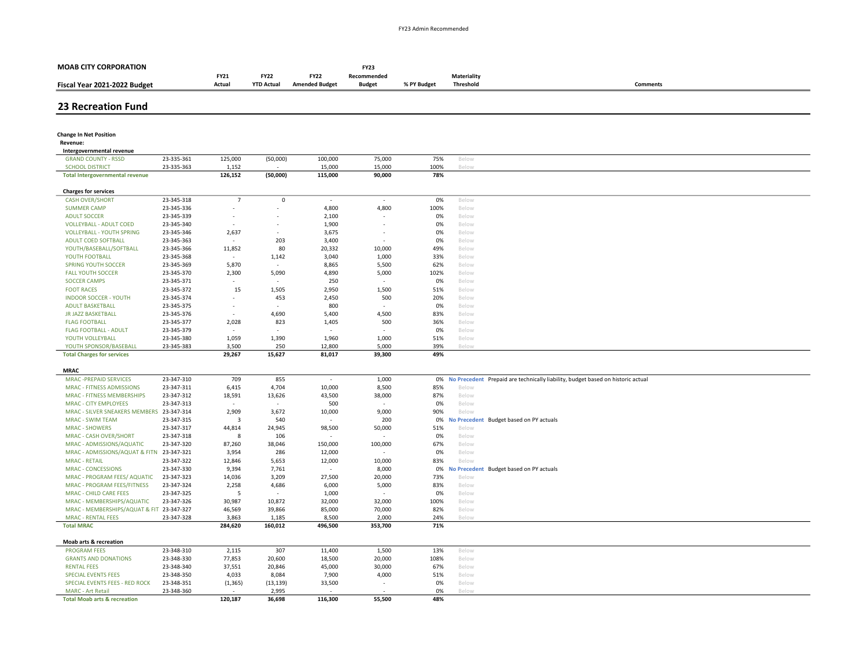| <b>MOAB CITY CORPORATION</b>                                 |                          |                          |                     |                          | <b>FY23</b>                       |             |                     |                                                                                    |
|--------------------------------------------------------------|--------------------------|--------------------------|---------------------|--------------------------|-----------------------------------|-------------|---------------------|------------------------------------------------------------------------------------|
|                                                              |                          | <b>FY21</b>              | <b>FY22</b>         | <b>FY22</b>              | Recommended                       |             | <b>Materiality</b>  |                                                                                    |
| Fiscal Year 2021-2022 Budget                                 |                          | Actual                   | <b>YTD Actual</b>   | <b>Amended Budget</b>    | <b>Budget</b>                     | % PY Budget | Threshold           | <b>Comments</b>                                                                    |
|                                                              |                          |                          |                     |                          |                                   |             |                     |                                                                                    |
| <b>23 Recreation Fund</b>                                    |                          |                          |                     |                          |                                   |             |                     |                                                                                    |
|                                                              |                          |                          |                     |                          |                                   |             |                     |                                                                                    |
| <b>Change In Net Position</b>                                |                          |                          |                     |                          |                                   |             |                     |                                                                                    |
| Revenue:<br>Intergovernmental revenue                        |                          |                          |                     |                          |                                   |             |                     |                                                                                    |
| <b>GRAND COUNTY - RSSD</b>                                   | 23-335-361               | 125,000                  | (50,000)            | 100,000                  | 75,000                            | 75%         | Below               |                                                                                    |
| <b>SCHOOL DISTRICT</b>                                       | 23-335-363               | 1,152                    |                     | 15,000                   | 15,000                            | 100%        | Belov               |                                                                                    |
| <b>Total Intergovernmental revenue</b>                       |                          | 126,152                  | (50,000)            | 115,000                  | 90,000                            | 78%         |                     |                                                                                    |
| <b>Charges for services</b>                                  |                          |                          |                     |                          |                                   |             |                     |                                                                                    |
| <b>CASH OVER/SHORT</b>                                       | 23-345-318               | $\overline{7}$           | $\mathsf{O}\xspace$ | $\overline{\phantom{a}}$ | $\overline{\phantom{a}}$          | 0%          | Below               |                                                                                    |
| <b>SUMMER CAMP</b>                                           | 23-345-336               |                          |                     | 4,800                    | 4,800                             | 100%        | Below               |                                                                                    |
| <b>ADULT SOCCER</b>                                          | 23-345-339               |                          |                     | 2,100                    |                                   | 0%          | Below               |                                                                                    |
| <b>VOLLEYBALL - ADULT COED</b>                               | 23-345-340               |                          | ٠                   | 1,900                    | $\overline{\phantom{a}}$          | 0%          | Below               |                                                                                    |
| <b>VOLLEYBALL - YOUTH SPRING</b>                             | 23-345-346               | 2,637                    |                     | 3,675<br>3,400           | ×,<br>$\overline{\phantom{a}}$    | 0%<br>0%    | Below               |                                                                                    |
| ADULT COED SOFTBALL<br>YOUTH/BASEBALL/SOFTBALL               | 23-345-363<br>23-345-366 | 11,852                   | 203<br>80           | 20,332                   | 10,000                            | 49%         | Below<br>Below      |                                                                                    |
| YOUTH FOOTBALL                                               | 23-345-368               | $\overline{\phantom{a}}$ | 1,142               | 3,040                    | 1,000                             | 33%         | Below               |                                                                                    |
| SPRING YOUTH SOCCER                                          | 23-345-369               | 5,870                    |                     | 8,865                    | 5,500                             | 62%         | Below               |                                                                                    |
| <b>FALL YOUTH SOCCER</b>                                     | 23-345-370               | 2,300                    | 5,090               | 4,890                    | 5,000                             | 102%        | Below               |                                                                                    |
| <b>SOCCER CAMPS</b>                                          | 23-345-371               |                          |                     | 250                      |                                   | 0%          | Below               |                                                                                    |
| <b>FOOT RACES</b>                                            | 23-345-372               | 15                       | 1,505               | 2,950                    | 1,500                             | 51%         | Below               |                                                                                    |
| <b>INDOOR SOCCER - YOUTH</b>                                 | 23-345-374               |                          | 453                 | 2,450                    | 500                               | 20%         | Below               |                                                                                    |
| ADULT BASKETBALL                                             | 23-345-375               | $\overline{\phantom{a}}$ |                     | 800                      |                                   | 0%          | Below               |                                                                                    |
| JR JAZZ BASKETBALL                                           | 23-345-376               |                          | 4,690               | 5,400                    | 4,500                             | 83%         | Below               |                                                                                    |
| <b>FLAG FOOTBALL</b>                                         | 23-345-377               | 2,028                    | 823                 | 1,405                    | 500                               | 36%         | Below               |                                                                                    |
| <b>FLAG FOOTBALL - ADULT</b>                                 | 23-345-379               | $\sim$                   |                     |                          | $\overline{\phantom{a}}$          | 0%          | Below               |                                                                                    |
| YOUTH VOLLEYBALL                                             | 23-345-380               | 1,059                    | 1,390               | 1,960                    | 1,000                             | 51%         | Below               |                                                                                    |
| YOUTH SPONSOR/BASEBALL                                       | 23-345-383               | 3,500                    | 250                 | 12,800                   | 5,000                             | 39%         | Below               |                                                                                    |
| <b>Total Charges for services</b>                            |                          | 29,267                   | 15,627              | 81,017                   | 39,300                            | 49%         |                     |                                                                                    |
| <b>MRAC</b>                                                  |                          |                          |                     |                          |                                   |             |                     |                                                                                    |
| MRAC - PREPAID SERVICES                                      | 23-347-310               | 709                      | 855                 | $\overline{\phantom{a}}$ | 1,000                             |             |                     | 0% No Precedent Prepaid are technically liability, budget based on historic actual |
| MRAC - FITNESS ADMISSIONS                                    | 23-347-311               | 6,415                    | 4,704               | 10,000                   | 8,500                             | 85%         | Below               |                                                                                    |
| MRAC - FITNESS MEMBERSHIPS                                   | 23-347-312               | 18,591                   | 13,626              | 43,500                   | 38,000                            | 87%         | Below               |                                                                                    |
| <b>MRAC - CITY EMPLOYEES</b>                                 | 23-347-313               | $\overline{\phantom{a}}$ | $\sim$              | 500                      | $\overline{a}$                    | 0%          | Below               |                                                                                    |
| MRAC - SILVER SNEAKERS MEMBERS 23-347-314                    |                          | 2,909                    | 3,672               | 10,000                   | 9,000                             | 90%         | Below               |                                                                                    |
| <b>MRAC - SWIM TEAM</b>                                      | 23-347-315               | $\overline{3}$           | 540                 |                          | 200                               | 0%          | <b>No Precedent</b> | Budget based on PY actuals                                                         |
| <b>MRAC - SHOWERS</b>                                        | 23-347-317               | 44,814                   | 24,945              | 98,500                   | 50,000                            | 51%         | Below               |                                                                                    |
| MRAC - CASH OVER/SHORT                                       | 23-347-318               | 8                        | 106                 |                          |                                   | 0%          | Below               |                                                                                    |
| MRAC - ADMISSIONS/AQUATIC                                    | 23-347-320               | 87,260                   | 38,046              | 150,000                  | 100,000                           | 67%         | Below               |                                                                                    |
| MRAC - ADMISSIONS/AQUAT & FITN                               | 23-347-321               | 3,954                    | 286                 | 12,000                   |                                   | 0%          | Below               |                                                                                    |
| <b>MRAC - RETAIL</b>                                         | 23-347-322               | 12,846                   | 5,653               | 12,000                   | 10,000                            | 83%         | Below               |                                                                                    |
| <b>MRAC - CONCESSIONS</b>                                    | 23-347-330               | 9,394                    | 7,761               | $\sim$                   | 8,000                             | 0%          |                     | No Precedent Budget based on PY actuals                                            |
| MRAC - PROGRAM FEES/ AQUATIC                                 | 23-347-323               | 14,036                   | 3,209               | 27,500                   | 20,000                            | 73%         | Below               |                                                                                    |
| MRAC - PROGRAM FEES/FITNESS                                  | 23-347-324               | 2,258                    | 4,686               | 6,000                    | 5,000                             | 83%         | Below               |                                                                                    |
| MRAC - CHILD CARE FEES<br>MRAC - MEMBERSHIPS/AQUATIC         | 23-347-325<br>23-347-326 | 5                        | 10,872              | 1,000<br>32,000          | 32,000                            | 0%<br>100%  | Below<br>Below      |                                                                                    |
| MRAC - MEMBERSHIPS/AQUAT & FIT 23-347-327                    |                          | 30,987<br>46,569         | 39,866              | 85,000                   | 70,000                            | 82%         | Below               |                                                                                    |
| <b>MRAC - RENTAL FEES</b>                                    | 23-347-328               | 3,863                    | 1,185               | 8,500                    | 2,000                             | 24%         | Below               |                                                                                    |
| <b>Total MRAC</b>                                            |                          | 284,620                  | 160,012             | 496,500                  | 353,700                           | 71%         |                     |                                                                                    |
|                                                              |                          |                          |                     |                          |                                   |             |                     |                                                                                    |
| Moab arts & recreation                                       |                          |                          |                     |                          |                                   |             |                     |                                                                                    |
| <b>PROGRAM FEES</b>                                          | 23-348-310               | 2,115                    | 307                 | 11,400                   | 1,500                             | 13%         | Below               |                                                                                    |
| <b>GRANTS AND DONATIONS</b>                                  | 23-348-330               | 77,853                   | 20,600              | 18,500                   | 20,000                            | 108%        | Below               |                                                                                    |
| <b>RENTAL FEES</b>                                           | 23-348-340               | 37,551                   | 20,846              | 45,000                   | 30,000                            | 67%         | Below               |                                                                                    |
| <b>SPECIAL EVENTS FEES</b><br>SPECIAL EVENTS FEES - RED ROCK | 23-348-350<br>23-348-351 | 4,033<br>(1, 365)        | 8,084<br>(13, 139)  | 7,900<br>33,500          | 4,000<br>$\overline{\phantom{a}}$ | 51%<br>0%   | Below<br>Below      |                                                                                    |
| <b>MARC</b> - Art Retail                                     | 23-348-360               |                          | 2,995               |                          |                                   | 0%          | Below               |                                                                                    |
| <b>Total Moab arts &amp; recreation</b>                      |                          | 120.187                  | 36.698              | 116.300                  | 55,500                            | 48%         |                     |                                                                                    |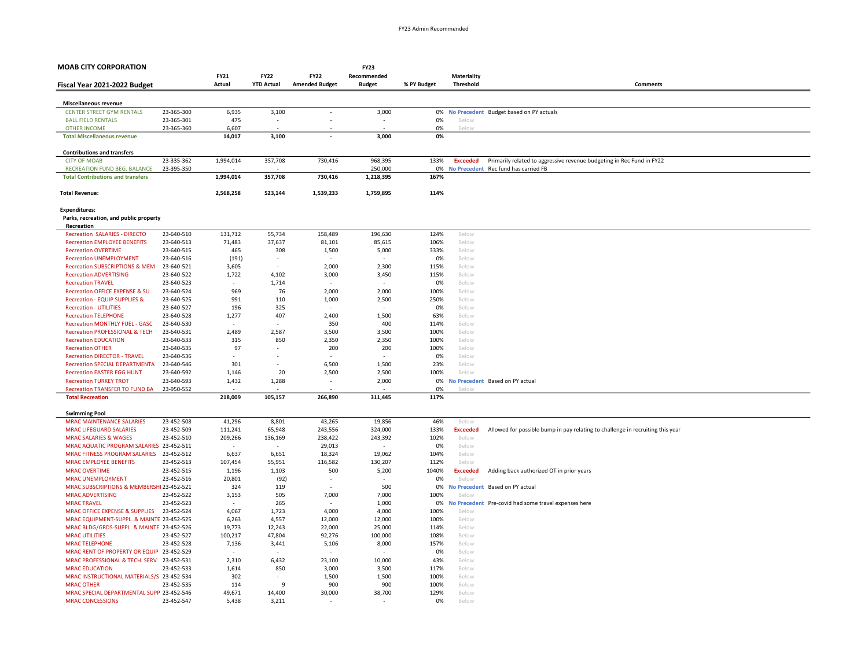| <b>MOAB CITY CORPORATION</b>                              |            |                          |                          |                          | <b>FY23</b>   |             |                 |                                                                                |
|-----------------------------------------------------------|------------|--------------------------|--------------------------|--------------------------|---------------|-------------|-----------------|--------------------------------------------------------------------------------|
|                                                           |            | <b>FY21</b>              | <b>FY22</b>              | <b>FY22</b>              | Recommended   |             | Materiality     |                                                                                |
| Fiscal Year 2021-2022 Budget                              |            | Actual                   | <b>YTD Actual</b>        | <b>Amended Budget</b>    | <b>Budget</b> | % PY Budget | Threshold       | Comments                                                                       |
|                                                           |            |                          |                          |                          |               |             |                 |                                                                                |
| Miscellaneous revenue                                     |            |                          |                          |                          |               |             |                 |                                                                                |
| <b>CENTER STREET GYM RENTALS</b>                          | 23-365-300 | 6,935                    | 3,100                    | $\overline{\phantom{a}}$ | 3,000         | 0%          |                 | No Precedent Budget based on PY actuals                                        |
| <b>BALL FIELD RENTALS</b>                                 | 23-365-301 | 475                      | $\overline{\phantom{a}}$ |                          |               | 0%          | Below           |                                                                                |
| <b>OTHER INCOME</b>                                       | 23-365-360 | 6,607                    |                          |                          |               | 0%          | Below           |                                                                                |
| <b>Total Miscellaneous revenue</b>                        |            | 14,017                   | 3,100                    |                          | 3,000         | 0%          |                 |                                                                                |
|                                                           |            |                          |                          |                          |               |             |                 |                                                                                |
| <b>Contributions and transfers</b>                        |            |                          |                          |                          |               |             |                 |                                                                                |
| <b>CITY OF MOAB</b>                                       | 23-335-362 | 1,994,014                | 357,708                  | 730,416                  | 968,395       | 133%        | <b>Exceeded</b> | Primarily related to aggressive revenue budgeting in Rec Fund in FY22          |
| RECREATION FUND BEG. BALANCE                              | 23-395-350 |                          |                          |                          | 250,000       | 0%          |                 | No Precedent Rec fund has carried FB                                           |
| <b>Total Contributions and transfers</b>                  |            | 1,994,014                | 357,708                  | 730,416                  | 1,218,395     | 167%        |                 |                                                                                |
|                                                           |            |                          |                          |                          |               |             |                 |                                                                                |
| <b>Total Revenue:</b>                                     |            | 2,568,258                | 523,144                  | 1,539,233                | 1,759,895     | 114%        |                 |                                                                                |
|                                                           |            |                          |                          |                          |               |             |                 |                                                                                |
| <b>Expenditures:</b>                                      |            |                          |                          |                          |               |             |                 |                                                                                |
| Parks, recreation, and public property                    |            |                          |                          |                          |               |             |                 |                                                                                |
| Recreation                                                |            |                          |                          |                          |               |             |                 |                                                                                |
| <b>Recreation SALARIES - DIRECTO</b>                      | 23-640-510 | 131,712                  | 55,734                   | 158,489                  | 196,630       | 124%        | Below           |                                                                                |
| <b>Recreation EMPLOYEE BENEFITS</b>                       | 23-640-513 | 71,483                   | 37,637                   | 81,101                   | 85,615        | 106%        | Below           |                                                                                |
| <b>Recreation OVERTIME</b>                                | 23-640-515 | 465                      | 308                      | 1,500                    | 5,000         | 333%        | Below           |                                                                                |
| <b>Recreation UNEMPLOYMENT</b>                            | 23-640-516 | (191)                    | $\sim$                   |                          |               | 0%          | Below           |                                                                                |
| <b>Recreation SUBSCRIPTIONS &amp; MEM</b>                 | 23-640-521 | 3,605                    |                          | 2,000                    | 2,300         | 115%        | Below           |                                                                                |
| <b>Recreation ADVERTISING</b>                             | 23-640-522 | 1,722                    | 4,102                    | 3,000                    | 3,450         | 115%        | Below           |                                                                                |
| <b>Recreation TRAVEL</b>                                  | 23-640-523 | $\overline{\phantom{a}}$ | 1,714                    |                          |               | 0%          | Below           |                                                                                |
| Recreation OFFICE EXPENSE & SU                            | 23-640-524 | 969                      | 76                       | 2,000                    | 2,000         | 100%        | Below           |                                                                                |
| <b>Recreation - EQUIP SUPPLIES &amp;</b>                  | 23-640-525 | 991                      | 110                      | 1,000                    | 2,500         | 250%        | Below           |                                                                                |
| <b>Recreation - UTILITIES</b>                             | 23-640-527 | 196                      | 325                      |                          |               | 0%          | Below           |                                                                                |
| <b>Recreation TELEPHONE</b>                               | 23-640-528 | 1,277                    | 407                      | 2,400                    | 1,500         | 63%         | Below           |                                                                                |
| Recreation MONTHLY FUEL - GASC                            | 23-640-530 |                          |                          | 350                      | 400           | 114%        | Below           |                                                                                |
| <b>Recreation PROFESSIONAL &amp; TECH</b>                 | 23-640-531 | 2,489                    | 2,587                    | 3,500                    | 3,500         | 100%        | Below           |                                                                                |
| <b>Recreation EDUCATION</b>                               | 23-640-533 | 315                      | 850                      | 2,350                    | 2,350         | 100%        | Below           |                                                                                |
| <b>Recreation OTHER</b>                                   | 23-640-535 | 97                       | ٠                        | 200                      | 200           | 100%        | Below           |                                                                                |
| <b>Recreation DIRECTOR - TRAVEL</b>                       | 23-640-536 |                          |                          |                          |               | 0%          | Below           |                                                                                |
| <b>Recreation SPECIAL DEPARTMENTA</b>                     | 23-640-546 | 301                      |                          | 6,500                    | 1,500         | 23%         | Below           |                                                                                |
| <b>Recreation EASTER EGG HUNT</b>                         | 23-640-592 | 1,146                    | 20                       | 2,500                    | 2,500         | 100%        | Below           |                                                                                |
| <b>Recreation TURKEY TROT</b>                             | 23-640-593 | 1,432                    | 1,288                    |                          | 2,000         | 0%          |                 | No Precedent Based on PY actual                                                |
| Recreation TRANSFER TO FUND BA<br><b>Total Recreation</b> | 23-950-552 | 218,009                  | 105,157                  | 266,890                  |               | 0%<br>117%  | Belov           |                                                                                |
|                                                           |            |                          |                          |                          | 311,445       |             |                 |                                                                                |
| <b>Swimming Pool</b>                                      |            |                          |                          |                          |               |             |                 |                                                                                |
| <b>MRAC MAINTENANCE SALARIES</b>                          | 23-452-508 | 41,296                   | 8,801                    | 43,265                   | 19,856        | 46%         | Below           |                                                                                |
| <b>MRAC LIFEGUARD SALARIES</b>                            | 23-452-509 | 111,241                  | 65,948                   | 243,556                  | 324,000       | 133%        | <b>Exceeded</b> | Allowed for possible bump in pay relating to challenge in recruiting this year |
| <b>MRAC SALARIES &amp; WAGES</b>                          | 23-452-510 | 209,266                  | 136,169                  | 238,422                  | 243,392       | 102%        | Below           |                                                                                |
| MRAC AQUATIC PROGRAM SALARIES 23-452-511                  |            |                          | $\sim$                   | 29,013                   |               | 0%          | Below           |                                                                                |
| MRAC FITNESS PROGRAM SALARIES 23-452-512                  |            | 6,637                    | 6,651                    | 18,324                   | 19,062        | 104%        | Below           |                                                                                |
| <b>MRAC EMPLOYEE BENEFITS</b>                             | 23-452-513 | 107,454                  | 55,951                   | 116,582                  | 130,207       | 112%        | Below           |                                                                                |
| <b>MRAC OVERTIME</b>                                      | 23-452-515 | 1,196                    | 1,103                    | 500                      | 5,200         | 1040%       | <b>Exceeded</b> | Adding back authorized OT in prior years                                       |
| MRAC UNEMPLOYMENT                                         | 23-452-516 | 20,801                   | (92)                     |                          |               | 0%          | Below           |                                                                                |
| MRAC SUBSCRIPTIONS & MEMBERSHI 23-452-521                 |            | 324                      | 119                      |                          | 500           | 0%          |                 | No Precedent Based on PY actual                                                |
| <b>MRAC ADVERTISING</b>                                   | 23-452-522 | 3,153                    | 505                      | 7,000                    | 7,000         | 100%        | Below           |                                                                                |
| <b>MRAC TRAVEL</b>                                        | 23-452-523 |                          | 265                      |                          | 1,000         | 0%          |                 | No Precedent Pre-covid had some travel expenses here                           |
| MRAC OFFICE EXPENSE & SUPPLIES                            | 23-452-524 | 4,067                    | 1,723                    | 4,000                    | 4,000         | 100%        | Below           |                                                                                |
| MRAC EQUIPMENT-SUPPL. & MAINTE 23-452-525                 |            | 6,263                    | 4,557                    | 12,000                   | 12,000        | 100%        | Below           |                                                                                |
| MRAC BLDG/GRDS-SUPPL. & MAINTE 23-452-526                 |            | 19,773                   | 12,243                   | 22,000                   | 25,000        | 114%        | Below           |                                                                                |
| <b>MRAC UTILITIES</b>                                     | 23-452-527 | 100,217                  | 47,804                   | 92,276                   | 100,000       | 108%        | Below           |                                                                                |
| <b>MRAC TELEPHONE</b>                                     | 23-452-528 | 7,136                    | 3,441                    | 5,106                    | 8,000         | 157%        | Below           |                                                                                |
| MRAC RENT OF PROPERTY OR EQUIP 23-452-529                 |            |                          |                          |                          |               | 0%          | Below           |                                                                                |
| MRAC PROFESSIONAL & TECH. SERV 23-452-531                 |            | 2,310                    | 6,432                    | 23,100                   | 10,000        | 43%         | Below           |                                                                                |
| <b>MRAC EDUCATION</b>                                     | 23-452-533 | 1,614                    | 850                      | 3,000                    | 3,500         | 117%        | Below           |                                                                                |
| MRAC INSTRUCTIONAL MATERIALS/S 23-452-534                 |            | 302                      |                          | 1,500                    | 1,500         | 100%        | Below           |                                                                                |
| <b>MRAC OTHER</b>                                         | 23-452-535 | 114                      | q                        | 900                      | 900           | 100%        | Below           |                                                                                |
| MRAC SPECIAL DEPARTMENTAL SUPP 23-452-546                 |            | 49,671                   | 14,400                   | 30,000                   | 38,700        | 129%        | Below           |                                                                                |
| <b>MRAC CONCESSIONS</b>                                   | 23-452-547 | 5,438                    | 3,211                    |                          |               | 0%          | Below           |                                                                                |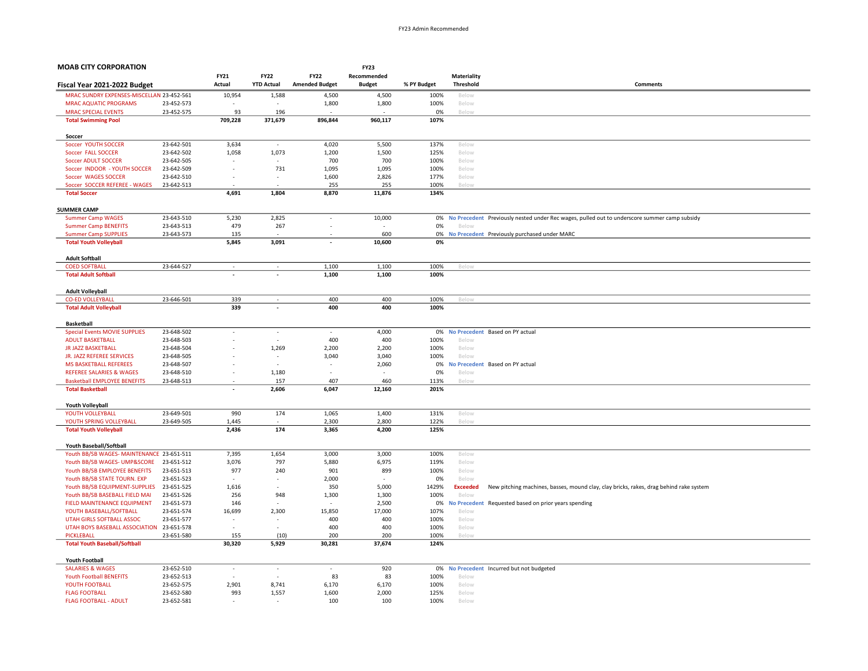| <b>MOAB CITY CORPORATION</b>                                   |                          |                                 |                          |                          | <b>FY23</b>                     |              |                          |                                                                                                 |
|----------------------------------------------------------------|--------------------------|---------------------------------|--------------------------|--------------------------|---------------------------------|--------------|--------------------------|-------------------------------------------------------------------------------------------------|
|                                                                |                          | <b>FY21</b>                     | <b>FY22</b>              | <b>FY22</b>              | Recommended                     |              | Materiality              |                                                                                                 |
| Fiscal Year 2021-2022 Budget                                   |                          | Actual                          | <b>YTD Actual</b>        | <b>Amended Budget</b>    | <b>Budget</b>                   | % PY Budget  | Threshold                | Comments                                                                                        |
| MRAC SUNDRY EXPENSES-MISCELLAN 23-452-561                      |                          | 10,954                          | 1,588                    | 4,500                    | 4,500                           | 100%         | Below                    |                                                                                                 |
| <b>MRAC AQUATIC PROGRAMS</b>                                   | 23-452-573               |                                 |                          | 1,800                    | 1,800                           | 100%         | Below                    |                                                                                                 |
| <b>MRAC SPECIAL EVENTS</b>                                     | 23-452-575               | 93                              | 196                      |                          |                                 | 0%           | Below                    |                                                                                                 |
| <b>Total Swimming Pool</b>                                     |                          | 709,228                         | 371,679                  | 896,844                  | 960,117                         | 107%         |                          |                                                                                                 |
|                                                                |                          |                                 |                          |                          |                                 |              |                          |                                                                                                 |
| Soccer                                                         |                          |                                 |                          |                          |                                 |              |                          |                                                                                                 |
| Soccer YOUTH SOCCER                                            | 23-642-501               | 3,634                           | $\sim$                   | 4,020                    | 5,500                           | 137%         | Below                    |                                                                                                 |
| Soccer FALL SOCCER                                             | 23-642-502               | 1,058                           | 1,073                    | 1,200                    | 1,500                           | 125%         | Below                    |                                                                                                 |
| <b>Soccer ADULT SOCCER</b>                                     | 23-642-505               | $\overline{a}$                  |                          | 700                      | 700                             | 100%         | Below                    |                                                                                                 |
| Soccer INDOOR - YOUTH SOCCER                                   | 23-642-509               |                                 | 731                      | 1,095                    | 1,095                           | 100%         | Below                    |                                                                                                 |
| Soccer WAGES SOCCER                                            | 23-642-510               | $\overline{\phantom{a}}$        | $\sim$                   | 1,600                    | 2,826                           | 177%         | Below                    |                                                                                                 |
| Soccer SOCCER REFEREE - WAGES                                  | 23-642-513               |                                 |                          | 255                      | 255                             | 100%         | Below                    |                                                                                                 |
| <b>Total Soccer</b>                                            |                          | 4,691                           | 1,804                    | 8,870                    | 11,876                          | 134%         |                          |                                                                                                 |
| <b>SUMMER CAMP</b>                                             |                          |                                 |                          |                          |                                 |              |                          |                                                                                                 |
| <b>Summer Camp WAGES</b>                                       | 23-643-510               | 5,230                           | 2,825                    | $\sim$                   | 10,000                          |              |                          | 0% No Precedent Previously nested under Rec wages, pulled out to underscore summer camp subsidy |
| <b>Summer Camp BENEFITS</b>                                    | 23-643-513               | 479                             | 267                      |                          |                                 | 0%           | Below                    |                                                                                                 |
| <b>Summer Camp SUPPLIES</b>                                    | 23-643-573               | 135                             |                          |                          | 600                             | 0%           |                          | No Precedent Previously purchased under MARC                                                    |
| <b>Total Youth Volleyball</b>                                  |                          | 5,845                           | 3,091                    | $\overline{\phantom{a}}$ | 10,600                          | 0%           |                          |                                                                                                 |
|                                                                |                          |                                 |                          |                          |                                 |              |                          |                                                                                                 |
| <b>Adult Softball</b>                                          |                          |                                 |                          |                          |                                 |              |                          |                                                                                                 |
| <b>COED SOFTBALL</b>                                           | 23-644-527               | $\frac{1}{2}$                   |                          | 1,100                    | 1,100                           | 100%         | Below                    |                                                                                                 |
| <b>Total Adult Softball</b>                                    |                          | $\overline{\phantom{a}}$        |                          | 1,100                    | 1,100                           | 100%         |                          |                                                                                                 |
|                                                                |                          |                                 |                          |                          |                                 |              |                          |                                                                                                 |
| <b>Adult Volleyball</b>                                        |                          |                                 |                          |                          |                                 |              |                          |                                                                                                 |
| <b>CO-ED VOLLEYBALI</b>                                        | 23-646-501               | 339                             |                          | 400                      | 400                             | 100%         | Beloy                    |                                                                                                 |
| <b>Total Adult Volleyball</b>                                  |                          | 339                             |                          | 400                      | 400                             | 100%         |                          |                                                                                                 |
|                                                                |                          |                                 |                          |                          |                                 |              |                          |                                                                                                 |
| <b>Basketball</b>                                              |                          |                                 |                          |                          |                                 |              |                          |                                                                                                 |
| <b>Special Events MOVIE SUPPLIES</b>                           | 23-648-502               | $\overline{\phantom{a}}$        | $\overline{\phantom{a}}$ | $\sim$                   | 4,000                           | 0%           |                          | No Precedent Based on PY actual                                                                 |
| <b>ADULT BASKETBALL</b>                                        | 23-648-503               |                                 | $\sim$                   | 400                      | 400                             | 100%         | Below                    |                                                                                                 |
| <b>JR JAZZ BASKETBALL</b><br>JR. JAZZ REFEREE SERVICES         | 23-648-504<br>23-648-505 |                                 | 1,269<br>$\sim$          | 2,200<br>3,040           | 2,200<br>3,040                  | 100%<br>100% | Below<br>Below           |                                                                                                 |
| MS BASKETBALL REFEREES                                         | 23-648-507               |                                 |                          |                          | 2,060                           | 0%           |                          | No Precedent Based on PY actual                                                                 |
| <b>REFEREE SALARIES &amp; WAGES</b>                            | 23-648-510               | ÷,                              | 1,180                    |                          |                                 | 0%           | Below                    |                                                                                                 |
| <b>Basketball EMPLOYEE BENEFITS</b>                            | 23-648-513               |                                 | 157                      | 407                      | 460                             | 113%         | Below                    |                                                                                                 |
| <b>Total Basketball</b>                                        |                          | $\overline{a}$                  | 2,606                    | 6,047                    | 12,160                          | 201%         |                          |                                                                                                 |
|                                                                |                          |                                 |                          |                          |                                 |              |                          |                                                                                                 |
| <b>Youth Volleyball</b>                                        |                          |                                 |                          |                          |                                 |              |                          |                                                                                                 |
| YOUTH VOLLEYBALL                                               | 23-649-501               | 990                             | 174                      | 1,065                    | 1,400                           | 131%         | Below                    |                                                                                                 |
| YOUTH SPRING VOLLEYBALL                                        | 23-649-505               | 1,445                           |                          | 2,300                    | 2,800                           | 122%         | Below                    |                                                                                                 |
| <b>Total Youth Volleyball</b>                                  |                          | 2,436                           | 174                      | 3,365                    | 4,200                           | 125%         |                          |                                                                                                 |
|                                                                |                          |                                 |                          |                          |                                 |              |                          |                                                                                                 |
| Youth Baseball/Softball                                        |                          |                                 |                          |                          |                                 |              |                          |                                                                                                 |
| Youth BB/SB WAGES- MAINTENANCE 23-651-511                      |                          | 7,395                           | 1,654                    | 3,000                    | 3,000                           | 100%         | Below                    |                                                                                                 |
| Youth BB/SB WAGES- UMP&SCORE                                   | 23-651-512               | 3,076                           | 797                      | 5,880                    | 6,975                           | 119%         | Below                    |                                                                                                 |
| Youth BB/SB EMPLOYEE BENEFITS                                  | 23-651-513               | 977<br>$\overline{\phantom{a}}$ | 240<br>$\sim$            | 901                      | 899<br>$\overline{\phantom{a}}$ | 100%         | Below                    |                                                                                                 |
| Youth BB/SB STATE TOURN. EXP<br>Youth BB/SB EQUIPMENT-SUPPLIES | 23-651-523<br>23-651-525 | 1,616                           |                          | 2,000<br>350             | 5,000                           | 0%<br>1429%  | Below<br><b>Exceeded</b> |                                                                                                 |
| Youth BB/SB BASEBALL FIELD MAI                                 | 23-651-526               | 256                             | 948                      | 1,300                    | 1,300                           | 100%         | Below                    | New pitching machines, basses, mound clay, clay bricks, rakes, drag behind rake system          |
| FIELD MAINTENANCE EQUIPMENT                                    | 23-651-573               | 146                             |                          |                          | 2,500                           | 0%           |                          | No Precedent Requested based on prior years spending                                            |
| YOUTH BASEBALL/SOFTBALL                                        | 23-651-574               | 16,699                          | 2,300                    | 15,850                   | 17,000                          | 107%         | Below                    |                                                                                                 |
| UTAH GIRLS SOFTBALL ASSOC                                      | 23-651-577               |                                 |                          | 400                      | 400                             | 100%         | Below                    |                                                                                                 |
| UTAH BOYS BASEBALL ASSOCIATION 23-651-578                      |                          | $\overline{a}$                  | $\sim$                   | 400                      | 400                             | 100%         | Below                    |                                                                                                 |
| PICKLEBALL                                                     | 23-651-580               | 155                             | (10)                     | 200                      | 200                             | 100%         | Below                    |                                                                                                 |
| <b>Total Youth Baseball/Softball</b>                           |                          | 30,320                          | 5,929                    | 30,281                   | 37,674                          | 124%         |                          |                                                                                                 |
|                                                                |                          |                                 |                          |                          |                                 |              |                          |                                                                                                 |
| <b>Youth Football</b>                                          |                          |                                 |                          |                          |                                 |              |                          |                                                                                                 |
| <b>SALARIES &amp; WAGES</b>                                    | 23-652-510               | $\overline{\phantom{a}}$        | $\overline{\phantom{a}}$ |                          | 920                             |              |                          | 0% No Precedent Incurred but not budgeted                                                       |
| <b>Youth Football BENEFITS</b>                                 | 23-652-513               |                                 |                          | 83                       | 83                              | 100%         | Below                    |                                                                                                 |
| YOUTH FOOTBALL                                                 | 23-652-575               | 2,901                           | 8,741                    | 6,170                    | 6,170                           | 100%         | Below                    |                                                                                                 |
| <b>FLAG FOOTBALL</b>                                           | 23-652-580               | 993                             | 1,557                    | 1,600                    | 2,000                           | 125%         | Below                    |                                                                                                 |
| <b>FLAG FOOTBALL - ADULT</b>                                   | 23-652-581               |                                 |                          | 100                      | 100                             | 100%         | Below                    |                                                                                                 |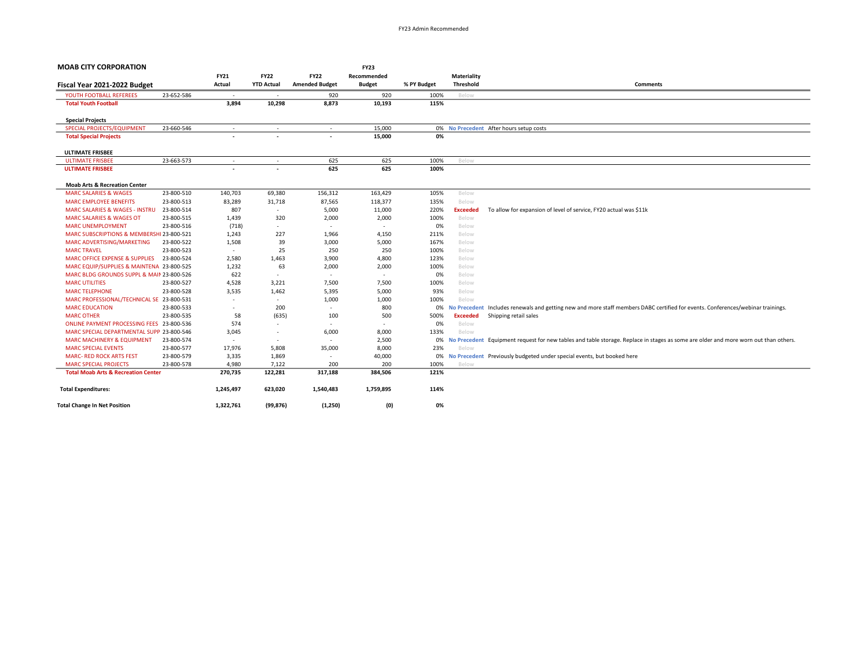| <b>MOAB CITY CORPORATION</b>                   |            |                          |                          |                          | <b>FY23</b>              |             |                     |                                                                                                                                     |
|------------------------------------------------|------------|--------------------------|--------------------------|--------------------------|--------------------------|-------------|---------------------|-------------------------------------------------------------------------------------------------------------------------------------|
|                                                |            | <b>FY21</b>              | <b>FY22</b>              | <b>FY22</b>              | Recommended              |             | Materiality         |                                                                                                                                     |
| Fiscal Year 2021-2022 Budget                   |            | Actual                   | <b>YTD Actual</b>        | <b>Amended Budget</b>    | <b>Budget</b>            | % PY Budget | Threshold           | <b>Comments</b>                                                                                                                     |
| YOUTH FOOTBALL REFEREES                        | 23-652-586 | $\overline{\phantom{a}}$ |                          | 920                      | 920                      | 100%        | Below               |                                                                                                                                     |
| <b>Total Youth Football</b>                    |            | 3,894                    | 10,298                   | 8,873                    | 10,193                   | 115%        |                     |                                                                                                                                     |
|                                                |            |                          |                          |                          |                          |             |                     |                                                                                                                                     |
| <b>Special Projects</b>                        |            |                          |                          |                          |                          |             |                     |                                                                                                                                     |
| SPECIAL PROJECTS/EQUIPMENT                     | 23-660-546 | $\overline{\phantom{a}}$ | ÷                        | $\overline{\phantom{a}}$ | 15,000                   |             |                     | 0% No Precedent After hours setup costs                                                                                             |
| <b>Total Special Projects</b>                  |            | $\overline{\phantom{a}}$ |                          | $\overline{\phantom{a}}$ | 15,000                   | 0%          |                     |                                                                                                                                     |
| <b>ULTIMATE FRISBEE</b>                        |            |                          |                          |                          |                          |             |                     |                                                                                                                                     |
| <b>ULTIMATE FRISBEE</b>                        | 23-663-573 | $\sim$                   | ٠                        | 625                      | 625                      | 100%        | Below               |                                                                                                                                     |
| <b>ULTIMATE FRISBEE</b>                        |            |                          |                          | 625                      | 625                      | 100%        |                     |                                                                                                                                     |
|                                                |            |                          |                          |                          |                          |             |                     |                                                                                                                                     |
| <b>Moab Arts &amp; Recreation Center</b>       |            |                          |                          |                          |                          |             |                     |                                                                                                                                     |
| <b>MARC SALARIES &amp; WAGES</b>               | 23-800-510 | 140,703                  | 69,380                   | 156,312                  | 163,429                  | 105%        | Below               |                                                                                                                                     |
| <b>MARC EMPLOYEE BENEFITS</b>                  | 23-800-513 | 83,289                   | 31,718                   | 87,565                   | 118,377                  | 135%        | Below               |                                                                                                                                     |
| <b>MARC SALARIES &amp; WAGES - INSTRU</b>      | 23-800-514 | 807                      | $\sim$                   | 5,000                    | 11,000                   | 220%        | <b>Exceeded</b>     | To allow for expansion of level of service, FY20 actual was \$11k                                                                   |
| <b>MARC SALARIES &amp; WAGES OT</b>            | 23-800-515 | 1,439                    | 320                      | 2,000                    | 2,000                    | 100%        | Below               |                                                                                                                                     |
| <b>MARC UNEMPLOYMENT</b>                       | 23-800-516 | (718)                    | $\sim$                   | $\overline{\phantom{a}}$ | $\overline{\phantom{a}}$ | 0%          | Below               |                                                                                                                                     |
| MARC SUBSCRIPTIONS & MEMBERSHI 23-800-521      |            | 1,243                    | 227                      | 1,966                    | 4,150                    | 211%        | Below               |                                                                                                                                     |
| MARC ADVERTISING/MARKETING                     | 23-800-522 | 1,508                    | 39                       | 3,000                    | 5,000                    | 167%        | Below               |                                                                                                                                     |
| <b>MARC TRAVEL</b>                             | 23-800-523 | $\sim$                   | 25                       | 250                      | 250                      | 100%        | Below               |                                                                                                                                     |
| MARC OFFICE EXPENSE & SUPPLIES                 | 23-800-524 | 2,580                    | 1,463                    | 3,900                    | 4,800                    | 123%        | Below               |                                                                                                                                     |
| MARC EQUIP/SUPPLIES & MAINTENA 23-800-525      |            | 1,232                    | 63                       | 2,000                    | 2,000                    | 100%        | Below               |                                                                                                                                     |
| MARC BLDG GROUNDS SUPPL & MAIN 23-800-526      |            | 622                      | $\sim$                   | ٠                        | $\overline{\phantom{a}}$ | 0%          | Below               |                                                                                                                                     |
| <b>MARC UTILITIES</b>                          | 23-800-527 | 4,528                    | 3,221                    | 7,500                    | 7,500                    | 100%        | Below               |                                                                                                                                     |
| <b>MARC TELEPHONE</b>                          | 23-800-528 | 3,535                    | 1,462                    | 5,395                    | 5,000                    | 93%         | Below               |                                                                                                                                     |
| MARC PROFESSIONAL/TECHNICAL SE 23-800-531      |            | $\overline{\phantom{a}}$ | $\sim$                   | 1,000                    | 1,000                    | 100%        | Below               |                                                                                                                                     |
| <b>MARC EDUCATION</b>                          | 23-800-533 | $\overline{\phantom{a}}$ | 200                      | $\overline{\phantom{a}}$ | 800                      | 0%          | <b>No Precedent</b> | Includes renewals and getting new and more staff members DABC certified for events. Conferences/webinar trainings.                  |
| <b>MARC OTHER</b>                              | 23-800-535 | 58                       | (635)                    | 100                      | 500                      | 500%        | <b>Exceeded</b>     | Shipping retail sales                                                                                                               |
| ONLINE PAYMENT PROCESSING FEES 23-800-536      |            | 574                      | $\sim$                   | $\overline{\phantom{a}}$ | $\sim$                   | 0%          | Below               |                                                                                                                                     |
| MARC SPECIAL DEPARTMENTAL SUPP 23-800-546      |            | 3,045                    | $\overline{\phantom{a}}$ | 6,000                    | 8,000                    | 133%        | Below               |                                                                                                                                     |
| <b>MARC MACHINERY &amp; EQUIPMENT</b>          | 23-800-574 | $\overline{\phantom{a}}$ | $\sim$                   | $\overline{\phantom{a}}$ | 2,500                    | 0%          |                     | No Precedent Equipment request for new tables and table storage. Replace in stages as some are older and more worn out than others. |
| <b>MARC SPECIAL EVENTS</b>                     | 23-800-577 | 17,976                   | 5,808                    | 35,000                   | 8,000                    | 23%         | Below               |                                                                                                                                     |
| <b>MARC- RED ROCK ARTS FEST</b>                | 23-800-579 | 3,335                    | 1,869                    | $\overline{\phantom{a}}$ | 40,000                   | 0%          |                     | No Precedent Previously budgeted under special events, but booked here                                                              |
| <b>MARC SPECIAL PROJECTS</b>                   | 23-800-578 | 4,980                    | 7,122                    | 200                      | 200                      | 100%        | Below               |                                                                                                                                     |
| <b>Total Moab Arts &amp; Recreation Center</b> |            | 270,735                  | 122,281                  | 317,188                  | 384,506                  | 121%        |                     |                                                                                                                                     |
| <b>Total Expenditures:</b>                     |            | 1,245,497                | 623,020                  | 1,540,483                | 1,759,895                | 114%        |                     |                                                                                                                                     |
| <b>Total Change In Net Position</b>            |            | 1,322,761                | (99, 876)                | (1, 250)                 | (0)                      | 0%          |                     |                                                                                                                                     |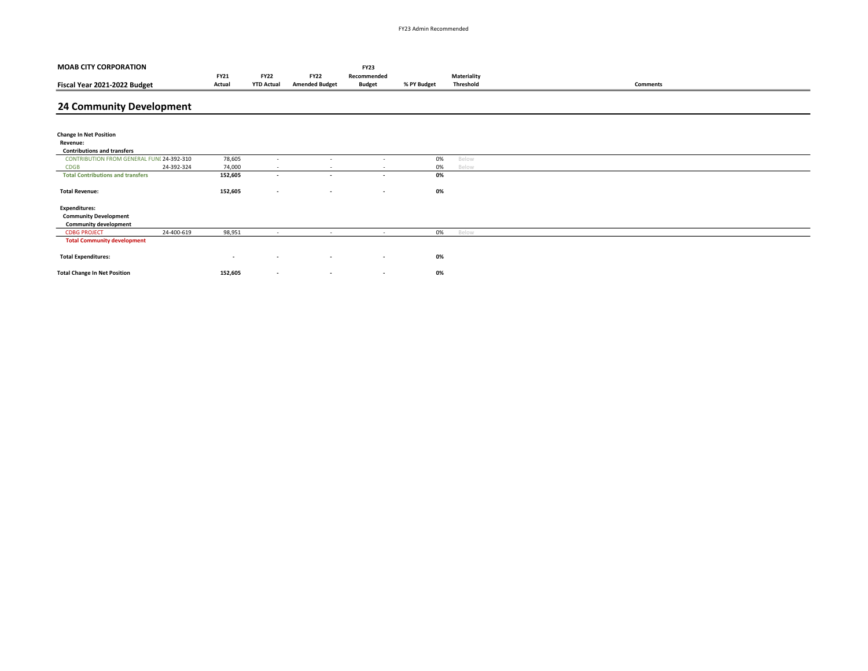| <b>MOAB CITY CORPORATION</b>              |            |                          |                          |                          | <b>FY23</b>              |             |                    |                 |
|-------------------------------------------|------------|--------------------------|--------------------------|--------------------------|--------------------------|-------------|--------------------|-----------------|
|                                           |            | <b>FY21</b>              | <b>FY22</b>              | <b>FY22</b>              | Recommended              |             | <b>Materiality</b> |                 |
| Fiscal Year 2021-2022 Budget              |            | Actual                   | <b>YTD Actual</b>        | <b>Amended Budget</b>    | <b>Budget</b>            | % PY Budget | <b>Threshold</b>   | <b>Comments</b> |
|                                           |            |                          |                          |                          |                          |             |                    |                 |
| 24 Community Development                  |            |                          |                          |                          |                          |             |                    |                 |
|                                           |            |                          |                          |                          |                          |             |                    |                 |
| <b>Change In Net Position</b>             |            |                          |                          |                          |                          |             |                    |                 |
| Revenue:                                  |            |                          |                          |                          |                          |             |                    |                 |
| <b>Contributions and transfers</b>        |            |                          |                          |                          |                          |             |                    |                 |
| CONTRIBUTION FROM GENERAL FUNE 24-392-310 |            | 78,605                   | $\sim$                   | $\overline{\phantom{a}}$ | $\overline{\phantom{a}}$ | 0%          | Below              |                 |
| <b>CDGB</b>                               | 24-392-324 | 74,000                   | $\sim$                   | $\sim$                   | $\overline{\phantom{a}}$ | 0%          | Below              |                 |
| <b>Total Contributions and transfers</b>  |            | 152,605                  | $\sim$                   | $\overline{\phantom{a}}$ | $\overline{\phantom{a}}$ | 0%          |                    |                 |
|                                           |            |                          |                          |                          |                          |             |                    |                 |
| <b>Total Revenue:</b>                     |            | 152,605                  | $\overline{\phantom{a}}$ | $\overline{\phantom{a}}$ | $\overline{\phantom{a}}$ | 0%          |                    |                 |
| <b>Expenditures:</b>                      |            |                          |                          |                          |                          |             |                    |                 |
| <b>Community Development</b>              |            |                          |                          |                          |                          |             |                    |                 |
| <b>Community development</b>              |            |                          |                          |                          |                          |             |                    |                 |
| <b>CDBG PROJECT</b>                       | 24-400-619 | 98,951                   | $\sim$                   | $\sim$                   | $\sim$                   | 0%          | Below              |                 |
| <b>Total Community development</b>        |            |                          |                          |                          |                          |             |                    |                 |
|                                           |            |                          |                          |                          |                          |             |                    |                 |
| <b>Total Expenditures:</b>                |            | $\overline{\phantom{a}}$ | $\overline{\phantom{a}}$ | $\overline{\phantom{a}}$ | $\overline{\phantom{a}}$ | 0%          |                    |                 |
| <b>Total Change In Net Position</b>       |            | 152,605                  | $\sim$                   | $\overline{\phantom{a}}$ | $\sim$                   | 0%          |                    |                 |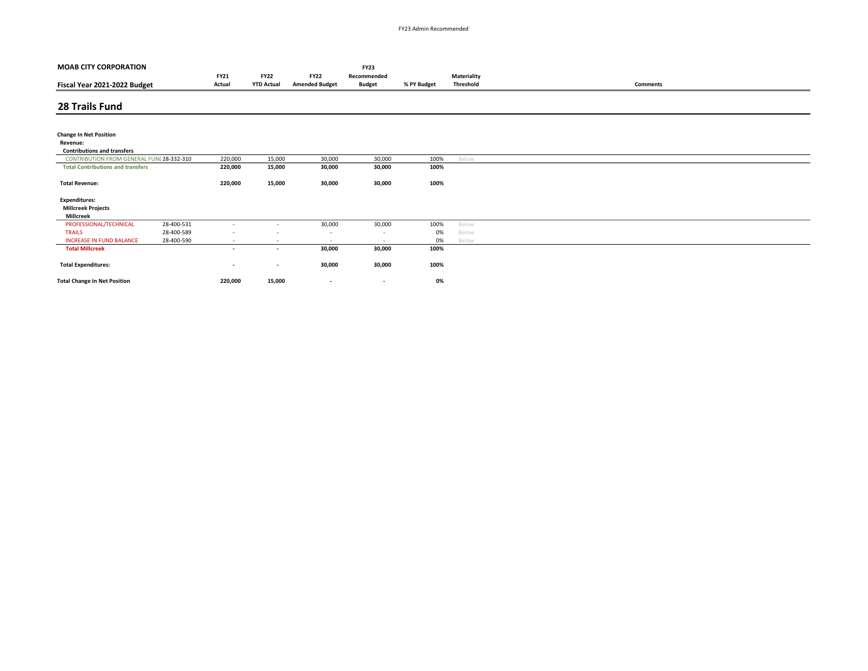| <b>MOAB CITY CORPORATION</b>              |            |                          |                          |                          | <b>FY23</b>              |             |                    |                 |
|-------------------------------------------|------------|--------------------------|--------------------------|--------------------------|--------------------------|-------------|--------------------|-----------------|
|                                           |            | <b>FY21</b>              | <b>FY22</b>              | <b>FY22</b>              | Recommended              |             | <b>Materiality</b> |                 |
| Fiscal Year 2021-2022 Budget              |            | Actual                   | <b>YTD Actual</b>        | <b>Amended Budget</b>    | <b>Budget</b>            | % PY Budget | Threshold          | <b>Comments</b> |
|                                           |            |                          |                          |                          |                          |             |                    |                 |
| 28 Trails Fund                            |            |                          |                          |                          |                          |             |                    |                 |
|                                           |            |                          |                          |                          |                          |             |                    |                 |
| <b>Change In Net Position</b>             |            |                          |                          |                          |                          |             |                    |                 |
| Revenue:                                  |            |                          |                          |                          |                          |             |                    |                 |
| <b>Contributions and transfers</b>        |            |                          |                          |                          |                          |             |                    |                 |
| CONTRIBUTION FROM GENERAL FUNI 28-332-310 |            | 220,000                  | 15,000                   | 30,000                   | 30,000                   | 100%        | Below              |                 |
| <b>Total Contributions and transfers</b>  |            | 220,000                  | 15,000                   | 30,000                   | 30,000                   | 100%        |                    |                 |
|                                           |            |                          |                          |                          |                          |             |                    |                 |
| <b>Total Revenue:</b>                     |            | 220,000                  | 15,000                   | 30,000                   | 30,000                   | 100%        |                    |                 |
| <b>Expenditures:</b>                      |            |                          |                          |                          |                          |             |                    |                 |
| <b>Millcreek Projects</b>                 |            |                          |                          |                          |                          |             |                    |                 |
| Millcreek                                 |            |                          |                          |                          |                          |             |                    |                 |
| PROFESSIONAL/TECHNICAL                    | 28-400-531 | $\overline{\phantom{a}}$ | $\sim$                   | 30,000                   | 30,000                   | 100%        | Below              |                 |
| <b>TRAILS</b>                             | 28-400-589 |                          |                          | $\overline{\phantom{a}}$ | $\overline{\phantom{a}}$ | 0%          | Below              |                 |
| <b>INCREASE IN FUND BALANCE</b>           | 28-400-590 | $\sim$                   | $\overline{\phantom{a}}$ | $\sim$                   | $\overline{a}$           | 0%          | Below              |                 |
| <b>Total Millcreek</b>                    |            | $\sim$                   | $\overline{\phantom{a}}$ | 30,000                   | 30,000                   | 100%        |                    |                 |
| <b>Total Expenditures:</b>                |            | $\overline{\phantom{a}}$ | $\overline{\phantom{a}}$ | 30,000                   | 30,000                   | 100%        |                    |                 |
| <b>Total Change In Net Position</b>       |            | 220,000                  | 15,000                   | $\overline{\phantom{a}}$ | $\overline{\phantom{a}}$ | 0%          |                    |                 |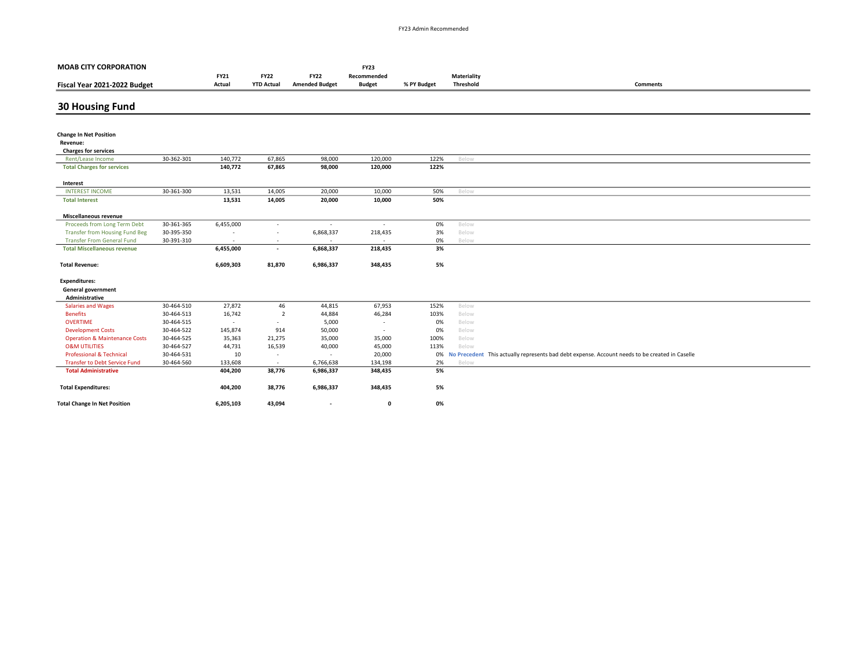| <b>MOAB CITY CORPORATION</b>              |            |                          |                          |                          | <b>FY23</b>   |             |             |                                                                                                |
|-------------------------------------------|------------|--------------------------|--------------------------|--------------------------|---------------|-------------|-------------|------------------------------------------------------------------------------------------------|
|                                           |            | <b>FY21</b>              | <b>FY22</b>              | <b>FY22</b>              | Recommended   |             | Materiality |                                                                                                |
| Fiscal Year 2021-2022 Budget              |            | Actual                   | <b>YTD Actual</b>        | <b>Amended Budget</b>    | <b>Budget</b> | % PY Budget | Threshold   | <b>Comments</b>                                                                                |
| <b>30 Housing Fund</b>                    |            |                          |                          |                          |               |             |             |                                                                                                |
|                                           |            |                          |                          |                          |               |             |             |                                                                                                |
| <b>Change In Net Position</b><br>Revenue: |            |                          |                          |                          |               |             |             |                                                                                                |
| <b>Charges for services</b>               |            |                          |                          |                          |               |             |             |                                                                                                |
| Rent/Lease Income                         | 30-362-301 | 140,772                  | 67,865                   | 98,000                   | 120,000       | 122%        | Below       |                                                                                                |
| <b>Total Charges for services</b>         |            | 140,772                  | 67,865                   | 98,000                   | 120,000       | 122%        |             |                                                                                                |
| Interest                                  |            |                          |                          |                          |               |             |             |                                                                                                |
| <b>INTEREST INCOME</b>                    | 30-361-300 | 13,531                   | 14,005                   | 20,000                   | 10,000        | 50%         | Below       |                                                                                                |
| <b>Total Interest</b>                     |            | 13,531                   | 14,005                   | 20,000                   | 10,000        | 50%         |             |                                                                                                |
| Miscellaneous revenue                     |            |                          |                          |                          |               |             |             |                                                                                                |
| Proceeds from Long Term Debt              | 30-361-365 | 6,455,000                | $\sim$                   | $\sim$                   |               | 0%          | Below       |                                                                                                |
| <b>Transfer from Housing Fund Beg</b>     | 30-395-350 |                          |                          | 6,868,337                | 218,435       | 3%          | Below       |                                                                                                |
| <b>Transfer From General Fund</b>         | 30-391-310 | $\overline{\phantom{a}}$ | $\sim$                   | $\overline{\phantom{a}}$ |               | 0%          | Below       |                                                                                                |
| <b>Total Miscellaneous revenue</b>        |            | 6,455,000                | $\overline{\phantom{a}}$ | 6,868,337                | 218,435       | 3%          |             |                                                                                                |
| <b>Total Revenue:</b>                     |            | 6,609,303                | 81,870                   | 6,986,337                | 348,435       | 5%          |             |                                                                                                |
| <b>Expenditures:</b>                      |            |                          |                          |                          |               |             |             |                                                                                                |
| <b>General government</b>                 |            |                          |                          |                          |               |             |             |                                                                                                |
| Administrative                            |            |                          |                          |                          |               |             |             |                                                                                                |
| <b>Salaries and Wages</b>                 | 30-464-510 | 27,872                   | 46                       | 44,815                   | 67,953        | 152%        | Below       |                                                                                                |
| <b>Benefits</b>                           | 30-464-513 | 16,742                   | $\overline{2}$           | 44,884                   | 46,284        | 103%        | Below       |                                                                                                |
| <b>OVERTIME</b>                           | 30-464-515 | $\overline{\phantom{a}}$ | $\sim$                   | 5,000                    | $\sim$        | 0%          | Below       |                                                                                                |
| <b>Development Costs</b>                  | 30-464-522 | 145,874                  | 914                      | 50,000                   | $\sim$        | 0%          | Below       |                                                                                                |
| <b>Operation &amp; Maintenance Costs</b>  | 30-464-525 | 35,363                   | 21,275                   | 35,000                   | 35,000        | 100%        | Below       |                                                                                                |
| <b>O&amp;M UTILITIES</b>                  | 30-464-527 | 44,731                   | 16,539                   | 40,000                   | 45,000        | 113%        | Below       |                                                                                                |
| <b>Professional &amp; Technical</b>       | 30-464-531 | 10                       | $\sim$                   | $\sim$                   | 20,000        | 0%          |             | No Precedent This actually represents bad debt expense. Account needs to be created in Caselle |
| <b>Transfer to Debt Service Fund</b>      | 30-464-560 | 133,608                  | $\sim$                   | 6,766,638                | 134,198       | 2%          | Below       |                                                                                                |
| <b>Total Administrative</b>               |            | 404,200                  | 38,776                   | 6,986,337                | 348,435       | 5%          |             |                                                                                                |
| <b>Total Expenditures:</b>                |            | 404,200                  | 38,776                   | 6,986,337                | 348,435       | 5%          |             |                                                                                                |
| <b>Total Change In Net Position</b>       |            | 6,205,103                | 43,094                   |                          | $\mathbf 0$   | 0%          |             |                                                                                                |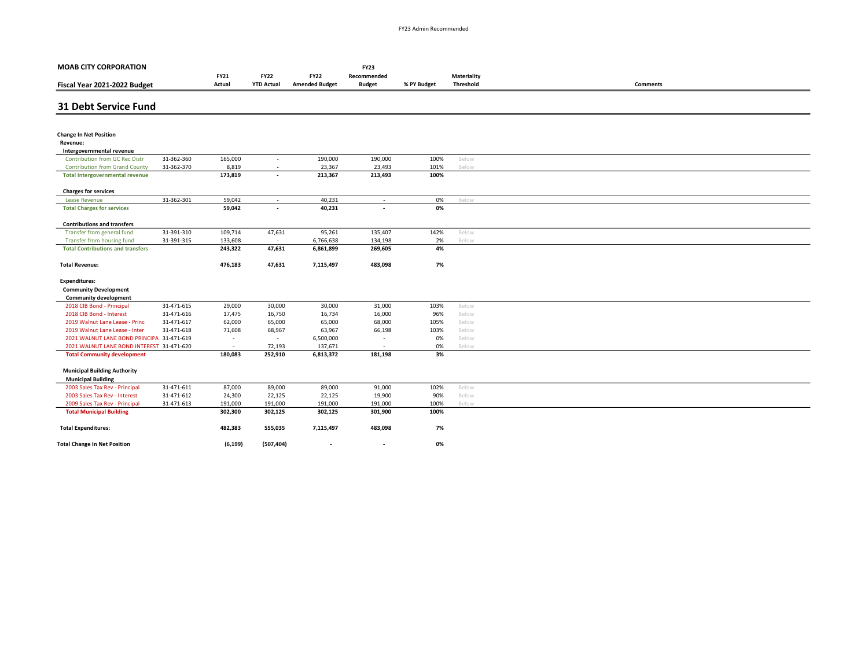| <b>MOAB CITY CORPORATION</b>                                |            |                       |                                  |                                      | <b>FY23</b>                  |              |                          |                 |
|-------------------------------------------------------------|------------|-----------------------|----------------------------------|--------------------------------------|------------------------------|--------------|--------------------------|-----------------|
| Fiscal Year 2021-2022 Budget                                |            | <b>FY21</b><br>Actual | <b>FY22</b><br><b>YTD Actual</b> | <b>FY22</b><br><b>Amended Budget</b> | Recommended<br><b>Budget</b> | % PY Budget  | Materiality<br>Threshold | <b>Comments</b> |
|                                                             |            |                       |                                  |                                      |                              |              |                          |                 |
| <b>31 Debt Service Fund</b>                                 |            |                       |                                  |                                      |                              |              |                          |                 |
|                                                             |            |                       |                                  |                                      |                              |              |                          |                 |
| <b>Change In Net Position</b>                               |            |                       |                                  |                                      |                              |              |                          |                 |
| Revenue:                                                    |            |                       |                                  |                                      |                              |              |                          |                 |
| Intergovernmental revenue                                   |            |                       |                                  |                                      |                              |              |                          |                 |
| <b>Contribution from GC Rec Distr</b>                       | 31-362-360 | 165,000               | ٠                                | 190,000                              | 190,000                      | 100%         | Below                    |                 |
| <b>Contribution from Grand County</b>                       | 31-362-370 | 8,819<br>173,819      | $\sim$                           | 23,367<br>213,367                    | 23,493<br>213,493            | 101%<br>100% | Below                    |                 |
| <b>Total Intergovernmental revenue</b>                      |            |                       | $\overline{\phantom{0}}$         |                                      |                              |              |                          |                 |
| <b>Charges for services</b>                                 |            |                       |                                  |                                      |                              |              |                          |                 |
| <b>Lease Revenue</b>                                        | 31-362-301 | 59,042                | $\sim$                           | 40,231                               | $\sim$                       | 0%           | Below                    |                 |
| <b>Total Charges for services</b>                           |            | 59,042                | $\overline{\phantom{a}}$         | 40,231                               | $\overline{\phantom{a}}$     | 0%           |                          |                 |
| <b>Contributions and transfers</b>                          |            |                       |                                  |                                      |                              |              |                          |                 |
| Transfer from general fund                                  | 31-391-310 | 109,714               | 47,631                           | 95,261                               | 135,407                      | 142%         | Below                    |                 |
| Transfer from housing fund                                  | 31-391-315 | 133,608               | $\sim$                           | 6,766,638                            | 134,198                      | 2%           | Below                    |                 |
| <b>Total Contributions and transfers</b>                    |            | 243,322               | 47,631                           | 6,861,899                            | 269,605                      | 4%           |                          |                 |
|                                                             |            |                       |                                  |                                      |                              |              |                          |                 |
| <b>Total Revenue:</b>                                       |            | 476,183               | 47,631                           | 7,115,497                            | 483,098                      | 7%           |                          |                 |
| <b>Expenditures:</b>                                        |            |                       |                                  |                                      |                              |              |                          |                 |
| <b>Community Development</b>                                |            |                       |                                  |                                      |                              |              |                          |                 |
| <b>Community development</b>                                |            |                       |                                  |                                      |                              |              |                          |                 |
| 2018 CIB Bond - Principal                                   | 31-471-615 | 29,000                | 30,000                           | 30,000                               | 31,000                       | 103%         | Below                    |                 |
| 2018 CIB Bond - Interest                                    | 31-471-616 | 17,475                | 16,750                           | 16,734                               | 16,000                       | 96%          | Below                    |                 |
| 2019 Walnut Lane Lease - Princ                              | 31-471-617 | 62,000                | 65,000                           | 65,000                               | 68,000                       | 105%         | Below                    |                 |
| 2019 Walnut Lane Lease - Inter                              | 31-471-618 | 71,608                | 68,967                           | 63,967                               | 66,198                       | 103%         | Below                    |                 |
| 2021 WALNUT LANE BOND PRINCIPA 31-471-619                   |            | $\sim$                | $\sim$                           | 6,500,000                            | $\overline{\phantom{a}}$     | 0%           | Below                    |                 |
| 2021 WALNUT LANE BOND INTEREST 31-471-620                   |            | $\sim$                | 72,193                           | 137,671                              | $\overline{\phantom{a}}$     | 0%           | Below                    |                 |
| <b>Total Community development</b>                          |            | 180,083               | 252,910                          | 6,813,372                            | 181,198                      | 3%           |                          |                 |
|                                                             |            |                       |                                  |                                      |                              |              |                          |                 |
| <b>Municipal Building Authority</b>                         |            |                       |                                  |                                      |                              |              |                          |                 |
| <b>Municipal Building</b><br>2003 Sales Tax Rev - Principal | 31-471-611 | 87,000                | 89,000                           | 89,000                               | 91,000                       | 102%         | Below                    |                 |
| 2003 Sales Tax Rev - Interest                               | 31-471-612 | 24,300                | 22,125                           | 22,125                               | 19,900                       | 90%          | Below                    |                 |
| 2009 Sales Tax Rev - Principal                              | 31-471-613 | 191,000               | 191,000                          | 191,000                              | 191,000                      | 100%         | Below                    |                 |
| <b>Total Municipal Building</b>                             |            | 302,300               | 302,125                          | 302,125                              | 301,900                      | 100%         |                          |                 |
|                                                             |            |                       |                                  |                                      |                              |              |                          |                 |
| <b>Total Expenditures:</b>                                  |            | 482,383               | 555,035                          | 7,115,497                            | 483,098                      | 7%           |                          |                 |
| <b>Total Change In Net Position</b>                         |            | (6, 199)              | (507, 404)                       | $\overline{\phantom{a}}$             | $\overline{\phantom{a}}$     | 0%           |                          |                 |
|                                                             |            |                       |                                  |                                      |                              |              |                          |                 |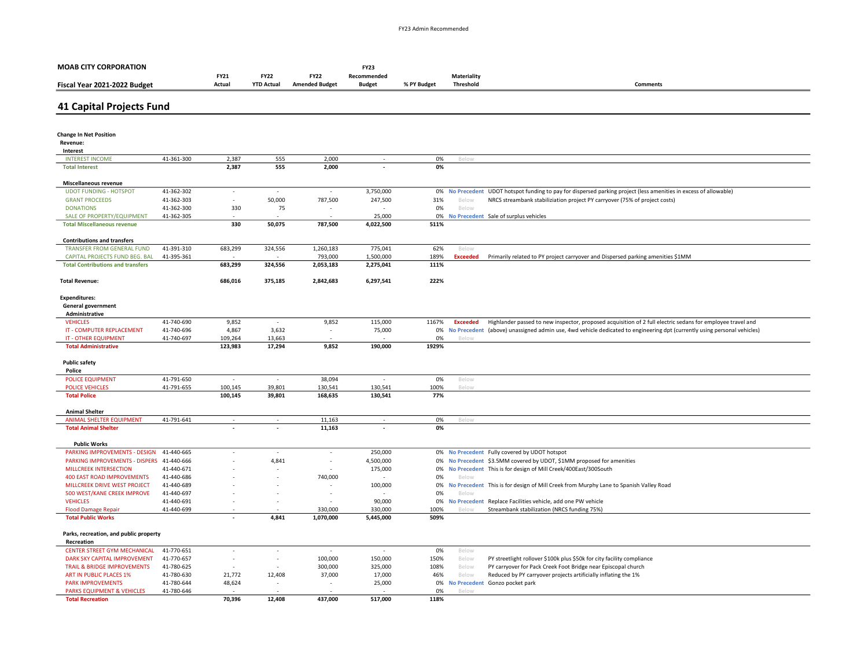| <b>MOAB CITY CORPORATION</b>                                               |            |                          |                   |                          | <b>FY23</b>              |              |                  |                                                                                                                         |
|----------------------------------------------------------------------------|------------|--------------------------|-------------------|--------------------------|--------------------------|--------------|------------------|-------------------------------------------------------------------------------------------------------------------------|
|                                                                            |            | <b>FY21</b>              | <b>FY22</b>       | <b>FY22</b>              | Recommended              |              | Materiality      |                                                                                                                         |
| Fiscal Year 2021-2022 Budget                                               |            | Actual                   | <b>YTD Actual</b> | <b>Amended Budget</b>    | <b>Budget</b>            | % PY Budget  | <b>Threshold</b> | Comments                                                                                                                |
|                                                                            |            |                          |                   |                          |                          |              |                  |                                                                                                                         |
| <b>41 Capital Projects Fund</b>                                            |            |                          |                   |                          |                          |              |                  |                                                                                                                         |
|                                                                            |            |                          |                   |                          |                          |              |                  |                                                                                                                         |
|                                                                            |            |                          |                   |                          |                          |              |                  |                                                                                                                         |
| <b>Change In Net Position</b>                                              |            |                          |                   |                          |                          |              |                  |                                                                                                                         |
| Revenue:                                                                   |            |                          |                   |                          |                          |              |                  |                                                                                                                         |
| Interest                                                                   |            |                          |                   |                          |                          |              |                  |                                                                                                                         |
| <b>INTEREST INCOME</b>                                                     | 41-361-300 | 2,387                    | 555               | 2,000                    |                          | 0%           | Below            |                                                                                                                         |
| <b>Total Interest</b>                                                      |            | 2,387                    | 555               | 2,000                    |                          | 0%           |                  |                                                                                                                         |
| Miscellaneous revenue                                                      |            |                          |                   |                          |                          |              |                  |                                                                                                                         |
| <b>UDOT FUNDING - HOTSPOT</b>                                              | 41-362-302 | $\overline{\phantom{a}}$ |                   | $\sim$                   | 3,750,000                |              |                  | 0% No Precedent UDOT hotspot funding to pay for dispersed parking project (less amenities in excess of allowable)       |
| <b>GRANT PROCEEDS</b>                                                      | 41-362-303 | $\overline{\phantom{a}}$ | 50,000            | 787,500                  | 247,500                  | 31%          | Below            | NRCS streambank stabiliziation project PY carryover (75% of project costs)                                              |
| <b>DONATIONS</b>                                                           | 41-362-300 | 330                      | 75                |                          |                          | 0%           | Below            |                                                                                                                         |
| SALE OF PROPERTY/EQUIPMENT                                                 | 41-362-305 |                          |                   |                          | 25,000                   |              |                  | 0% No Precedent Sale of surplus vehicles                                                                                |
| <b>Total Miscellaneous revenue</b>                                         |            | 330                      | 50,075            | 787,500                  | 4,022,500                | 511%         |                  |                                                                                                                         |
|                                                                            |            |                          |                   |                          |                          |              |                  |                                                                                                                         |
| <b>Contributions and transfers</b>                                         |            |                          |                   |                          |                          |              |                  |                                                                                                                         |
| <b>TRANSFER FROM GENERAL FUND</b>                                          | 41-391-310 | 683,299                  | 324,556           | 1,260,183                | 775,041                  | 62%          | Below            |                                                                                                                         |
| CAPITAL PROJECTS FUND BEG. BAL<br><b>Total Contributions and transfers</b> | 41-395-361 | 683,299                  | 324,556           | 793,000<br>2,053,183     | 1,500,000                | 189%<br>111% | <b>Exceeded</b>  | Primarily related to PY project carryover and Dispersed parking amenities \$1MM                                         |
|                                                                            |            |                          |                   |                          | 2,275,041                |              |                  |                                                                                                                         |
| <b>Total Revenue:</b>                                                      |            | 686,016                  | 375,185           | 2,842,683                | 6,297,541                | 222%         |                  |                                                                                                                         |
|                                                                            |            |                          |                   |                          |                          |              |                  |                                                                                                                         |
| <b>Expenditures:</b>                                                       |            |                          |                   |                          |                          |              |                  |                                                                                                                         |
| <b>General government</b>                                                  |            |                          |                   |                          |                          |              |                  |                                                                                                                         |
| Administrative                                                             |            |                          |                   |                          |                          |              |                  |                                                                                                                         |
| <b>VEHICLES</b>                                                            | 41-740-690 | 9,852                    |                   | 9,852                    | 115,000                  | 1167%        | <b>Exceeded</b>  | Highlander passed to new inspector, proposed acquisition of 2 full electric sedans for employee travel and              |
| IT - COMPUTER REPLACEMENT                                                  | 41-740-696 | 4,867                    | 3,632             | $\overline{\phantom{a}}$ | 75,000                   | 0%           |                  | No Precedent (above) unassigned admin use, 4wd vehicle dedicated to engineering dpt (currently using personal vehicles) |
| IT - OTHER EQUIPMENT<br><b>Total Administrative</b>                        | 41-740-697 | 109,264<br>123,983       | 13,663<br>17,294  | 9,852                    | 190,000                  | 0%<br>1929%  | Beloy            |                                                                                                                         |
|                                                                            |            |                          |                   |                          |                          |              |                  |                                                                                                                         |
| <b>Public safety</b>                                                       |            |                          |                   |                          |                          |              |                  |                                                                                                                         |
| Police                                                                     |            |                          |                   |                          |                          |              |                  |                                                                                                                         |
| <b>POLICE EQUIPMENT</b>                                                    | 41-791-650 | $\overline{\phantom{a}}$ | $\mathcal{L}$     | 38,094                   | $\overline{\phantom{a}}$ | 0%           | Below            |                                                                                                                         |
| <b>POLICE VEHICLES</b>                                                     | 41-791-655 | 100,145                  | 39,801            | 130,541                  | 130,541                  | 100%         | Beloy            |                                                                                                                         |
| <b>Total Police</b>                                                        |            | 100,145                  | 39,801            | 168,635                  | 130,541                  | 77%          |                  |                                                                                                                         |
| <b>Animal Shelter</b>                                                      |            |                          |                   |                          |                          |              |                  |                                                                                                                         |
| ANIMAL SHELTER EQUIPMENT                                                   | 41-791-641 |                          |                   | 11,163                   |                          | 0%           | Below            |                                                                                                                         |
| <b>Total Animal Shelter</b>                                                |            |                          |                   | 11,163                   |                          | 0%           |                  |                                                                                                                         |
|                                                                            |            |                          |                   |                          |                          |              |                  |                                                                                                                         |
| <b>Public Works</b>                                                        |            |                          |                   |                          |                          |              |                  |                                                                                                                         |
| PARKING IMPROVEMENTS - DESIGN                                              | 41-440-665 | $\overline{\phantom{a}}$ |                   | $\overline{\phantom{a}}$ | 250,000                  |              |                  | 0% No Precedent Fully covered by UDOT hotspot                                                                           |
| PARKING IMPROVEMENTS - DISPERS                                             | 41-440-666 |                          | 4,841             | $\overline{\phantom{a}}$ | 4,500,000                | 0%           |                  | No Precedent \$3.5MM covered by UDOT, \$1MM proposed for amenities                                                      |
| <b>MILLCREEK INTERSECTION</b>                                              | 41-440-671 |                          |                   |                          | 175,000                  | 0%           |                  | No Precedent This is for design of Mill Creek/400East/300South                                                          |
| <b>400 EAST ROAD IMPROVEMENTS</b>                                          | 41-440-686 |                          |                   | 740,000                  |                          | 0%           | Below            |                                                                                                                         |
| MILLCREEK DRIVE WEST PROJECT                                               | 41-440-689 |                          |                   |                          | 100,000                  | 0%           |                  | No Precedent This is for design of Mill Creek from Murphy Lane to Spanish Valley Road                                   |
| 500 WEST/KANE CREEK IMPROVE                                                | 41-440-697 |                          |                   | $\overline{\phantom{a}}$ |                          | 0%           | Below            |                                                                                                                         |
| <b>VEHICLES</b>                                                            | 41-440-691 |                          |                   |                          | 90,000                   | 0%           |                  | No Precedent Replace Facilities vehicle, add one PW vehicle                                                             |
| <b>Flood Damage Repair</b>                                                 | 41-440-699 |                          |                   | 330,000                  | 330,000                  | 100%         | <b>Below</b>     | Streambank stabilization (NRCS funding 75%)                                                                             |
| <b>Total Public Works</b>                                                  |            | $\overline{a}$           | 4,841             | 1,070,000                | 5,445,000                | 509%         |                  |                                                                                                                         |
| Parks, recreation, and public property                                     |            |                          |                   |                          |                          |              |                  |                                                                                                                         |
| Recreation                                                                 |            |                          |                   |                          |                          |              |                  |                                                                                                                         |
| CENTER STREET GYM MECHANICAL                                               | 41-770-651 | $\overline{\phantom{a}}$ |                   |                          |                          | 0%           | Below            |                                                                                                                         |
| DARK SKY CAPITAL IMPROVEMENT                                               | 41-770-657 | $\overline{\phantom{a}}$ | $\sim$            | 100,000                  | 150,000                  | 150%         | Below            | PY streetlight rollover \$100k plus \$50k for city facility compliance                                                  |
| TRAIL & BRIDGE IMPROVEMENTS                                                | 41-780-625 | $\sim$                   |                   | 300,000                  | 325,000                  | 108%         | Below            | PY carryover for Pack Creek Foot Bridge near Episcopal church                                                           |
| ART IN PUBLIC PLACES 1%                                                    | 41-780-630 | 21,772                   | 12,408            | 37,000                   | 17,000                   | 46%          | Below            | Reduced by PY carryover projects artificially inflating the 1%                                                          |
| <b>PARK IMPROVEMENTS</b>                                                   | 41-780-644 | 48,624                   |                   |                          | 25,000                   | 0%           |                  | Vo Precedent Gonzo pocket park                                                                                          |
| <b>PARKS EQUIPMENT &amp; VEHICLES</b>                                      | 41-780-646 |                          |                   |                          |                          | 0%           | Below            |                                                                                                                         |
| <b>Total Recreation</b>                                                    |            | 70,396                   | 12,408            | 437,000                  | 517,000                  | 118%         |                  |                                                                                                                         |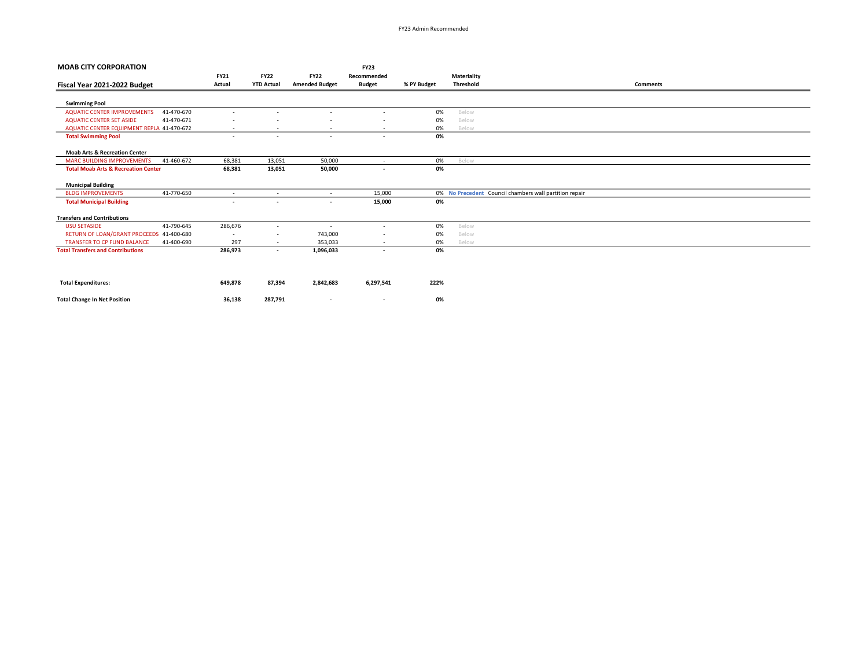| <b>MOAB CITY CORPORATION</b>                     |                          |                          |                          | <b>FY23</b>              |             |                    |                                                        |
|--------------------------------------------------|--------------------------|--------------------------|--------------------------|--------------------------|-------------|--------------------|--------------------------------------------------------|
|                                                  | <b>FY21</b>              | <b>FY22</b>              | <b>FY22</b>              | Recommended              |             | <b>Materiality</b> |                                                        |
| Fiscal Year 2021-2022 Budget                     | Actual                   | <b>YTD Actual</b>        | <b>Amended Budget</b>    | <b>Budget</b>            | % PY Budget | <b>Threshold</b>   | <b>Comments</b>                                        |
|                                                  |                          |                          |                          |                          |             |                    |                                                        |
| <b>Swimming Pool</b>                             |                          |                          |                          |                          |             |                    |                                                        |
| <b>AQUATIC CENTER IMPROVEMENTS</b><br>41-470-670 | $\overline{\phantom{a}}$ |                          | $\sim$                   | $\overline{\phantom{a}}$ | 0%          | Below              |                                                        |
| <b>AQUATIC CENTER SET ASIDE</b><br>41-470-671    | $\overline{\phantom{a}}$ |                          |                          | $\overline{\phantom{a}}$ | 0%          | Below              |                                                        |
| AQUATIC CENTER EQUIPMENT REPLA 41-470-672        | $\overline{\phantom{a}}$ |                          | $\overline{\phantom{a}}$ | $\overline{\phantom{a}}$ | 0%          | Below              |                                                        |
| <b>Total Swimming Pool</b>                       | $\overline{\phantom{a}}$ | $\overline{\phantom{a}}$ | $\overline{\phantom{a}}$ | $\overline{\phantom{a}}$ | 0%          |                    |                                                        |
| <b>Moab Arts &amp; Recreation Center</b>         |                          |                          |                          |                          |             |                    |                                                        |
| <b>MARC BUILDING IMPROVEMENTS</b><br>41-460-672  | 68,381                   | 13,051                   | 50,000                   | $\sim$                   | 0%          | Below              |                                                        |
| <b>Total Moab Arts &amp; Recreation Center</b>   | 68,381                   | 13,051                   | 50,000                   | $\overline{\phantom{a}}$ | 0%          |                    |                                                        |
| <b>Municipal Building</b>                        |                          |                          |                          |                          |             |                    |                                                        |
| 41-770-650<br><b>BLDG IMPROVEMENTS</b>           | $\overline{\phantom{a}}$ | $\sim$                   | $\sim$                   | 15,000                   |             |                    | 0% No Precedent Council chambers wall partition repair |
| <b>Total Municipal Building</b>                  | $\overline{\phantom{a}}$ | $\overline{\phantom{a}}$ | $\overline{\phantom{a}}$ | 15,000                   | 0%          |                    |                                                        |
| <b>Transfers and Contributions</b>               |                          |                          |                          |                          |             |                    |                                                        |
| 41-790-645<br><b>USU SETASIDE</b>                | 286,676                  | $\sim$                   | $\overline{\phantom{a}}$ | $\overline{\phantom{a}}$ | 0%          | Below              |                                                        |
| RETURN OF LOAN/GRANT PROCEEDS 41-400-680         | $\overline{\phantom{a}}$ | $\sim$                   | 743,000                  | $\overline{\phantom{a}}$ | 0%          | Below              |                                                        |
| <b>TRANSFER TO CP FUND BALANCE</b><br>41-400-690 | 297                      | $\sim$                   | 353,033                  | $\overline{\phantom{a}}$ | 0%          | Below              |                                                        |
| <b>Total Transfers and Contributions</b>         | 286,973                  | $\sim$                   | 1,096,033                | $\overline{\phantom{a}}$ | 0%          |                    |                                                        |
|                                                  |                          |                          |                          |                          |             |                    |                                                        |
| <b>Total Expenditures:</b>                       | 649,878                  | 87,394                   | 2,842,683                | 6,297,541                | 222%        |                    |                                                        |
|                                                  |                          |                          |                          |                          |             |                    |                                                        |

Total Change In Net Position 286,138 287,791 - 287,791 287,138 and 287,791 0%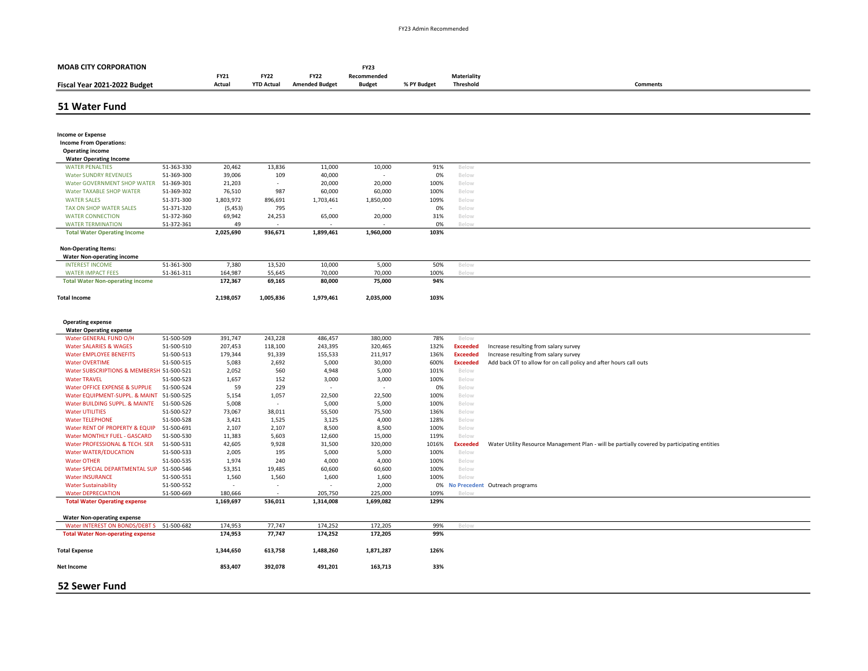| <b>MOAB CITY CORPORATION</b>                                     |                          |                          |                   |                       | <b>FY23</b>      |               |                 |                                                                                              |
|------------------------------------------------------------------|--------------------------|--------------------------|-------------------|-----------------------|------------------|---------------|-----------------|----------------------------------------------------------------------------------------------|
|                                                                  |                          | <b>FY21</b>              | <b>FY22</b>       | <b>FY22</b>           | Recommended      |               | Materiality     |                                                                                              |
| Fiscal Year 2021-2022 Budget                                     |                          | Actual                   | <b>YTD Actual</b> | <b>Amended Budget</b> | <b>Budget</b>    | % PY Budget   | Threshold       | <b>Comments</b>                                                                              |
| 51 Water Fund                                                    |                          |                          |                   |                       |                  |               |                 |                                                                                              |
|                                                                  |                          |                          |                   |                       |                  |               |                 |                                                                                              |
|                                                                  |                          |                          |                   |                       |                  |               |                 |                                                                                              |
| <b>Income or Expense</b>                                         |                          |                          |                   |                       |                  |               |                 |                                                                                              |
| <b>Income From Operations:</b>                                   |                          |                          |                   |                       |                  |               |                 |                                                                                              |
| <b>Operating income</b>                                          |                          |                          |                   |                       |                  |               |                 |                                                                                              |
| <b>Water Operating Income</b>                                    |                          |                          |                   |                       |                  |               |                 |                                                                                              |
| <b>WATER PENALTIES</b>                                           | 51-363-330               | 20,462                   | 13,836            | 11,000                | 10,000           | 91%           | Below           |                                                                                              |
| <b>Water SUNDRY REVENUES</b>                                     | 51-369-300<br>51-369-301 | 39,006                   | 109<br>$\sim$     | 40,000                |                  | 0%<br>100%    | Below           |                                                                                              |
| Water GOVERNMENT SHOP WATER<br>Water TAXABLE SHOP WATER          | 51-369-302               | 21,203<br>76,510         | 987               | 20,000<br>60,000      | 20,000<br>60,000 | 100%          | Below           |                                                                                              |
| <b>WATER SALES</b>                                               | 51-371-300               | 1,803,972                | 896,691           | 1,703,461             | 1,850,000        | 109%          | Below<br>Below  |                                                                                              |
| TAX ON SHOP WATER SALES                                          | 51-371-320               | (5, 453)                 | 795               |                       |                  | 0%            | Below           |                                                                                              |
| <b>WATER CONNECTION</b>                                          | 51-372-360               | 69,942                   | 24,253            | 65,000                | 20,000           | 31%           | Below           |                                                                                              |
| <b>WATER TERMINATION</b>                                         | 51-372-361               | 49                       |                   |                       |                  | 0%            | Below           |                                                                                              |
| <b>Total Water Operating Income</b>                              |                          | 2,025,690                | 936,671           | 1,899,461             | 1,960,000        | 103%          |                 |                                                                                              |
|                                                                  |                          |                          |                   |                       |                  |               |                 |                                                                                              |
| <b>Non-Operating Items:</b><br><b>Water Non-operating income</b> |                          |                          |                   |                       |                  |               |                 |                                                                                              |
| <b>INTEREST INCOME</b>                                           | 51-361-300               | 7,380                    | 13,520            | 10,000                | 5,000            | 50%           | Below           |                                                                                              |
| <b>WATER IMPACT FEES</b>                                         | 51-361-311               | 164,987                  | 55,645            | 70,000                | 70,000           | 100%          | Below           |                                                                                              |
| <b>Total Water Non-operating income</b>                          |                          | 172,367                  | 69,165            | 80,000                | 75,000           | 94%           |                 |                                                                                              |
| <b>Total Income</b>                                              |                          | 2,198,057                | 1,005,836         | 1,979,461             | 2,035,000        | 103%          |                 |                                                                                              |
|                                                                  |                          |                          |                   |                       |                  |               |                 |                                                                                              |
|                                                                  |                          |                          |                   |                       |                  |               |                 |                                                                                              |
| <b>Operating expense</b><br><b>Water Operating expense</b>       |                          |                          |                   |                       |                  |               |                 |                                                                                              |
| Water GENERAL FUND O/H                                           | 51-500-509               | 391,747                  | 243,228           | 486,457               | 380,000          | 78%           | Below           |                                                                                              |
| <b>Water SALARIES &amp; WAGES</b>                                | 51-500-510               | 207,453                  | 118,100           | 243,395               | 320,465          | 132%          | <b>Exceeded</b> | Increase resulting from salary survey                                                        |
| <b>Water EMPLOYEE BENEFITS</b>                                   | 51-500-513               | 179,344                  | 91,339            | 155,533               | 211,917          | 136%          | <b>Exceeded</b> | Increase resulting from salary survey                                                        |
| <b>Water OVERTIME</b>                                            | 51-500-515               | 5,083                    | 2,692             | 5,000                 | 30,000           | 600%          | <b>Exceeded</b> | Add back OT to allow for on call policy and after hours call outs                            |
| Water SUBSCRIPTIONS & MEMBERSH 51-500-521                        |                          | 2,052                    | 560               | 4,948                 | 5,000            | 101%          | Below           |                                                                                              |
| <b>Water TRAVEL</b>                                              | 51-500-523               | 1,657                    | 152               | 3,000                 | 3,000            | 100%          | Below           |                                                                                              |
| Water OFFICE EXPENSE & SUPPLIE                                   | 51-500-524               | 59                       | 229               |                       |                  | 0%            | Below           |                                                                                              |
| Water EQUIPMENT-SUPPL. & MAINT                                   | 51-500-525               | 5,154                    | 1,057             | 22,500                | 22,500           | 100%          | Below           |                                                                                              |
| Water BUILDING SUPPL. & MAINTE                                   | 51-500-526               | 5,008                    |                   | 5,000                 | 5,000            | 100%          | Below           |                                                                                              |
| <b>Water UTILITIES</b>                                           | 51-500-527               | 73,067                   | 38,011            | 55,500                | 75,500           | 136%          | Below           |                                                                                              |
| <b>Water TELEPHONE</b>                                           | 51-500-528               | 3,421                    | 1,525             | 3,125                 | 4,000            | 128%          | Below           |                                                                                              |
| Water RENT OF PROPERTY & EQUIP                                   | 51-500-691               | 2,107                    | 2,107             | 8,500                 | 8,500            | 100%          | Below           |                                                                                              |
| <b>Water MONTHLY FUEL - GASCARD</b>                              | 51-500-530               | 11,383                   | 5,603             | 12,600                | 15,000           | 119%          | Below           |                                                                                              |
| Water PROFESSIONAL & TECH. SER                                   | 51-500-531<br>51-500-533 | 42,605<br>2,005          | 9,928<br>195      | 31,500                | 320,000          | 1016%<br>100% | <b>Exceeded</b> | Water Utility Resource Management Plan - will be partially covered by participating entities |
| <b>Water WATER/EDUCATION</b><br><b>Water OTHER</b>               | 51-500-535               | 1,974                    | 240               | 5,000<br>4,000        | 5,000<br>4,000   | 100%          | Below<br>Below  |                                                                                              |
| Water SPECIAL DEPARTMENTAL SUP                                   | 51-500-546               | 53,351                   | 19,485            | 60,600                | 60,600           | 100%          | Below           |                                                                                              |
| <b>Water INSURANCE</b>                                           | 51-500-551               | 1,560                    | 1,560             | 1,600                 | 1,600            | 100%          | Below           |                                                                                              |
| <b>Water Sustainability</b>                                      | 51-500-552               | $\overline{\phantom{a}}$ | $\sim$            |                       | 2,000            | 0%            |                 | No Precedent Outreach programs                                                               |
| <b>Water DEPRECIATION</b>                                        | 51-500-669               | 180,666                  |                   | 205,750               | 225,000          | 109%          | Below           |                                                                                              |
| <b>Total Water Operating expense</b>                             |                          | 1,169,697                | 536,011           | 1,314,008             | 1,699,082        | 129%          |                 |                                                                                              |
| <b>Water Non-operating expense</b>                               |                          |                          |                   |                       |                  |               |                 |                                                                                              |
| Water INTEREST ON BONDS/DEBT S                                   | 51-500-682               | 174,953                  | 77,747            | 174,252               | 172,205          | 99%           | Below           |                                                                                              |
| <b>Total Water Non-operating expense</b>                         |                          | 174,953                  | 77,747            | 174,252               | 172,205          | 99%           |                 |                                                                                              |
| <b>Total Expense</b>                                             |                          | 1,344,650                | 613,758           | 1,488,260             | 1,871,287        | 126%          |                 |                                                                                              |
| Net Income                                                       |                          | 853,407                  | 392,078           | 491,201               | 163,713          | 33%           |                 |                                                                                              |
|                                                                  |                          |                          |                   |                       |                  |               |                 |                                                                                              |
| <b>52 Sewer Fund</b>                                             |                          |                          |                   |                       |                  |               |                 |                                                                                              |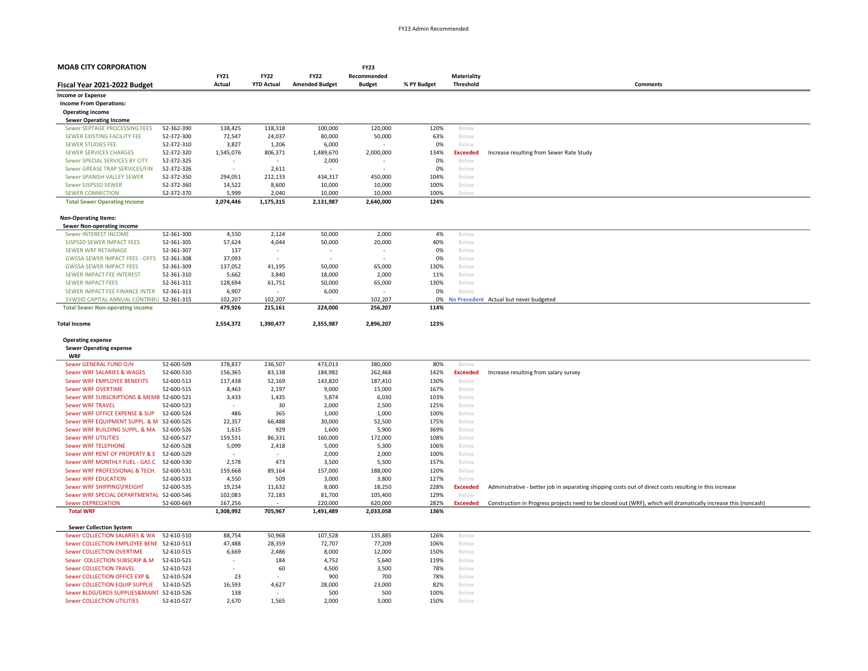| <b>FY21</b><br><b>FY22</b><br><b>FY22</b><br>Recommended<br>Materiality<br>Actual<br><b>YTD Actual</b><br><b>Amended Budget</b><br><b>Budget</b><br>% PY Budget<br>Threshold<br><b>Comments</b><br><b>Income or Expense</b><br><b>Income From Operations:</b><br><b>Operating income</b><br><b>Sewer Operating Income</b><br>Sewer SEPTAGE PROCESSING FEES<br>52-362-390<br>138,425<br>118,318<br>100,000<br>120,000<br>120%<br>Below<br>80,000<br>63%<br>SEWER EXISTING FACILITY FEE<br>52-372-300<br>72,547<br>24,037<br>50,000<br>Below<br><b>SEWER STUDIES FEE</b><br>52-372-310<br>3,827<br>1,206<br>6,000<br>0%<br>Below<br><b>SEWER SERVICES CHARGES</b><br>52-372-320<br>1,545,076<br>806,371<br>1,489,670<br>2,000,000<br>134%<br><b>Exceeded</b><br>Increase resulting from Sewer Rate Study<br>Sewer SPECIAL SERVICES BY CITY<br>52-372-325<br>2,000<br>0%<br>Below<br>Sewer GREASE TRAP SERVICES/FIN<br>52-372-326<br>2,611<br>0%<br>Below<br>Sewer SPANISH VALLEY SEWER<br>52-372-350<br>294,051<br>212,133<br>434,317<br>450,000<br>104%<br>Below<br>Sewer SJSPSSD SEWER<br>52-372-360<br>14,522<br>8,600<br>10,000<br>10,000<br>100%<br>Below<br>5,999<br>2,040<br><b>SEWER CONNECTION</b><br>52-372-370<br>10,000<br>10,000<br>100%<br>2,074,446<br>1,175,315<br>2,131,987<br>2,640,000<br>124%<br><b>Total Sewer Operating Income</b><br><b>Non-Operating Items:</b><br><b>Sewer Non-operating income</b><br>52-361-300<br>4,550<br>2,124<br>50,000<br>2,000<br>4%<br>Sewer INTEREST INCOME<br>Below<br>57,624<br>4,044<br>50,000<br>20,000<br>40%<br>SJSPSSD SEWER IMPACT FEES<br>52-361-305<br>Below<br><b>SEWER WRF RETAINAGE</b><br>52-361-307<br>137<br>0%<br>Below<br>$\overline{\phantom{a}}$<br>$\overline{\phantom{0}}$<br><b>GWSSA SEWER IMPACT FEES - OFFS</b><br>52-361-308<br>37,093<br>0%<br>$\overline{a}$<br>Below<br><b>GWSSA SEWER IMPACT FEES</b><br>52-361-309<br>137,052<br>41,195<br>50,000<br>65,000<br>130%<br>Below<br>SEWER IMPACT FEE INTEREST<br>3,840<br>18,000<br>2,000<br>11%<br>52-361-310<br>5,662<br>Below<br><b>SEWER IMPACT FEES</b><br>52-361-311<br>128,694<br>61,751<br>50,000<br>65,000<br>130%<br>Below<br>SEWER IMPACT FEE FINANCE INTER<br>52-361-313<br>6,907<br>6,000<br>0%<br>Below<br>SVWSID CAPITAL ANNUAL CONTRIBU 52-361-315<br>102,207<br>102,207<br>102,207<br>0%<br>No Precedent Actual but never budgeted<br>479,926<br>215,161<br>224,000<br>256,207<br>114%<br><b>Total Sewer Non-operating income</b><br><b>Total Income</b><br>2,554,372<br>1,390,477<br>2,355,987<br>2,896,207<br>123%<br><b>Operating expense</b><br><b>Sewer Operating expense</b><br><b>WRF</b><br>52-600-509<br>378,837<br>236,507<br>473,013<br>380,000<br>80%<br>Sewer GENERAL FUND O/H<br>Below<br>52-600-510<br>156,365<br>83,138<br>184,982<br>262,468<br>142%<br>Sewer WRF SALARIES & WAGES<br><b>Exceeded</b><br>Increase resulting from salary survey<br>52-600-513<br>117,438<br>52,169<br>143,820<br>187,410<br>130%<br>Sewer WRF EMPLOYEE BENEFITS<br>Below<br><b>Sewer WRF OVERTIME</b><br>52-600-515<br>8,463<br>2,197<br>9,000<br>15,000<br>167%<br>Below<br>Sewer WRF SUBSCRIPTIONS & MEMB 52-600-521<br>1,435<br>5,874<br>6,030<br>3,433<br>103%<br>Below<br>30<br>2,000<br>2,500<br>125%<br><b>Sewer WRF TRAVEL</b><br>52-600-523<br>Below<br>52-600-524<br>486<br>365<br>1,000<br>1,000<br>Sewer WRF OFFICE EXPENSE & SUP<br>100%<br>Below<br>Sewer WRF EQUIPMENT SUPPL. & M 52-600-525<br>22,357<br>66,488<br>30,000<br>52,500<br>175%<br>Below<br>Sewer WRF BUILDING SUPPL. & MA<br>1,600<br>52-600-526<br>1,615<br>929<br>5,900<br>369%<br>Below<br><b>Sewer WRF UTILITIES</b><br>52-600-527<br>159,531<br>86,331<br>160,000<br>172,000<br>108%<br>Below<br>5,099<br>5,000<br>106%<br><b>Sewer WRF TELEPHONE</b><br>52-600-528<br>2,418<br>5,300<br>Below<br>Sewer WRF RENT OF PROPERTY & E 52-600-529<br>2,000<br>2,000<br>100%<br>Below<br>Sewer WRF MONTHLY FUEL - GAS C<br>2,578<br>473<br>3,500<br>5,500<br>52-600-530<br>157%<br>Below<br>159,668<br>157,000<br>Sewer WRF PROFESSIONAL & TECH.<br>52-600-531<br>89,164<br>188,000<br>120%<br>Below<br><b>Sewer WRF EDUCATION</b><br>52-600-533<br>4,550<br>509<br>3,000<br>3,800<br>127%<br>Below<br>Sewer WRF SHIPPING\FREIGHT<br>52-600-535<br>19,234<br>11,632<br>8,000<br>18,250<br>228%<br><b>Exceeded</b><br>Administrative - better job in separating shipping costs out of direct costs resulting in this increase<br>Sewer WRF SPECIAL DEPARTMENTAL 52-600-546<br>102,083<br>72,183<br>81,700<br>105,400<br>129%<br>Below<br><b>Sewer DEPRECIATION</b><br>52-600-669<br>167,256<br>220,000<br>282%<br><b>Exceeded</b><br>Construction in Progress projects need to be closed out (WRF), which will dramatically increase this (noncash)<br>620,000<br><b>Total WRF</b><br>1,308,992<br>705,967<br>1,491,489<br>2,033,058<br>136%<br><b>Sewer Collection System</b><br>107,528<br>135,885<br>Sewer COLLECTION SALARIES & WA<br>52-610-510<br>88,754<br>50,968<br>126%<br>Below<br>Sewer COLLECTION EMPLOYEE BENE 52-610-513<br>47,488<br>28,359<br>72,707<br>77,209<br>106%<br>Below<br><b>Sewer COLLECTION OVERTIME</b><br>52-610-515<br>6,669<br>2,486<br>8,000<br>12,000<br>150%<br>Below<br>Sewer COLLECTION SUBSCRIP & M<br>184<br>4,752<br>52-610-521<br>5,640<br>119%<br>Below<br><b>Sewer COLLECTION TRAVEL</b><br>60<br>4,500<br>3,500<br>78%<br>52-610-523<br>Below<br>Sewer COLLECTION OFFICE EXP &<br>52-610-524<br>23<br>900<br>700<br>78%<br>Below<br>Sewer COLLECTION EQUIP SUPPLIE<br>16,593<br>28,000<br>23,000<br>82%<br>52-610-525<br>4,627<br>Below<br>Sewer BLDG/GRDS SUPPLIES&MAINT 52-610-526<br>138<br>500<br>500<br>100%<br>Below<br><b>Sewer COLLECTION UTILITIES</b><br>52-610-527<br>2,670<br>1,565<br>2,000<br>3,000<br>150%<br>Below | <b>MOAB CITY CORPORATION</b> |  |  | <b>FY23</b> |  |  |
|-------------------------------------------------------------------------------------------------------------------------------------------------------------------------------------------------------------------------------------------------------------------------------------------------------------------------------------------------------------------------------------------------------------------------------------------------------------------------------------------------------------------------------------------------------------------------------------------------------------------------------------------------------------------------------------------------------------------------------------------------------------------------------------------------------------------------------------------------------------------------------------------------------------------------------------------------------------------------------------------------------------------------------------------------------------------------------------------------------------------------------------------------------------------------------------------------------------------------------------------------------------------------------------------------------------------------------------------------------------------------------------------------------------------------------------------------------------------------------------------------------------------------------------------------------------------------------------------------------------------------------------------------------------------------------------------------------------------------------------------------------------------------------------------------------------------------------------------------------------------------------------------------------------------------------------------------------------------------------------------------------------------------------------------------------------------------------------------------------------------------------------------------------------------------------------------------------------------------------------------------------------------------------------------------------------------------------------------------------------------------------------------------------------------------------------------------------------------------------------------------------------------------------------------------------------------------------------------------------------------------------------------------------------------------------------------------------------------------------------------------------------------------------------------------------------------------------------------------------------------------------------------------------------------------------------------------------------------------------------------------------------------------------------------------------------------------------------------------------------------------------------------------------------------------------------------------------------------------------------------------------------------------------------------------------------------------------------------------------------------------------------------------------------------------------------------------------------------------------------------------------------------------------------------------------------------------------------------------------------------------------------------------------------------------------------------------------------------------------------------------------------------------------------------------------------------------------------------------------------------------------------------------------------------------------------------------------------------------------------------------------------------------------------------------------------------------------------------------------------------------------------------------------------------------------------------------------------------------------------------------------------------------------------------------------------------------------------------------------------------------------------------------------------------------------------------------------------------------------------------------------------------------------------------------------------------------------------------------------------------------------------------------------------------------------------------------------------------------------------------------------------------------------------------------------------------------------------------------------------------------------------------------------------------------------------------------------------------------------------------------------------------------------------------------------------------------------------------------------------------------------------------------------------------------------------------------------------------------------------------------------------------------------------------------------------------------------------------------------------------------------------------------------------------------------------------------------------------------------------------------------------------------------------------------------------------------------------------------------------------------------------------------------------------------------------------------------------------------------------------------------------------------------------------------------|------------------------------|--|--|-------------|--|--|
|                                                                                                                                                                                                                                                                                                                                                                                                                                                                                                                                                                                                                                                                                                                                                                                                                                                                                                                                                                                                                                                                                                                                                                                                                                                                                                                                                                                                                                                                                                                                                                                                                                                                                                                                                                                                                                                                                                                                                                                                                                                                                                                                                                                                                                                                                                                                                                                                                                                                                                                                                                                                                                                                                                                                                                                                                                                                                                                                                                                                                                                                                                                                                                                                                                                                                                                                                                                                                                                                                                                                                                                                                                                                                                                                                                                                                                                                                                                                                                                                                                                                                                                                                                                                                                                                                                                                                                                                                                                                                                                                                                                                                                                                                                                                                                                                                                                                                                                                                                                                                                                                                                                                                                                                                                                                                                                                                                                                                                                                                                                                                                                                                                                                                                                                                                                                       |                              |  |  |             |  |  |
|                                                                                                                                                                                                                                                                                                                                                                                                                                                                                                                                                                                                                                                                                                                                                                                                                                                                                                                                                                                                                                                                                                                                                                                                                                                                                                                                                                                                                                                                                                                                                                                                                                                                                                                                                                                                                                                                                                                                                                                                                                                                                                                                                                                                                                                                                                                                                                                                                                                                                                                                                                                                                                                                                                                                                                                                                                                                                                                                                                                                                                                                                                                                                                                                                                                                                                                                                                                                                                                                                                                                                                                                                                                                                                                                                                                                                                                                                                                                                                                                                                                                                                                                                                                                                                                                                                                                                                                                                                                                                                                                                                                                                                                                                                                                                                                                                                                                                                                                                                                                                                                                                                                                                                                                                                                                                                                                                                                                                                                                                                                                                                                                                                                                                                                                                                                                       | Fiscal Year 2021-2022 Budget |  |  |             |  |  |
|                                                                                                                                                                                                                                                                                                                                                                                                                                                                                                                                                                                                                                                                                                                                                                                                                                                                                                                                                                                                                                                                                                                                                                                                                                                                                                                                                                                                                                                                                                                                                                                                                                                                                                                                                                                                                                                                                                                                                                                                                                                                                                                                                                                                                                                                                                                                                                                                                                                                                                                                                                                                                                                                                                                                                                                                                                                                                                                                                                                                                                                                                                                                                                                                                                                                                                                                                                                                                                                                                                                                                                                                                                                                                                                                                                                                                                                                                                                                                                                                                                                                                                                                                                                                                                                                                                                                                                                                                                                                                                                                                                                                                                                                                                                                                                                                                                                                                                                                                                                                                                                                                                                                                                                                                                                                                                                                                                                                                                                                                                                                                                                                                                                                                                                                                                                                       |                              |  |  |             |  |  |
|                                                                                                                                                                                                                                                                                                                                                                                                                                                                                                                                                                                                                                                                                                                                                                                                                                                                                                                                                                                                                                                                                                                                                                                                                                                                                                                                                                                                                                                                                                                                                                                                                                                                                                                                                                                                                                                                                                                                                                                                                                                                                                                                                                                                                                                                                                                                                                                                                                                                                                                                                                                                                                                                                                                                                                                                                                                                                                                                                                                                                                                                                                                                                                                                                                                                                                                                                                                                                                                                                                                                                                                                                                                                                                                                                                                                                                                                                                                                                                                                                                                                                                                                                                                                                                                                                                                                                                                                                                                                                                                                                                                                                                                                                                                                                                                                                                                                                                                                                                                                                                                                                                                                                                                                                                                                                                                                                                                                                                                                                                                                                                                                                                                                                                                                                                                                       |                              |  |  |             |  |  |
|                                                                                                                                                                                                                                                                                                                                                                                                                                                                                                                                                                                                                                                                                                                                                                                                                                                                                                                                                                                                                                                                                                                                                                                                                                                                                                                                                                                                                                                                                                                                                                                                                                                                                                                                                                                                                                                                                                                                                                                                                                                                                                                                                                                                                                                                                                                                                                                                                                                                                                                                                                                                                                                                                                                                                                                                                                                                                                                                                                                                                                                                                                                                                                                                                                                                                                                                                                                                                                                                                                                                                                                                                                                                                                                                                                                                                                                                                                                                                                                                                                                                                                                                                                                                                                                                                                                                                                                                                                                                                                                                                                                                                                                                                                                                                                                                                                                                                                                                                                                                                                                                                                                                                                                                                                                                                                                                                                                                                                                                                                                                                                                                                                                                                                                                                                                                       |                              |  |  |             |  |  |
|                                                                                                                                                                                                                                                                                                                                                                                                                                                                                                                                                                                                                                                                                                                                                                                                                                                                                                                                                                                                                                                                                                                                                                                                                                                                                                                                                                                                                                                                                                                                                                                                                                                                                                                                                                                                                                                                                                                                                                                                                                                                                                                                                                                                                                                                                                                                                                                                                                                                                                                                                                                                                                                                                                                                                                                                                                                                                                                                                                                                                                                                                                                                                                                                                                                                                                                                                                                                                                                                                                                                                                                                                                                                                                                                                                                                                                                                                                                                                                                                                                                                                                                                                                                                                                                                                                                                                                                                                                                                                                                                                                                                                                                                                                                                                                                                                                                                                                                                                                                                                                                                                                                                                                                                                                                                                                                                                                                                                                                                                                                                                                                                                                                                                                                                                                                                       |                              |  |  |             |  |  |
|                                                                                                                                                                                                                                                                                                                                                                                                                                                                                                                                                                                                                                                                                                                                                                                                                                                                                                                                                                                                                                                                                                                                                                                                                                                                                                                                                                                                                                                                                                                                                                                                                                                                                                                                                                                                                                                                                                                                                                                                                                                                                                                                                                                                                                                                                                                                                                                                                                                                                                                                                                                                                                                                                                                                                                                                                                                                                                                                                                                                                                                                                                                                                                                                                                                                                                                                                                                                                                                                                                                                                                                                                                                                                                                                                                                                                                                                                                                                                                                                                                                                                                                                                                                                                                                                                                                                                                                                                                                                                                                                                                                                                                                                                                                                                                                                                                                                                                                                                                                                                                                                                                                                                                                                                                                                                                                                                                                                                                                                                                                                                                                                                                                                                                                                                                                                       |                              |  |  |             |  |  |
|                                                                                                                                                                                                                                                                                                                                                                                                                                                                                                                                                                                                                                                                                                                                                                                                                                                                                                                                                                                                                                                                                                                                                                                                                                                                                                                                                                                                                                                                                                                                                                                                                                                                                                                                                                                                                                                                                                                                                                                                                                                                                                                                                                                                                                                                                                                                                                                                                                                                                                                                                                                                                                                                                                                                                                                                                                                                                                                                                                                                                                                                                                                                                                                                                                                                                                                                                                                                                                                                                                                                                                                                                                                                                                                                                                                                                                                                                                                                                                                                                                                                                                                                                                                                                                                                                                                                                                                                                                                                                                                                                                                                                                                                                                                                                                                                                                                                                                                                                                                                                                                                                                                                                                                                                                                                                                                                                                                                                                                                                                                                                                                                                                                                                                                                                                                                       |                              |  |  |             |  |  |
|                                                                                                                                                                                                                                                                                                                                                                                                                                                                                                                                                                                                                                                                                                                                                                                                                                                                                                                                                                                                                                                                                                                                                                                                                                                                                                                                                                                                                                                                                                                                                                                                                                                                                                                                                                                                                                                                                                                                                                                                                                                                                                                                                                                                                                                                                                                                                                                                                                                                                                                                                                                                                                                                                                                                                                                                                                                                                                                                                                                                                                                                                                                                                                                                                                                                                                                                                                                                                                                                                                                                                                                                                                                                                                                                                                                                                                                                                                                                                                                                                                                                                                                                                                                                                                                                                                                                                                                                                                                                                                                                                                                                                                                                                                                                                                                                                                                                                                                                                                                                                                                                                                                                                                                                                                                                                                                                                                                                                                                                                                                                                                                                                                                                                                                                                                                                       |                              |  |  |             |  |  |
|                                                                                                                                                                                                                                                                                                                                                                                                                                                                                                                                                                                                                                                                                                                                                                                                                                                                                                                                                                                                                                                                                                                                                                                                                                                                                                                                                                                                                                                                                                                                                                                                                                                                                                                                                                                                                                                                                                                                                                                                                                                                                                                                                                                                                                                                                                                                                                                                                                                                                                                                                                                                                                                                                                                                                                                                                                                                                                                                                                                                                                                                                                                                                                                                                                                                                                                                                                                                                                                                                                                                                                                                                                                                                                                                                                                                                                                                                                                                                                                                                                                                                                                                                                                                                                                                                                                                                                                                                                                                                                                                                                                                                                                                                                                                                                                                                                                                                                                                                                                                                                                                                                                                                                                                                                                                                                                                                                                                                                                                                                                                                                                                                                                                                                                                                                                                       |                              |  |  |             |  |  |
|                                                                                                                                                                                                                                                                                                                                                                                                                                                                                                                                                                                                                                                                                                                                                                                                                                                                                                                                                                                                                                                                                                                                                                                                                                                                                                                                                                                                                                                                                                                                                                                                                                                                                                                                                                                                                                                                                                                                                                                                                                                                                                                                                                                                                                                                                                                                                                                                                                                                                                                                                                                                                                                                                                                                                                                                                                                                                                                                                                                                                                                                                                                                                                                                                                                                                                                                                                                                                                                                                                                                                                                                                                                                                                                                                                                                                                                                                                                                                                                                                                                                                                                                                                                                                                                                                                                                                                                                                                                                                                                                                                                                                                                                                                                                                                                                                                                                                                                                                                                                                                                                                                                                                                                                                                                                                                                                                                                                                                                                                                                                                                                                                                                                                                                                                                                                       |                              |  |  |             |  |  |
|                                                                                                                                                                                                                                                                                                                                                                                                                                                                                                                                                                                                                                                                                                                                                                                                                                                                                                                                                                                                                                                                                                                                                                                                                                                                                                                                                                                                                                                                                                                                                                                                                                                                                                                                                                                                                                                                                                                                                                                                                                                                                                                                                                                                                                                                                                                                                                                                                                                                                                                                                                                                                                                                                                                                                                                                                                                                                                                                                                                                                                                                                                                                                                                                                                                                                                                                                                                                                                                                                                                                                                                                                                                                                                                                                                                                                                                                                                                                                                                                                                                                                                                                                                                                                                                                                                                                                                                                                                                                                                                                                                                                                                                                                                                                                                                                                                                                                                                                                                                                                                                                                                                                                                                                                                                                                                                                                                                                                                                                                                                                                                                                                                                                                                                                                                                                       |                              |  |  |             |  |  |
|                                                                                                                                                                                                                                                                                                                                                                                                                                                                                                                                                                                                                                                                                                                                                                                                                                                                                                                                                                                                                                                                                                                                                                                                                                                                                                                                                                                                                                                                                                                                                                                                                                                                                                                                                                                                                                                                                                                                                                                                                                                                                                                                                                                                                                                                                                                                                                                                                                                                                                                                                                                                                                                                                                                                                                                                                                                                                                                                                                                                                                                                                                                                                                                                                                                                                                                                                                                                                                                                                                                                                                                                                                                                                                                                                                                                                                                                                                                                                                                                                                                                                                                                                                                                                                                                                                                                                                                                                                                                                                                                                                                                                                                                                                                                                                                                                                                                                                                                                                                                                                                                                                                                                                                                                                                                                                                                                                                                                                                                                                                                                                                                                                                                                                                                                                                                       |                              |  |  |             |  |  |
|                                                                                                                                                                                                                                                                                                                                                                                                                                                                                                                                                                                                                                                                                                                                                                                                                                                                                                                                                                                                                                                                                                                                                                                                                                                                                                                                                                                                                                                                                                                                                                                                                                                                                                                                                                                                                                                                                                                                                                                                                                                                                                                                                                                                                                                                                                                                                                                                                                                                                                                                                                                                                                                                                                                                                                                                                                                                                                                                                                                                                                                                                                                                                                                                                                                                                                                                                                                                                                                                                                                                                                                                                                                                                                                                                                                                                                                                                                                                                                                                                                                                                                                                                                                                                                                                                                                                                                                                                                                                                                                                                                                                                                                                                                                                                                                                                                                                                                                                                                                                                                                                                                                                                                                                                                                                                                                                                                                                                                                                                                                                                                                                                                                                                                                                                                                                       |                              |  |  |             |  |  |
|                                                                                                                                                                                                                                                                                                                                                                                                                                                                                                                                                                                                                                                                                                                                                                                                                                                                                                                                                                                                                                                                                                                                                                                                                                                                                                                                                                                                                                                                                                                                                                                                                                                                                                                                                                                                                                                                                                                                                                                                                                                                                                                                                                                                                                                                                                                                                                                                                                                                                                                                                                                                                                                                                                                                                                                                                                                                                                                                                                                                                                                                                                                                                                                                                                                                                                                                                                                                                                                                                                                                                                                                                                                                                                                                                                                                                                                                                                                                                                                                                                                                                                                                                                                                                                                                                                                                                                                                                                                                                                                                                                                                                                                                                                                                                                                                                                                                                                                                                                                                                                                                                                                                                                                                                                                                                                                                                                                                                                                                                                                                                                                                                                                                                                                                                                                                       |                              |  |  |             |  |  |
|                                                                                                                                                                                                                                                                                                                                                                                                                                                                                                                                                                                                                                                                                                                                                                                                                                                                                                                                                                                                                                                                                                                                                                                                                                                                                                                                                                                                                                                                                                                                                                                                                                                                                                                                                                                                                                                                                                                                                                                                                                                                                                                                                                                                                                                                                                                                                                                                                                                                                                                                                                                                                                                                                                                                                                                                                                                                                                                                                                                                                                                                                                                                                                                                                                                                                                                                                                                                                                                                                                                                                                                                                                                                                                                                                                                                                                                                                                                                                                                                                                                                                                                                                                                                                                                                                                                                                                                                                                                                                                                                                                                                                                                                                                                                                                                                                                                                                                                                                                                                                                                                                                                                                                                                                                                                                                                                                                                                                                                                                                                                                                                                                                                                                                                                                                                                       |                              |  |  |             |  |  |
|                                                                                                                                                                                                                                                                                                                                                                                                                                                                                                                                                                                                                                                                                                                                                                                                                                                                                                                                                                                                                                                                                                                                                                                                                                                                                                                                                                                                                                                                                                                                                                                                                                                                                                                                                                                                                                                                                                                                                                                                                                                                                                                                                                                                                                                                                                                                                                                                                                                                                                                                                                                                                                                                                                                                                                                                                                                                                                                                                                                                                                                                                                                                                                                                                                                                                                                                                                                                                                                                                                                                                                                                                                                                                                                                                                                                                                                                                                                                                                                                                                                                                                                                                                                                                                                                                                                                                                                                                                                                                                                                                                                                                                                                                                                                                                                                                                                                                                                                                                                                                                                                                                                                                                                                                                                                                                                                                                                                                                                                                                                                                                                                                                                                                                                                                                                                       |                              |  |  |             |  |  |
|                                                                                                                                                                                                                                                                                                                                                                                                                                                                                                                                                                                                                                                                                                                                                                                                                                                                                                                                                                                                                                                                                                                                                                                                                                                                                                                                                                                                                                                                                                                                                                                                                                                                                                                                                                                                                                                                                                                                                                                                                                                                                                                                                                                                                                                                                                                                                                                                                                                                                                                                                                                                                                                                                                                                                                                                                                                                                                                                                                                                                                                                                                                                                                                                                                                                                                                                                                                                                                                                                                                                                                                                                                                                                                                                                                                                                                                                                                                                                                                                                                                                                                                                                                                                                                                                                                                                                                                                                                                                                                                                                                                                                                                                                                                                                                                                                                                                                                                                                                                                                                                                                                                                                                                                                                                                                                                                                                                                                                                                                                                                                                                                                                                                                                                                                                                                       |                              |  |  |             |  |  |
|                                                                                                                                                                                                                                                                                                                                                                                                                                                                                                                                                                                                                                                                                                                                                                                                                                                                                                                                                                                                                                                                                                                                                                                                                                                                                                                                                                                                                                                                                                                                                                                                                                                                                                                                                                                                                                                                                                                                                                                                                                                                                                                                                                                                                                                                                                                                                                                                                                                                                                                                                                                                                                                                                                                                                                                                                                                                                                                                                                                                                                                                                                                                                                                                                                                                                                                                                                                                                                                                                                                                                                                                                                                                                                                                                                                                                                                                                                                                                                                                                                                                                                                                                                                                                                                                                                                                                                                                                                                                                                                                                                                                                                                                                                                                                                                                                                                                                                                                                                                                                                                                                                                                                                                                                                                                                                                                                                                                                                                                                                                                                                                                                                                                                                                                                                                                       |                              |  |  |             |  |  |
|                                                                                                                                                                                                                                                                                                                                                                                                                                                                                                                                                                                                                                                                                                                                                                                                                                                                                                                                                                                                                                                                                                                                                                                                                                                                                                                                                                                                                                                                                                                                                                                                                                                                                                                                                                                                                                                                                                                                                                                                                                                                                                                                                                                                                                                                                                                                                                                                                                                                                                                                                                                                                                                                                                                                                                                                                                                                                                                                                                                                                                                                                                                                                                                                                                                                                                                                                                                                                                                                                                                                                                                                                                                                                                                                                                                                                                                                                                                                                                                                                                                                                                                                                                                                                                                                                                                                                                                                                                                                                                                                                                                                                                                                                                                                                                                                                                                                                                                                                                                                                                                                                                                                                                                                                                                                                                                                                                                                                                                                                                                                                                                                                                                                                                                                                                                                       |                              |  |  |             |  |  |
|                                                                                                                                                                                                                                                                                                                                                                                                                                                                                                                                                                                                                                                                                                                                                                                                                                                                                                                                                                                                                                                                                                                                                                                                                                                                                                                                                                                                                                                                                                                                                                                                                                                                                                                                                                                                                                                                                                                                                                                                                                                                                                                                                                                                                                                                                                                                                                                                                                                                                                                                                                                                                                                                                                                                                                                                                                                                                                                                                                                                                                                                                                                                                                                                                                                                                                                                                                                                                                                                                                                                                                                                                                                                                                                                                                                                                                                                                                                                                                                                                                                                                                                                                                                                                                                                                                                                                                                                                                                                                                                                                                                                                                                                                                                                                                                                                                                                                                                                                                                                                                                                                                                                                                                                                                                                                                                                                                                                                                                                                                                                                                                                                                                                                                                                                                                                       |                              |  |  |             |  |  |
|                                                                                                                                                                                                                                                                                                                                                                                                                                                                                                                                                                                                                                                                                                                                                                                                                                                                                                                                                                                                                                                                                                                                                                                                                                                                                                                                                                                                                                                                                                                                                                                                                                                                                                                                                                                                                                                                                                                                                                                                                                                                                                                                                                                                                                                                                                                                                                                                                                                                                                                                                                                                                                                                                                                                                                                                                                                                                                                                                                                                                                                                                                                                                                                                                                                                                                                                                                                                                                                                                                                                                                                                                                                                                                                                                                                                                                                                                                                                                                                                                                                                                                                                                                                                                                                                                                                                                                                                                                                                                                                                                                                                                                                                                                                                                                                                                                                                                                                                                                                                                                                                                                                                                                                                                                                                                                                                                                                                                                                                                                                                                                                                                                                                                                                                                                                                       |                              |  |  |             |  |  |
|                                                                                                                                                                                                                                                                                                                                                                                                                                                                                                                                                                                                                                                                                                                                                                                                                                                                                                                                                                                                                                                                                                                                                                                                                                                                                                                                                                                                                                                                                                                                                                                                                                                                                                                                                                                                                                                                                                                                                                                                                                                                                                                                                                                                                                                                                                                                                                                                                                                                                                                                                                                                                                                                                                                                                                                                                                                                                                                                                                                                                                                                                                                                                                                                                                                                                                                                                                                                                                                                                                                                                                                                                                                                                                                                                                                                                                                                                                                                                                                                                                                                                                                                                                                                                                                                                                                                                                                                                                                                                                                                                                                                                                                                                                                                                                                                                                                                                                                                                                                                                                                                                                                                                                                                                                                                                                                                                                                                                                                                                                                                                                                                                                                                                                                                                                                                       |                              |  |  |             |  |  |
|                                                                                                                                                                                                                                                                                                                                                                                                                                                                                                                                                                                                                                                                                                                                                                                                                                                                                                                                                                                                                                                                                                                                                                                                                                                                                                                                                                                                                                                                                                                                                                                                                                                                                                                                                                                                                                                                                                                                                                                                                                                                                                                                                                                                                                                                                                                                                                                                                                                                                                                                                                                                                                                                                                                                                                                                                                                                                                                                                                                                                                                                                                                                                                                                                                                                                                                                                                                                                                                                                                                                                                                                                                                                                                                                                                                                                                                                                                                                                                                                                                                                                                                                                                                                                                                                                                                                                                                                                                                                                                                                                                                                                                                                                                                                                                                                                                                                                                                                                                                                                                                                                                                                                                                                                                                                                                                                                                                                                                                                                                                                                                                                                                                                                                                                                                                                       |                              |  |  |             |  |  |
|                                                                                                                                                                                                                                                                                                                                                                                                                                                                                                                                                                                                                                                                                                                                                                                                                                                                                                                                                                                                                                                                                                                                                                                                                                                                                                                                                                                                                                                                                                                                                                                                                                                                                                                                                                                                                                                                                                                                                                                                                                                                                                                                                                                                                                                                                                                                                                                                                                                                                                                                                                                                                                                                                                                                                                                                                                                                                                                                                                                                                                                                                                                                                                                                                                                                                                                                                                                                                                                                                                                                                                                                                                                                                                                                                                                                                                                                                                                                                                                                                                                                                                                                                                                                                                                                                                                                                                                                                                                                                                                                                                                                                                                                                                                                                                                                                                                                                                                                                                                                                                                                                                                                                                                                                                                                                                                                                                                                                                                                                                                                                                                                                                                                                                                                                                                                       |                              |  |  |             |  |  |
|                                                                                                                                                                                                                                                                                                                                                                                                                                                                                                                                                                                                                                                                                                                                                                                                                                                                                                                                                                                                                                                                                                                                                                                                                                                                                                                                                                                                                                                                                                                                                                                                                                                                                                                                                                                                                                                                                                                                                                                                                                                                                                                                                                                                                                                                                                                                                                                                                                                                                                                                                                                                                                                                                                                                                                                                                                                                                                                                                                                                                                                                                                                                                                                                                                                                                                                                                                                                                                                                                                                                                                                                                                                                                                                                                                                                                                                                                                                                                                                                                                                                                                                                                                                                                                                                                                                                                                                                                                                                                                                                                                                                                                                                                                                                                                                                                                                                                                                                                                                                                                                                                                                                                                                                                                                                                                                                                                                                                                                                                                                                                                                                                                                                                                                                                                                                       |                              |  |  |             |  |  |
|                                                                                                                                                                                                                                                                                                                                                                                                                                                                                                                                                                                                                                                                                                                                                                                                                                                                                                                                                                                                                                                                                                                                                                                                                                                                                                                                                                                                                                                                                                                                                                                                                                                                                                                                                                                                                                                                                                                                                                                                                                                                                                                                                                                                                                                                                                                                                                                                                                                                                                                                                                                                                                                                                                                                                                                                                                                                                                                                                                                                                                                                                                                                                                                                                                                                                                                                                                                                                                                                                                                                                                                                                                                                                                                                                                                                                                                                                                                                                                                                                                                                                                                                                                                                                                                                                                                                                                                                                                                                                                                                                                                                                                                                                                                                                                                                                                                                                                                                                                                                                                                                                                                                                                                                                                                                                                                                                                                                                                                                                                                                                                                                                                                                                                                                                                                                       |                              |  |  |             |  |  |
|                                                                                                                                                                                                                                                                                                                                                                                                                                                                                                                                                                                                                                                                                                                                                                                                                                                                                                                                                                                                                                                                                                                                                                                                                                                                                                                                                                                                                                                                                                                                                                                                                                                                                                                                                                                                                                                                                                                                                                                                                                                                                                                                                                                                                                                                                                                                                                                                                                                                                                                                                                                                                                                                                                                                                                                                                                                                                                                                                                                                                                                                                                                                                                                                                                                                                                                                                                                                                                                                                                                                                                                                                                                                                                                                                                                                                                                                                                                                                                                                                                                                                                                                                                                                                                                                                                                                                                                                                                                                                                                                                                                                                                                                                                                                                                                                                                                                                                                                                                                                                                                                                                                                                                                                                                                                                                                                                                                                                                                                                                                                                                                                                                                                                                                                                                                                       |                              |  |  |             |  |  |
|                                                                                                                                                                                                                                                                                                                                                                                                                                                                                                                                                                                                                                                                                                                                                                                                                                                                                                                                                                                                                                                                                                                                                                                                                                                                                                                                                                                                                                                                                                                                                                                                                                                                                                                                                                                                                                                                                                                                                                                                                                                                                                                                                                                                                                                                                                                                                                                                                                                                                                                                                                                                                                                                                                                                                                                                                                                                                                                                                                                                                                                                                                                                                                                                                                                                                                                                                                                                                                                                                                                                                                                                                                                                                                                                                                                                                                                                                                                                                                                                                                                                                                                                                                                                                                                                                                                                                                                                                                                                                                                                                                                                                                                                                                                                                                                                                                                                                                                                                                                                                                                                                                                                                                                                                                                                                                                                                                                                                                                                                                                                                                                                                                                                                                                                                                                                       |                              |  |  |             |  |  |
|                                                                                                                                                                                                                                                                                                                                                                                                                                                                                                                                                                                                                                                                                                                                                                                                                                                                                                                                                                                                                                                                                                                                                                                                                                                                                                                                                                                                                                                                                                                                                                                                                                                                                                                                                                                                                                                                                                                                                                                                                                                                                                                                                                                                                                                                                                                                                                                                                                                                                                                                                                                                                                                                                                                                                                                                                                                                                                                                                                                                                                                                                                                                                                                                                                                                                                                                                                                                                                                                                                                                                                                                                                                                                                                                                                                                                                                                                                                                                                                                                                                                                                                                                                                                                                                                                                                                                                                                                                                                                                                                                                                                                                                                                                                                                                                                                                                                                                                                                                                                                                                                                                                                                                                                                                                                                                                                                                                                                                                                                                                                                                                                                                                                                                                                                                                                       |                              |  |  |             |  |  |
|                                                                                                                                                                                                                                                                                                                                                                                                                                                                                                                                                                                                                                                                                                                                                                                                                                                                                                                                                                                                                                                                                                                                                                                                                                                                                                                                                                                                                                                                                                                                                                                                                                                                                                                                                                                                                                                                                                                                                                                                                                                                                                                                                                                                                                                                                                                                                                                                                                                                                                                                                                                                                                                                                                                                                                                                                                                                                                                                                                                                                                                                                                                                                                                                                                                                                                                                                                                                                                                                                                                                                                                                                                                                                                                                                                                                                                                                                                                                                                                                                                                                                                                                                                                                                                                                                                                                                                                                                                                                                                                                                                                                                                                                                                                                                                                                                                                                                                                                                                                                                                                                                                                                                                                                                                                                                                                                                                                                                                                                                                                                                                                                                                                                                                                                                                                                       |                              |  |  |             |  |  |
|                                                                                                                                                                                                                                                                                                                                                                                                                                                                                                                                                                                                                                                                                                                                                                                                                                                                                                                                                                                                                                                                                                                                                                                                                                                                                                                                                                                                                                                                                                                                                                                                                                                                                                                                                                                                                                                                                                                                                                                                                                                                                                                                                                                                                                                                                                                                                                                                                                                                                                                                                                                                                                                                                                                                                                                                                                                                                                                                                                                                                                                                                                                                                                                                                                                                                                                                                                                                                                                                                                                                                                                                                                                                                                                                                                                                                                                                                                                                                                                                                                                                                                                                                                                                                                                                                                                                                                                                                                                                                                                                                                                                                                                                                                                                                                                                                                                                                                                                                                                                                                                                                                                                                                                                                                                                                                                                                                                                                                                                                                                                                                                                                                                                                                                                                                                                       |                              |  |  |             |  |  |
|                                                                                                                                                                                                                                                                                                                                                                                                                                                                                                                                                                                                                                                                                                                                                                                                                                                                                                                                                                                                                                                                                                                                                                                                                                                                                                                                                                                                                                                                                                                                                                                                                                                                                                                                                                                                                                                                                                                                                                                                                                                                                                                                                                                                                                                                                                                                                                                                                                                                                                                                                                                                                                                                                                                                                                                                                                                                                                                                                                                                                                                                                                                                                                                                                                                                                                                                                                                                                                                                                                                                                                                                                                                                                                                                                                                                                                                                                                                                                                                                                                                                                                                                                                                                                                                                                                                                                                                                                                                                                                                                                                                                                                                                                                                                                                                                                                                                                                                                                                                                                                                                                                                                                                                                                                                                                                                                                                                                                                                                                                                                                                                                                                                                                                                                                                                                       |                              |  |  |             |  |  |
|                                                                                                                                                                                                                                                                                                                                                                                                                                                                                                                                                                                                                                                                                                                                                                                                                                                                                                                                                                                                                                                                                                                                                                                                                                                                                                                                                                                                                                                                                                                                                                                                                                                                                                                                                                                                                                                                                                                                                                                                                                                                                                                                                                                                                                                                                                                                                                                                                                                                                                                                                                                                                                                                                                                                                                                                                                                                                                                                                                                                                                                                                                                                                                                                                                                                                                                                                                                                                                                                                                                                                                                                                                                                                                                                                                                                                                                                                                                                                                                                                                                                                                                                                                                                                                                                                                                                                                                                                                                                                                                                                                                                                                                                                                                                                                                                                                                                                                                                                                                                                                                                                                                                                                                                                                                                                                                                                                                                                                                                                                                                                                                                                                                                                                                                                                                                       |                              |  |  |             |  |  |
|                                                                                                                                                                                                                                                                                                                                                                                                                                                                                                                                                                                                                                                                                                                                                                                                                                                                                                                                                                                                                                                                                                                                                                                                                                                                                                                                                                                                                                                                                                                                                                                                                                                                                                                                                                                                                                                                                                                                                                                                                                                                                                                                                                                                                                                                                                                                                                                                                                                                                                                                                                                                                                                                                                                                                                                                                                                                                                                                                                                                                                                                                                                                                                                                                                                                                                                                                                                                                                                                                                                                                                                                                                                                                                                                                                                                                                                                                                                                                                                                                                                                                                                                                                                                                                                                                                                                                                                                                                                                                                                                                                                                                                                                                                                                                                                                                                                                                                                                                                                                                                                                                                                                                                                                                                                                                                                                                                                                                                                                                                                                                                                                                                                                                                                                                                                                       |                              |  |  |             |  |  |
|                                                                                                                                                                                                                                                                                                                                                                                                                                                                                                                                                                                                                                                                                                                                                                                                                                                                                                                                                                                                                                                                                                                                                                                                                                                                                                                                                                                                                                                                                                                                                                                                                                                                                                                                                                                                                                                                                                                                                                                                                                                                                                                                                                                                                                                                                                                                                                                                                                                                                                                                                                                                                                                                                                                                                                                                                                                                                                                                                                                                                                                                                                                                                                                                                                                                                                                                                                                                                                                                                                                                                                                                                                                                                                                                                                                                                                                                                                                                                                                                                                                                                                                                                                                                                                                                                                                                                                                                                                                                                                                                                                                                                                                                                                                                                                                                                                                                                                                                                                                                                                                                                                                                                                                                                                                                                                                                                                                                                                                                                                                                                                                                                                                                                                                                                                                                       |                              |  |  |             |  |  |
|                                                                                                                                                                                                                                                                                                                                                                                                                                                                                                                                                                                                                                                                                                                                                                                                                                                                                                                                                                                                                                                                                                                                                                                                                                                                                                                                                                                                                                                                                                                                                                                                                                                                                                                                                                                                                                                                                                                                                                                                                                                                                                                                                                                                                                                                                                                                                                                                                                                                                                                                                                                                                                                                                                                                                                                                                                                                                                                                                                                                                                                                                                                                                                                                                                                                                                                                                                                                                                                                                                                                                                                                                                                                                                                                                                                                                                                                                                                                                                                                                                                                                                                                                                                                                                                                                                                                                                                                                                                                                                                                                                                                                                                                                                                                                                                                                                                                                                                                                                                                                                                                                                                                                                                                                                                                                                                                                                                                                                                                                                                                                                                                                                                                                                                                                                                                       |                              |  |  |             |  |  |
|                                                                                                                                                                                                                                                                                                                                                                                                                                                                                                                                                                                                                                                                                                                                                                                                                                                                                                                                                                                                                                                                                                                                                                                                                                                                                                                                                                                                                                                                                                                                                                                                                                                                                                                                                                                                                                                                                                                                                                                                                                                                                                                                                                                                                                                                                                                                                                                                                                                                                                                                                                                                                                                                                                                                                                                                                                                                                                                                                                                                                                                                                                                                                                                                                                                                                                                                                                                                                                                                                                                                                                                                                                                                                                                                                                                                                                                                                                                                                                                                                                                                                                                                                                                                                                                                                                                                                                                                                                                                                                                                                                                                                                                                                                                                                                                                                                                                                                                                                                                                                                                                                                                                                                                                                                                                                                                                                                                                                                                                                                                                                                                                                                                                                                                                                                                                       |                              |  |  |             |  |  |
|                                                                                                                                                                                                                                                                                                                                                                                                                                                                                                                                                                                                                                                                                                                                                                                                                                                                                                                                                                                                                                                                                                                                                                                                                                                                                                                                                                                                                                                                                                                                                                                                                                                                                                                                                                                                                                                                                                                                                                                                                                                                                                                                                                                                                                                                                                                                                                                                                                                                                                                                                                                                                                                                                                                                                                                                                                                                                                                                                                                                                                                                                                                                                                                                                                                                                                                                                                                                                                                                                                                                                                                                                                                                                                                                                                                                                                                                                                                                                                                                                                                                                                                                                                                                                                                                                                                                                                                                                                                                                                                                                                                                                                                                                                                                                                                                                                                                                                                                                                                                                                                                                                                                                                                                                                                                                                                                                                                                                                                                                                                                                                                                                                                                                                                                                                                                       |                              |  |  |             |  |  |
|                                                                                                                                                                                                                                                                                                                                                                                                                                                                                                                                                                                                                                                                                                                                                                                                                                                                                                                                                                                                                                                                                                                                                                                                                                                                                                                                                                                                                                                                                                                                                                                                                                                                                                                                                                                                                                                                                                                                                                                                                                                                                                                                                                                                                                                                                                                                                                                                                                                                                                                                                                                                                                                                                                                                                                                                                                                                                                                                                                                                                                                                                                                                                                                                                                                                                                                                                                                                                                                                                                                                                                                                                                                                                                                                                                                                                                                                                                                                                                                                                                                                                                                                                                                                                                                                                                                                                                                                                                                                                                                                                                                                                                                                                                                                                                                                                                                                                                                                                                                                                                                                                                                                                                                                                                                                                                                                                                                                                                                                                                                                                                                                                                                                                                                                                                                                       |                              |  |  |             |  |  |
|                                                                                                                                                                                                                                                                                                                                                                                                                                                                                                                                                                                                                                                                                                                                                                                                                                                                                                                                                                                                                                                                                                                                                                                                                                                                                                                                                                                                                                                                                                                                                                                                                                                                                                                                                                                                                                                                                                                                                                                                                                                                                                                                                                                                                                                                                                                                                                                                                                                                                                                                                                                                                                                                                                                                                                                                                                                                                                                                                                                                                                                                                                                                                                                                                                                                                                                                                                                                                                                                                                                                                                                                                                                                                                                                                                                                                                                                                                                                                                                                                                                                                                                                                                                                                                                                                                                                                                                                                                                                                                                                                                                                                                                                                                                                                                                                                                                                                                                                                                                                                                                                                                                                                                                                                                                                                                                                                                                                                                                                                                                                                                                                                                                                                                                                                                                                       |                              |  |  |             |  |  |
|                                                                                                                                                                                                                                                                                                                                                                                                                                                                                                                                                                                                                                                                                                                                                                                                                                                                                                                                                                                                                                                                                                                                                                                                                                                                                                                                                                                                                                                                                                                                                                                                                                                                                                                                                                                                                                                                                                                                                                                                                                                                                                                                                                                                                                                                                                                                                                                                                                                                                                                                                                                                                                                                                                                                                                                                                                                                                                                                                                                                                                                                                                                                                                                                                                                                                                                                                                                                                                                                                                                                                                                                                                                                                                                                                                                                                                                                                                                                                                                                                                                                                                                                                                                                                                                                                                                                                                                                                                                                                                                                                                                                                                                                                                                                                                                                                                                                                                                                                                                                                                                                                                                                                                                                                                                                                                                                                                                                                                                                                                                                                                                                                                                                                                                                                                                                       |                              |  |  |             |  |  |
|                                                                                                                                                                                                                                                                                                                                                                                                                                                                                                                                                                                                                                                                                                                                                                                                                                                                                                                                                                                                                                                                                                                                                                                                                                                                                                                                                                                                                                                                                                                                                                                                                                                                                                                                                                                                                                                                                                                                                                                                                                                                                                                                                                                                                                                                                                                                                                                                                                                                                                                                                                                                                                                                                                                                                                                                                                                                                                                                                                                                                                                                                                                                                                                                                                                                                                                                                                                                                                                                                                                                                                                                                                                                                                                                                                                                                                                                                                                                                                                                                                                                                                                                                                                                                                                                                                                                                                                                                                                                                                                                                                                                                                                                                                                                                                                                                                                                                                                                                                                                                                                                                                                                                                                                                                                                                                                                                                                                                                                                                                                                                                                                                                                                                                                                                                                                       |                              |  |  |             |  |  |
|                                                                                                                                                                                                                                                                                                                                                                                                                                                                                                                                                                                                                                                                                                                                                                                                                                                                                                                                                                                                                                                                                                                                                                                                                                                                                                                                                                                                                                                                                                                                                                                                                                                                                                                                                                                                                                                                                                                                                                                                                                                                                                                                                                                                                                                                                                                                                                                                                                                                                                                                                                                                                                                                                                                                                                                                                                                                                                                                                                                                                                                                                                                                                                                                                                                                                                                                                                                                                                                                                                                                                                                                                                                                                                                                                                                                                                                                                                                                                                                                                                                                                                                                                                                                                                                                                                                                                                                                                                                                                                                                                                                                                                                                                                                                                                                                                                                                                                                                                                                                                                                                                                                                                                                                                                                                                                                                                                                                                                                                                                                                                                                                                                                                                                                                                                                                       |                              |  |  |             |  |  |
|                                                                                                                                                                                                                                                                                                                                                                                                                                                                                                                                                                                                                                                                                                                                                                                                                                                                                                                                                                                                                                                                                                                                                                                                                                                                                                                                                                                                                                                                                                                                                                                                                                                                                                                                                                                                                                                                                                                                                                                                                                                                                                                                                                                                                                                                                                                                                                                                                                                                                                                                                                                                                                                                                                                                                                                                                                                                                                                                                                                                                                                                                                                                                                                                                                                                                                                                                                                                                                                                                                                                                                                                                                                                                                                                                                                                                                                                                                                                                                                                                                                                                                                                                                                                                                                                                                                                                                                                                                                                                                                                                                                                                                                                                                                                                                                                                                                                                                                                                                                                                                                                                                                                                                                                                                                                                                                                                                                                                                                                                                                                                                                                                                                                                                                                                                                                       |                              |  |  |             |  |  |
|                                                                                                                                                                                                                                                                                                                                                                                                                                                                                                                                                                                                                                                                                                                                                                                                                                                                                                                                                                                                                                                                                                                                                                                                                                                                                                                                                                                                                                                                                                                                                                                                                                                                                                                                                                                                                                                                                                                                                                                                                                                                                                                                                                                                                                                                                                                                                                                                                                                                                                                                                                                                                                                                                                                                                                                                                                                                                                                                                                                                                                                                                                                                                                                                                                                                                                                                                                                                                                                                                                                                                                                                                                                                                                                                                                                                                                                                                                                                                                                                                                                                                                                                                                                                                                                                                                                                                                                                                                                                                                                                                                                                                                                                                                                                                                                                                                                                                                                                                                                                                                                                                                                                                                                                                                                                                                                                                                                                                                                                                                                                                                                                                                                                                                                                                                                                       |                              |  |  |             |  |  |
|                                                                                                                                                                                                                                                                                                                                                                                                                                                                                                                                                                                                                                                                                                                                                                                                                                                                                                                                                                                                                                                                                                                                                                                                                                                                                                                                                                                                                                                                                                                                                                                                                                                                                                                                                                                                                                                                                                                                                                                                                                                                                                                                                                                                                                                                                                                                                                                                                                                                                                                                                                                                                                                                                                                                                                                                                                                                                                                                                                                                                                                                                                                                                                                                                                                                                                                                                                                                                                                                                                                                                                                                                                                                                                                                                                                                                                                                                                                                                                                                                                                                                                                                                                                                                                                                                                                                                                                                                                                                                                                                                                                                                                                                                                                                                                                                                                                                                                                                                                                                                                                                                                                                                                                                                                                                                                                                                                                                                                                                                                                                                                                                                                                                                                                                                                                                       |                              |  |  |             |  |  |
|                                                                                                                                                                                                                                                                                                                                                                                                                                                                                                                                                                                                                                                                                                                                                                                                                                                                                                                                                                                                                                                                                                                                                                                                                                                                                                                                                                                                                                                                                                                                                                                                                                                                                                                                                                                                                                                                                                                                                                                                                                                                                                                                                                                                                                                                                                                                                                                                                                                                                                                                                                                                                                                                                                                                                                                                                                                                                                                                                                                                                                                                                                                                                                                                                                                                                                                                                                                                                                                                                                                                                                                                                                                                                                                                                                                                                                                                                                                                                                                                                                                                                                                                                                                                                                                                                                                                                                                                                                                                                                                                                                                                                                                                                                                                                                                                                                                                                                                                                                                                                                                                                                                                                                                                                                                                                                                                                                                                                                                                                                                                                                                                                                                                                                                                                                                                       |                              |  |  |             |  |  |
|                                                                                                                                                                                                                                                                                                                                                                                                                                                                                                                                                                                                                                                                                                                                                                                                                                                                                                                                                                                                                                                                                                                                                                                                                                                                                                                                                                                                                                                                                                                                                                                                                                                                                                                                                                                                                                                                                                                                                                                                                                                                                                                                                                                                                                                                                                                                                                                                                                                                                                                                                                                                                                                                                                                                                                                                                                                                                                                                                                                                                                                                                                                                                                                                                                                                                                                                                                                                                                                                                                                                                                                                                                                                                                                                                                                                                                                                                                                                                                                                                                                                                                                                                                                                                                                                                                                                                                                                                                                                                                                                                                                                                                                                                                                                                                                                                                                                                                                                                                                                                                                                                                                                                                                                                                                                                                                                                                                                                                                                                                                                                                                                                                                                                                                                                                                                       |                              |  |  |             |  |  |
|                                                                                                                                                                                                                                                                                                                                                                                                                                                                                                                                                                                                                                                                                                                                                                                                                                                                                                                                                                                                                                                                                                                                                                                                                                                                                                                                                                                                                                                                                                                                                                                                                                                                                                                                                                                                                                                                                                                                                                                                                                                                                                                                                                                                                                                                                                                                                                                                                                                                                                                                                                                                                                                                                                                                                                                                                                                                                                                                                                                                                                                                                                                                                                                                                                                                                                                                                                                                                                                                                                                                                                                                                                                                                                                                                                                                                                                                                                                                                                                                                                                                                                                                                                                                                                                                                                                                                                                                                                                                                                                                                                                                                                                                                                                                                                                                                                                                                                                                                                                                                                                                                                                                                                                                                                                                                                                                                                                                                                                                                                                                                                                                                                                                                                                                                                                                       |                              |  |  |             |  |  |
|                                                                                                                                                                                                                                                                                                                                                                                                                                                                                                                                                                                                                                                                                                                                                                                                                                                                                                                                                                                                                                                                                                                                                                                                                                                                                                                                                                                                                                                                                                                                                                                                                                                                                                                                                                                                                                                                                                                                                                                                                                                                                                                                                                                                                                                                                                                                                                                                                                                                                                                                                                                                                                                                                                                                                                                                                                                                                                                                                                                                                                                                                                                                                                                                                                                                                                                                                                                                                                                                                                                                                                                                                                                                                                                                                                                                                                                                                                                                                                                                                                                                                                                                                                                                                                                                                                                                                                                                                                                                                                                                                                                                                                                                                                                                                                                                                                                                                                                                                                                                                                                                                                                                                                                                                                                                                                                                                                                                                                                                                                                                                                                                                                                                                                                                                                                                       |                              |  |  |             |  |  |
|                                                                                                                                                                                                                                                                                                                                                                                                                                                                                                                                                                                                                                                                                                                                                                                                                                                                                                                                                                                                                                                                                                                                                                                                                                                                                                                                                                                                                                                                                                                                                                                                                                                                                                                                                                                                                                                                                                                                                                                                                                                                                                                                                                                                                                                                                                                                                                                                                                                                                                                                                                                                                                                                                                                                                                                                                                                                                                                                                                                                                                                                                                                                                                                                                                                                                                                                                                                                                                                                                                                                                                                                                                                                                                                                                                                                                                                                                                                                                                                                                                                                                                                                                                                                                                                                                                                                                                                                                                                                                                                                                                                                                                                                                                                                                                                                                                                                                                                                                                                                                                                                                                                                                                                                                                                                                                                                                                                                                                                                                                                                                                                                                                                                                                                                                                                                       |                              |  |  |             |  |  |
|                                                                                                                                                                                                                                                                                                                                                                                                                                                                                                                                                                                                                                                                                                                                                                                                                                                                                                                                                                                                                                                                                                                                                                                                                                                                                                                                                                                                                                                                                                                                                                                                                                                                                                                                                                                                                                                                                                                                                                                                                                                                                                                                                                                                                                                                                                                                                                                                                                                                                                                                                                                                                                                                                                                                                                                                                                                                                                                                                                                                                                                                                                                                                                                                                                                                                                                                                                                                                                                                                                                                                                                                                                                                                                                                                                                                                                                                                                                                                                                                                                                                                                                                                                                                                                                                                                                                                                                                                                                                                                                                                                                                                                                                                                                                                                                                                                                                                                                                                                                                                                                                                                                                                                                                                                                                                                                                                                                                                                                                                                                                                                                                                                                                                                                                                                                                       |                              |  |  |             |  |  |
|                                                                                                                                                                                                                                                                                                                                                                                                                                                                                                                                                                                                                                                                                                                                                                                                                                                                                                                                                                                                                                                                                                                                                                                                                                                                                                                                                                                                                                                                                                                                                                                                                                                                                                                                                                                                                                                                                                                                                                                                                                                                                                                                                                                                                                                                                                                                                                                                                                                                                                                                                                                                                                                                                                                                                                                                                                                                                                                                                                                                                                                                                                                                                                                                                                                                                                                                                                                                                                                                                                                                                                                                                                                                                                                                                                                                                                                                                                                                                                                                                                                                                                                                                                                                                                                                                                                                                                                                                                                                                                                                                                                                                                                                                                                                                                                                                                                                                                                                                                                                                                                                                                                                                                                                                                                                                                                                                                                                                                                                                                                                                                                                                                                                                                                                                                                                       |                              |  |  |             |  |  |
|                                                                                                                                                                                                                                                                                                                                                                                                                                                                                                                                                                                                                                                                                                                                                                                                                                                                                                                                                                                                                                                                                                                                                                                                                                                                                                                                                                                                                                                                                                                                                                                                                                                                                                                                                                                                                                                                                                                                                                                                                                                                                                                                                                                                                                                                                                                                                                                                                                                                                                                                                                                                                                                                                                                                                                                                                                                                                                                                                                                                                                                                                                                                                                                                                                                                                                                                                                                                                                                                                                                                                                                                                                                                                                                                                                                                                                                                                                                                                                                                                                                                                                                                                                                                                                                                                                                                                                                                                                                                                                                                                                                                                                                                                                                                                                                                                                                                                                                                                                                                                                                                                                                                                                                                                                                                                                                                                                                                                                                                                                                                                                                                                                                                                                                                                                                                       |                              |  |  |             |  |  |
|                                                                                                                                                                                                                                                                                                                                                                                                                                                                                                                                                                                                                                                                                                                                                                                                                                                                                                                                                                                                                                                                                                                                                                                                                                                                                                                                                                                                                                                                                                                                                                                                                                                                                                                                                                                                                                                                                                                                                                                                                                                                                                                                                                                                                                                                                                                                                                                                                                                                                                                                                                                                                                                                                                                                                                                                                                                                                                                                                                                                                                                                                                                                                                                                                                                                                                                                                                                                                                                                                                                                                                                                                                                                                                                                                                                                                                                                                                                                                                                                                                                                                                                                                                                                                                                                                                                                                                                                                                                                                                                                                                                                                                                                                                                                                                                                                                                                                                                                                                                                                                                                                                                                                                                                                                                                                                                                                                                                                                                                                                                                                                                                                                                                                                                                                                                                       |                              |  |  |             |  |  |
|                                                                                                                                                                                                                                                                                                                                                                                                                                                                                                                                                                                                                                                                                                                                                                                                                                                                                                                                                                                                                                                                                                                                                                                                                                                                                                                                                                                                                                                                                                                                                                                                                                                                                                                                                                                                                                                                                                                                                                                                                                                                                                                                                                                                                                                                                                                                                                                                                                                                                                                                                                                                                                                                                                                                                                                                                                                                                                                                                                                                                                                                                                                                                                                                                                                                                                                                                                                                                                                                                                                                                                                                                                                                                                                                                                                                                                                                                                                                                                                                                                                                                                                                                                                                                                                                                                                                                                                                                                                                                                                                                                                                                                                                                                                                                                                                                                                                                                                                                                                                                                                                                                                                                                                                                                                                                                                                                                                                                                                                                                                                                                                                                                                                                                                                                                                                       |                              |  |  |             |  |  |
|                                                                                                                                                                                                                                                                                                                                                                                                                                                                                                                                                                                                                                                                                                                                                                                                                                                                                                                                                                                                                                                                                                                                                                                                                                                                                                                                                                                                                                                                                                                                                                                                                                                                                                                                                                                                                                                                                                                                                                                                                                                                                                                                                                                                                                                                                                                                                                                                                                                                                                                                                                                                                                                                                                                                                                                                                                                                                                                                                                                                                                                                                                                                                                                                                                                                                                                                                                                                                                                                                                                                                                                                                                                                                                                                                                                                                                                                                                                                                                                                                                                                                                                                                                                                                                                                                                                                                                                                                                                                                                                                                                                                                                                                                                                                                                                                                                                                                                                                                                                                                                                                                                                                                                                                                                                                                                                                                                                                                                                                                                                                                                                                                                                                                                                                                                                                       |                              |  |  |             |  |  |
|                                                                                                                                                                                                                                                                                                                                                                                                                                                                                                                                                                                                                                                                                                                                                                                                                                                                                                                                                                                                                                                                                                                                                                                                                                                                                                                                                                                                                                                                                                                                                                                                                                                                                                                                                                                                                                                                                                                                                                                                                                                                                                                                                                                                                                                                                                                                                                                                                                                                                                                                                                                                                                                                                                                                                                                                                                                                                                                                                                                                                                                                                                                                                                                                                                                                                                                                                                                                                                                                                                                                                                                                                                                                                                                                                                                                                                                                                                                                                                                                                                                                                                                                                                                                                                                                                                                                                                                                                                                                                                                                                                                                                                                                                                                                                                                                                                                                                                                                                                                                                                                                                                                                                                                                                                                                                                                                                                                                                                                                                                                                                                                                                                                                                                                                                                                                       |                              |  |  |             |  |  |
|                                                                                                                                                                                                                                                                                                                                                                                                                                                                                                                                                                                                                                                                                                                                                                                                                                                                                                                                                                                                                                                                                                                                                                                                                                                                                                                                                                                                                                                                                                                                                                                                                                                                                                                                                                                                                                                                                                                                                                                                                                                                                                                                                                                                                                                                                                                                                                                                                                                                                                                                                                                                                                                                                                                                                                                                                                                                                                                                                                                                                                                                                                                                                                                                                                                                                                                                                                                                                                                                                                                                                                                                                                                                                                                                                                                                                                                                                                                                                                                                                                                                                                                                                                                                                                                                                                                                                                                                                                                                                                                                                                                                                                                                                                                                                                                                                                                                                                                                                                                                                                                                                                                                                                                                                                                                                                                                                                                                                                                                                                                                                                                                                                                                                                                                                                                                       |                              |  |  |             |  |  |
|                                                                                                                                                                                                                                                                                                                                                                                                                                                                                                                                                                                                                                                                                                                                                                                                                                                                                                                                                                                                                                                                                                                                                                                                                                                                                                                                                                                                                                                                                                                                                                                                                                                                                                                                                                                                                                                                                                                                                                                                                                                                                                                                                                                                                                                                                                                                                                                                                                                                                                                                                                                                                                                                                                                                                                                                                                                                                                                                                                                                                                                                                                                                                                                                                                                                                                                                                                                                                                                                                                                                                                                                                                                                                                                                                                                                                                                                                                                                                                                                                                                                                                                                                                                                                                                                                                                                                                                                                                                                                                                                                                                                                                                                                                                                                                                                                                                                                                                                                                                                                                                                                                                                                                                                                                                                                                                                                                                                                                                                                                                                                                                                                                                                                                                                                                                                       |                              |  |  |             |  |  |
|                                                                                                                                                                                                                                                                                                                                                                                                                                                                                                                                                                                                                                                                                                                                                                                                                                                                                                                                                                                                                                                                                                                                                                                                                                                                                                                                                                                                                                                                                                                                                                                                                                                                                                                                                                                                                                                                                                                                                                                                                                                                                                                                                                                                                                                                                                                                                                                                                                                                                                                                                                                                                                                                                                                                                                                                                                                                                                                                                                                                                                                                                                                                                                                                                                                                                                                                                                                                                                                                                                                                                                                                                                                                                                                                                                                                                                                                                                                                                                                                                                                                                                                                                                                                                                                                                                                                                                                                                                                                                                                                                                                                                                                                                                                                                                                                                                                                                                                                                                                                                                                                                                                                                                                                                                                                                                                                                                                                                                                                                                                                                                                                                                                                                                                                                                                                       |                              |  |  |             |  |  |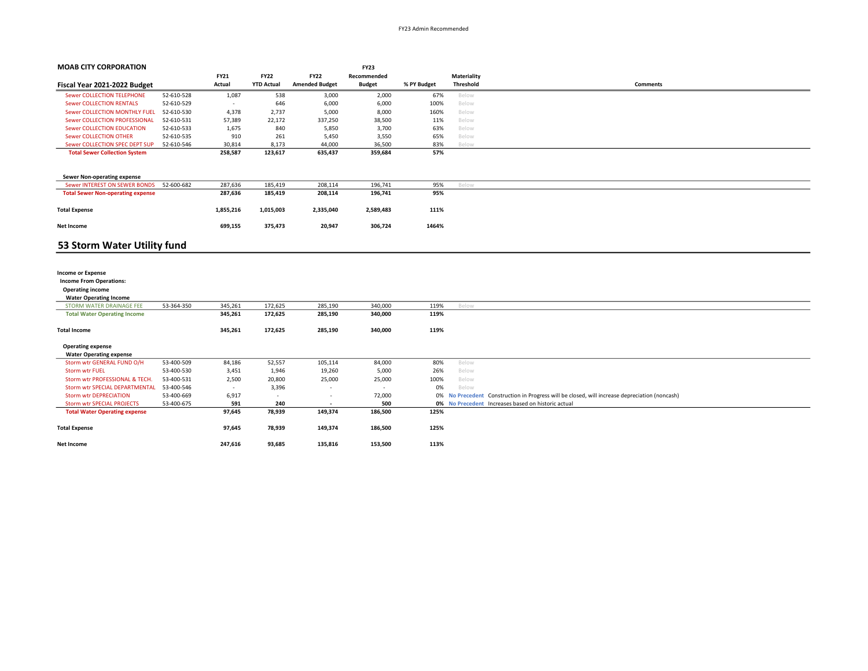| <b>MOAB CITY CORPORATION</b>             |            |                          |                   |                       | <b>FY23</b>   |             |             |                                                                                               |
|------------------------------------------|------------|--------------------------|-------------------|-----------------------|---------------|-------------|-------------|-----------------------------------------------------------------------------------------------|
|                                          |            | <b>FY21</b>              | <b>FY22</b>       | <b>FY22</b>           | Recommended   |             | Materiality |                                                                                               |
| Fiscal Year 2021-2022 Budget             |            | Actual                   | <b>YTD Actual</b> | <b>Amended Budget</b> | <b>Budget</b> | % PY Budget | Threshold   | <b>Comments</b>                                                                               |
| <b>Sewer COLLECTION TELEPHONE</b>        | 52-610-528 | 1,087                    | 538               | 3,000                 | 2,000         | 67%         | Below       |                                                                                               |
| <b>Sewer COLLECTION RENTALS</b>          | 52-610-529 | $\sim$                   | 646               | 6,000                 | 6,000         | 100%        | Below       |                                                                                               |
| Sewer COLLECTION MONTHLY FUEL            | 52-610-530 | 4,378                    | 2,737             | 5,000                 | 8,000         | 160%        | Below       |                                                                                               |
| Sewer COLLECTION PROFESSIONAL            | 52-610-531 | 57,389                   | 22,172            | 337,250               | 38,500        | 11%         | Below       |                                                                                               |
| <b>Sewer COLLECTION EDUCATION</b>        | 52-610-533 | 1,675                    | 840               | 5,850                 | 3,700         | 63%         | Below       |                                                                                               |
| <b>Sewer COLLECTION OTHER</b>            | 52-610-535 | 910                      | 261               | 5,450                 | 3,550         | 65%         | Below       |                                                                                               |
| Sewer COLLECTION SPEC DEPT SUP           | 52-610-546 | 30,814                   | 8,173             | 44,000                | 36,500        | 83%         | Below       |                                                                                               |
| <b>Total Sewer Collection System</b>     |            | 258,587                  | 123,617           | 635,437               | 359,684       | 57%         |             |                                                                                               |
|                                          |            |                          |                   |                       |               |             |             |                                                                                               |
| <b>Sewer Non-operating expense</b>       |            |                          |                   |                       |               |             |             |                                                                                               |
| Sewer INTEREST ON SEWER BONDS            | 52-600-682 | 287,636                  | 185,419           | 208,114               | 196,741       | 95%         | Below       |                                                                                               |
| <b>Total Sewer Non-operating expense</b> |            | 287,636                  | 185,419           | 208,114               | 196,741       | 95%         |             |                                                                                               |
|                                          |            |                          |                   |                       |               |             |             |                                                                                               |
| <b>Total Expense</b>                     |            | 1,855,216                | 1,015,003         | 2,335,040             | 2,589,483     | 111%        |             |                                                                                               |
| Net Income                               |            | 699,155                  | 375,473           | 20,947                | 306,724       | 1464%       |             |                                                                                               |
|                                          |            |                          |                   |                       |               |             |             |                                                                                               |
| 53 Storm Water Utility fund              |            |                          |                   |                       |               |             |             |                                                                                               |
|                                          |            |                          |                   |                       |               |             |             |                                                                                               |
|                                          |            |                          |                   |                       |               |             |             |                                                                                               |
| <b>Income or Expense</b>                 |            |                          |                   |                       |               |             |             |                                                                                               |
| <b>Income From Operations:</b>           |            |                          |                   |                       |               |             |             |                                                                                               |
| <b>Operating income</b>                  |            |                          |                   |                       |               |             |             |                                                                                               |
| <b>Water Operating Income</b>            |            |                          |                   |                       |               |             |             |                                                                                               |
| STORM WATER DRAINAGE FEE                 | 53-364-350 | 345,261                  | 172,625           | 285,190               | 340,000       | 119%        | Below       |                                                                                               |
| <b>Total Water Operating Income</b>      |            | 345,261                  | 172,625           | 285,190               | 340,000       | 119%        |             |                                                                                               |
|                                          |            |                          |                   |                       |               |             |             |                                                                                               |
| <b>Total Income</b>                      |            | 345,261                  | 172,625           | 285,190               | 340,000       | 119%        |             |                                                                                               |
| <b>Operating expense</b>                 |            |                          |                   |                       |               |             |             |                                                                                               |
| <b>Water Operating expense</b>           |            |                          |                   |                       |               |             |             |                                                                                               |
| Storm wtr GENERAL FUND O/H               | 53-400-509 | 84,186                   | 52,557            | 105,114               | 84,000        | 80%         | Below       |                                                                                               |
| <b>Storm wtr FUEL</b>                    | 53-400-530 | 3,451                    | 1,946             | 19,260                | 5,000         | 26%         | Below       |                                                                                               |
| Storm wtr PROFESSIONAL & TECH.           | 53-400-531 | 2,500                    | 20,800            | 25,000                | 25,000        | 100%        | Below       |                                                                                               |
| Storm wtr SPECIAL DEPARTMENTAL           | 53-400-546 | $\overline{\phantom{a}}$ | 3,396             |                       |               | 0%          | Below       |                                                                                               |
| <b>Storm wtr DEPRECIATION</b>            | 53-400-669 | 6,917                    | $\sim$            | $\overline{a}$        | 72,000        |             |             | 0% No Precedent Construction in Progress will be closed, will increase depreciation (noncash) |
| <b>Storm wtr SPECIAL PROJECTS</b>        | 53-400-675 | 591                      | 240               |                       | 500           |             |             | 0% No Precedent Increases based on historic actual                                            |
| <b>Total Water Operating expense</b>     |            | 97,645                   | 78,939            | 149,374               | 186,500       | 125%        |             |                                                                                               |
|                                          |            |                          |                   |                       |               |             |             |                                                                                               |
| <b>Total Expense</b>                     |            | 97,645                   | 78,939            | 149,374               | 186,500       | 125%        |             |                                                                                               |
| Net Income                               |            | 247,616                  | 93,685            | 135,816               | 153,500       | 113%        |             |                                                                                               |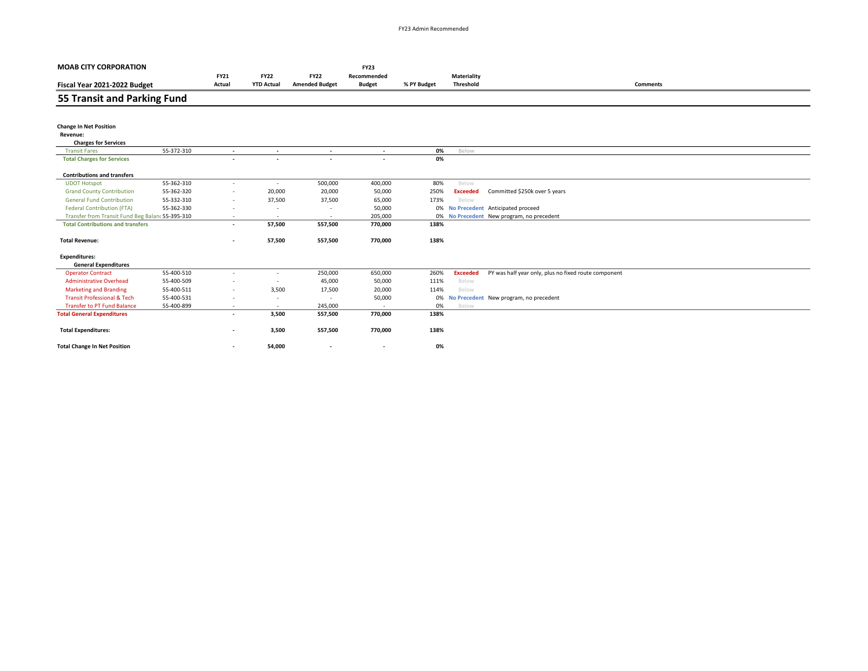| <b>MOAB CITY CORPORATION</b>                     |            |                          |                          |                          | <b>FY23</b>              |             |                 |                                                      |
|--------------------------------------------------|------------|--------------------------|--------------------------|--------------------------|--------------------------|-------------|-----------------|------------------------------------------------------|
|                                                  |            | <b>FY21</b>              | <b>FY22</b>              | <b>FY22</b>              | Recommended              |             | Materiality     |                                                      |
| Fiscal Year 2021-2022 Budget                     |            | Actual                   | <b>YTD Actual</b>        | <b>Amended Budget</b>    | <b>Budget</b>            | % PY Budget | Threshold       | <b>Comments</b>                                      |
| 55 Transit and Parking Fund                      |            |                          |                          |                          |                          |             |                 |                                                      |
|                                                  |            |                          |                          |                          |                          |             |                 |                                                      |
| <b>Change In Net Position</b><br>Revenue:        |            |                          |                          |                          |                          |             |                 |                                                      |
| <b>Charges for Services</b>                      |            |                          |                          |                          |                          |             |                 |                                                      |
| <b>Transit Fares</b>                             | 55-372-310 | $\overline{\phantom{a}}$ | $\overline{\phantom{a}}$ | $\overline{\phantom{a}}$ | $\overline{\phantom{a}}$ | 0%          | Below           |                                                      |
| <b>Total Charges for Services</b>                |            | $\overline{\phantom{a}}$ | $\overline{\phantom{a}}$ | $\overline{\phantom{a}}$ | $\overline{\phantom{a}}$ | 0%          |                 |                                                      |
| <b>Contributions and transfers</b>               |            |                          |                          |                          |                          |             |                 |                                                      |
| <b>UDOT Hotspot</b>                              | 55-362-310 | $\overline{\phantom{a}}$ | $\overline{\phantom{a}}$ | 500,000                  | 400,000                  | 80%         | Below           |                                                      |
| <b>Grand County Contribution</b>                 | 55-362-320 | $\overline{\phantom{a}}$ | 20,000                   | 20,000                   | 50,000                   | 250%        | <b>Exceeded</b> | Committed \$250k over 5 years                        |
| <b>General Fund Contribution</b>                 | 55-332-310 |                          | 37,500                   | 37,500                   | 65,000                   | 173%        | Below           |                                                      |
| <b>Federal Contribution (FTA)</b>                | 55-362-330 |                          | $\overline{\phantom{a}}$ | ٠                        | 50,000                   |             |                 | 0% No Precedent Anticipated proceed                  |
| Transfer from Transit Fund Beg Balanc 55-395-310 |            | $\overline{\phantom{a}}$ | $\sim$                   | $\overline{\phantom{a}}$ | 205,000                  |             |                 | 0% No Precedent New program, no precedent            |
| <b>Total Contributions and transfers</b>         |            | $\overline{\phantom{a}}$ | 57,500                   | 557,500                  | 770,000                  | 138%        |                 |                                                      |
| <b>Total Revenue:</b>                            |            | $\overline{\phantom{a}}$ | 57,500                   | 557,500                  | 770,000                  | 138%        |                 |                                                      |
| <b>Expenditures:</b>                             |            |                          |                          |                          |                          |             |                 |                                                      |
| <b>General Expenditures</b>                      |            |                          |                          |                          |                          |             |                 |                                                      |
| <b>Operator Contract</b>                         | 55-400-510 | $\overline{\phantom{a}}$ | $\overline{\phantom{a}}$ | 250,000                  | 650,000                  | 260%        | <b>Exceeded</b> | PY was half year only, plus no fixed route component |
| <b>Administrative Overhead</b>                   | 55-400-509 |                          | ٠                        | 45,000                   | 50,000                   | 111%        | Below           |                                                      |
| <b>Marketing and Branding</b>                    | 55-400-511 |                          | 3,500                    | 17,500                   | 20,000                   | 114%        | Below           |                                                      |
| <b>Transit Professional &amp; Tech</b>           | 55-400-531 |                          |                          | $\overline{\phantom{a}}$ | 50,000                   | 0%          |                 | No Precedent New program, no precedent               |
| <b>Transfer to PT Fund Balance</b>               | 55-400-899 | $\overline{\phantom{a}}$ | $\sim$                   | 245,000                  |                          | 0%          | Below           |                                                      |
| <b>Total General Expenditures</b>                |            | $\overline{\phantom{a}}$ | 3,500                    | 557,500                  | 770,000                  | 138%        |                 |                                                      |
| <b>Total Expenditures:</b>                       |            |                          | 3,500                    | 557,500                  | 770,000                  | 138%        |                 |                                                      |
| <b>Total Change In Net Position</b>              |            | $\overline{\phantom{a}}$ | 54,000                   |                          | $\overline{\phantom{a}}$ | 0%          |                 |                                                      |